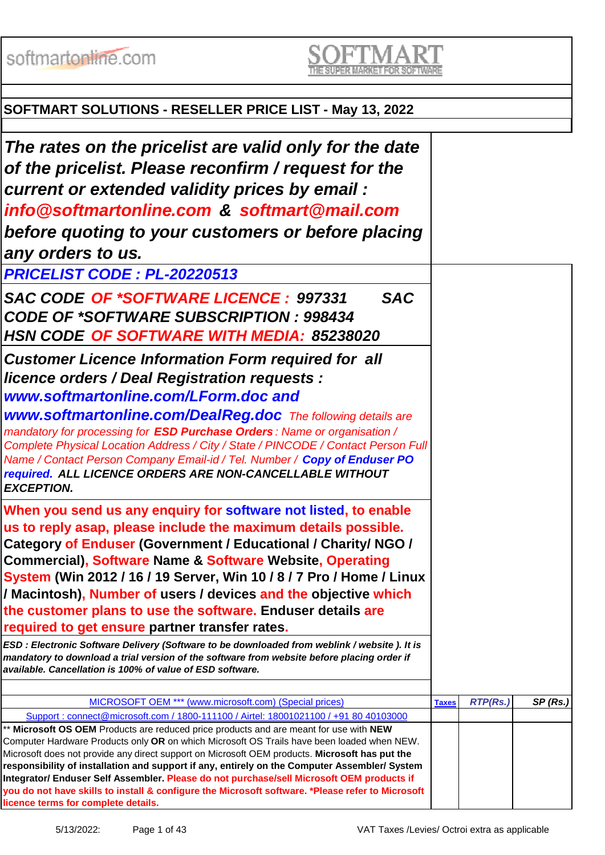softmartonline.com

# **SOFTMART SOLUTIONS - RESELLER PRICE LIST - May 13, 2022**

| The rates on the pricelist are valid only for the date<br>of the pricelist. Please reconfirm / request for the                                                                                                                                                                                                                                                                                                                                                                                                                         |              |          |         |
|----------------------------------------------------------------------------------------------------------------------------------------------------------------------------------------------------------------------------------------------------------------------------------------------------------------------------------------------------------------------------------------------------------------------------------------------------------------------------------------------------------------------------------------|--------------|----------|---------|
| current or extended validity prices by email:                                                                                                                                                                                                                                                                                                                                                                                                                                                                                          |              |          |         |
| info@softmartonline.com & softmart@mail.com                                                                                                                                                                                                                                                                                                                                                                                                                                                                                            |              |          |         |
| before quoting to your customers or before placing                                                                                                                                                                                                                                                                                                                                                                                                                                                                                     |              |          |         |
|                                                                                                                                                                                                                                                                                                                                                                                                                                                                                                                                        |              |          |         |
| any orders to us.                                                                                                                                                                                                                                                                                                                                                                                                                                                                                                                      |              |          |         |
| PRICELIST CODE: PL-20220513                                                                                                                                                                                                                                                                                                                                                                                                                                                                                                            |              |          |         |
| <b>SAC</b><br>SAC CODE OF *SOFTWARE LICENCE: 997331<br><b>CODE OF *SOFTWARE SUBSCRIPTION : 998434</b><br><b>HSN CODE OF SOFTWARE WITH MEDIA: 85238020</b>                                                                                                                                                                                                                                                                                                                                                                              |              |          |         |
| <b>Customer Licence Information Form required for all</b><br>licence orders / Deal Registration requests :<br>www.softmartonline.com/LForm.doc and                                                                                                                                                                                                                                                                                                                                                                                     |              |          |         |
| <b>www.softmartonline.com/DealReg.doc</b> The following details are<br>mandatory for processing for <b>ESD Purchase Orders</b> : Name or organisation /<br>Complete Physical Location Address / City / State / PINCODE / Contact Person Full<br>Name / Contact Person Company Email-id / Tel. Number / Copy of Enduser PO<br>required. ALL LICENCE ORDERS ARE NON-CANCELLABLE WITHOUT<br><b>EXCEPTION.</b>                                                                                                                             |              |          |         |
| When you send us any enquiry for software not listed, to enable<br>us to reply asap, please include the maximum details possible.<br>Category of Enduser (Government / Educational / Charity/ NGO /<br><b>Commercial), Software Name &amp; Software Website, Operating</b><br>System (Win 2012 / 16 / 19 Server, Win 10 / 8 / 7 Pro / Home / Linux<br>/ Macintosh), Number of users / devices and the objective which<br>the customer plans to use the software. Enduser details are<br>required to get ensure partner transfer rates. |              |          |         |
| ESD : Electronic Software Delivery (Software to be downloaded from weblink / website ). It is<br>mandatory to download a trial version of the software from website before placing order if<br>available. Cancellation is 100% of value of ESD software.                                                                                                                                                                                                                                                                               |              |          |         |
|                                                                                                                                                                                                                                                                                                                                                                                                                                                                                                                                        |              |          |         |
| MICROSOFT OEM *** (www.microsoft.com) (Special prices)<br>Support: connect@microsoft.com / 1800-111100 / Airtel: 18001021100 / +91 80 40103000                                                                                                                                                                                                                                                                                                                                                                                         | <b>Taxes</b> | RTP(Rs.) | SP(Rs.) |
| ** Microsoft OS OEM Products are reduced price products and are meant for use with NEW<br>Computer Hardware Products only OR on which Microsoft OS Trails have been loaded when NEW.<br>Microsoft does not provide any direct support on Microsoft OEM products. Microsoft has put the<br>responsibility of installation and support if any, entirely on the Computer Assembler/ System<br>Integrator/ Enduser Self Assembler. Please do not purchase/sell Microsoft OEM products if                                                   |              |          |         |
| you do not have skills to install & configure the Microsoft software. *Please refer to Microsoft<br>licence terms for complete details.                                                                                                                                                                                                                                                                                                                                                                                                |              |          |         |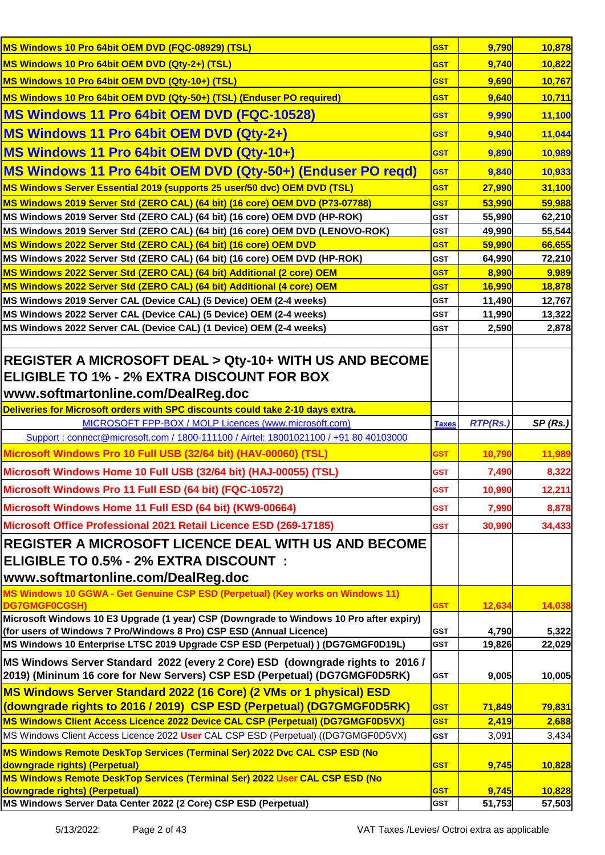| MS Windows 10 Pro 64bit OEM DVD (FQC-08929) (TSL)                                                                                                             | <b>GST</b>   | 9,790           | 10,878  |
|---------------------------------------------------------------------------------------------------------------------------------------------------------------|--------------|-----------------|---------|
| MS Windows 10 Pro 64bit OEM DVD (Qty-2+) (TSL)                                                                                                                | <b>GST</b>   | 9,740           | 10,822  |
| MS Windows 10 Pro 64bit OEM DVD (Qty-10+) (TSL)                                                                                                               | <b>GST</b>   | 9,690           | 10,767  |
| MS Windows 10 Pro 64bit OEM DVD (Qty-50+) (TSL) (Enduser PO required)                                                                                         | <b>GST</b>   | 9,640           | 10,711  |
| <b>MS Windows 11 Pro 64bit OEM DVD (FQC-10528)</b>                                                                                                            | <b>GST</b>   | 9,990           | 11,100  |
| MS Windows 11 Pro 64bit OEM DVD (Qty-2+)                                                                                                                      | <b>GST</b>   | 9,940           | 11,044  |
| MS Windows 11 Pro 64bit OEM DVD (Qty-10+)                                                                                                                     | <b>GST</b>   | 9,890           | 10,989  |
| MS Windows 11 Pro 64bit OEM DVD (Qty-50+) (Enduser PO regd)                                                                                                   | <b>GST</b>   | 9,840           | 10,933  |
| MS Windows Server Essential 2019 (supports 25 user/50 dvc) OEM DVD (TSL)                                                                                      | <b>GST</b>   | 27,990          | 31,100  |
| MS Windows 2019 Server Std (ZERO CAL) (64 bit) (16 core) OEM DVD (P73-07788)                                                                                  | <b>GST</b>   | 53,990          | 59,988  |
| MS Windows 2019 Server Std (ZERO CAL) (64 bit) (16 core) OEM DVD (HP-ROK)                                                                                     | <b>GST</b>   | 55,990          | 62,210  |
| MS Windows 2019 Server Std (ZERO CAL) (64 bit) (16 core) OEM DVD (LENOVO-ROK)                                                                                 | <b>GST</b>   | 49,990          | 55,544  |
| MS Windows 2022 Server Std (ZERO CAL) (64 bit) (16 core) OEM DVD                                                                                              | <b>GST</b>   | 59,990          | 66,655  |
| MS Windows 2022 Server Std (ZERO CAL) (64 bit) (16 core) OEM DVD (HP-ROK)                                                                                     | <b>GST</b>   | 64,990          | 72,210  |
| MS Windows 2022 Server Std (ZERO CAL) (64 bit) Additional (2 core) OEM                                                                                        | <b>GST</b>   | 8,990           | 9,989   |
| MS Windows 2022 Server Std (ZERO CAL) (64 bit) Additional (4 core) OEM                                                                                        | <b>GST</b>   | 16,990          | 18,878  |
| MS Windows 2019 Server CAL (Device CAL) (5 Device) OEM (2-4 weeks)                                                                                            | <b>GST</b>   | 11,490          | 12,767  |
| MS Windows 2022 Server CAL (Device CAL) (5 Device) OEM (2-4 weeks)                                                                                            | <b>GST</b>   | 11,990          | 13,322  |
| MS Windows 2022 Server CAL (Device CAL) (1 Device) OEM (2-4 weeks)                                                                                            | <b>GST</b>   | 2,590           | 2,878   |
|                                                                                                                                                               |              |                 |         |
| <b>REGISTER A MICROSOFT DEAL &gt; Qty-10+ WITH US AND BECOME</b>                                                                                              |              |                 |         |
| ELIGIBLE TO 1% - 2% EXTRA DISCOUNT FOR BOX                                                                                                                    |              |                 |         |
| www.softmartonline.com/DealReg.doc                                                                                                                            |              |                 |         |
| Deliveries for Microsoft orders with SPC discounts could take 2-10 days extra.                                                                                |              |                 |         |
| MICROSOFT FPP-BOX / MOLP Licences (www.microsoft.com)                                                                                                         | <b>Taxes</b> | <b>RTP(Rs.)</b> | SP(Rs.) |
| Support: connect@microsoft.com / 1800-111100 / Airtel: 18001021100 / +91 80 40103000                                                                          |              |                 |         |
| Microsoft Windows Pro 10 Full USB (32/64 bit) (HAV-00060) (TSL)                                                                                               | <b>GST</b>   | 10,790          | 11,989  |
| Microsoft Windows Home 10 Full USB (32/64 bit) (HAJ-00055) (TSL)                                                                                              | <b>GST</b>   | 7,490           | 8,322   |
| Microsoft Windows Pro 11 Full ESD (64 bit) (FQC-10572)                                                                                                        | <b>GST</b>   | 10,990          | 12,211  |
| Microsoft Windows Home 11 Full ESD (64 bit) (KW9-00664)                                                                                                       | <b>GST</b>   | 7,990           | 8,878   |
| Microsoft Office Professional 2021 Retail Licence ESD (269-17185)                                                                                             | <b>GST</b>   | 30,990          | 34,433  |
| REGISTER A MICROSOFT LICENCE DEAL WITH US AND BECOME                                                                                                          |              |                 |         |
| ELIGIBLE TO 0.5% - 2% EXTRA DISCOUNT :                                                                                                                        |              |                 |         |
| www.softmartonline.com/DealReg.doc                                                                                                                            |              |                 |         |
| MS Windows 10 GGWA - Get Genuine CSP ESD (Perpetual) (Key works on Windows 11)                                                                                |              |                 |         |
| DG7GMGF0CGSH)                                                                                                                                                 | <b>GST</b>   | 12,634          | 14,038  |
| Microsoft Windows 10 E3 Upgrade (1 year) CSP (Downgrade to Windows 10 Pro after expiry)                                                                       |              |                 |         |
| (for users of Windows 7 Pro/Windows 8 Pro) CSP ESD (Annual Licence)                                                                                           | <b>GST</b>   | 4,790           | 5,322   |
| MS Windows 10 Enterprise LTSC 2019 Upgrade CSP ESD (Perpetual) ) (DG7GMGF0D19L)                                                                               | <b>GST</b>   | 19,826          | 22,029  |
| MS Windows Server Standard 2022 (every 2 Core) ESD (downgrade rights to 2016 /<br>(2019) (Mininum 16 core for New Servers) CSP ESD (Perpetual) (DG7GMGF0D5RK) | <b>GST</b>   | 9,005           | 10,005  |
| MS Windows Server Standard 2022 (16 Core) (2 VMs or 1 physical) ESD                                                                                           |              |                 |         |
| (downgrade rights to 2016 / 2019) CSP ESD (Perpetual) (DG7GMGF0D5RK)                                                                                          | <b>GST</b>   | 71,849          | 79,831  |
| MS Windows Client Access Licence 2022 Device CAL CSP (Perpetual) (DG7GMGF0D5VX)                                                                               | <b>GST</b>   | 2,419           | 2,688   |
| MS Windows Client Access Licence 2022 User CAL CSP ESD (Perpetual) ((DG7GMGF0D5VX)                                                                            | <b>GST</b>   | 3,091           | 3,434   |
| MS Windows Remote DeskTop Services (Terminal Ser) 2022 Dvc CAL CSP ESD (No                                                                                    |              |                 |         |
| downgrade rights) (Perpetual)                                                                                                                                 | <b>GST</b>   | 9,745           | 10,828  |
| MS Windows Remote DeskTop Services (Terminal Ser) 2022 User CAL CSP ESD (No                                                                                   |              |                 |         |
| downgrade rights) (Perpetual)                                                                                                                                 | <b>GST</b>   | 9,745           | 10,828  |
| MS Windows Server Data Center 2022 (2 Core) CSP ESD (Perpetual)                                                                                               | <b>GST</b>   | 51,753          | 57,503  |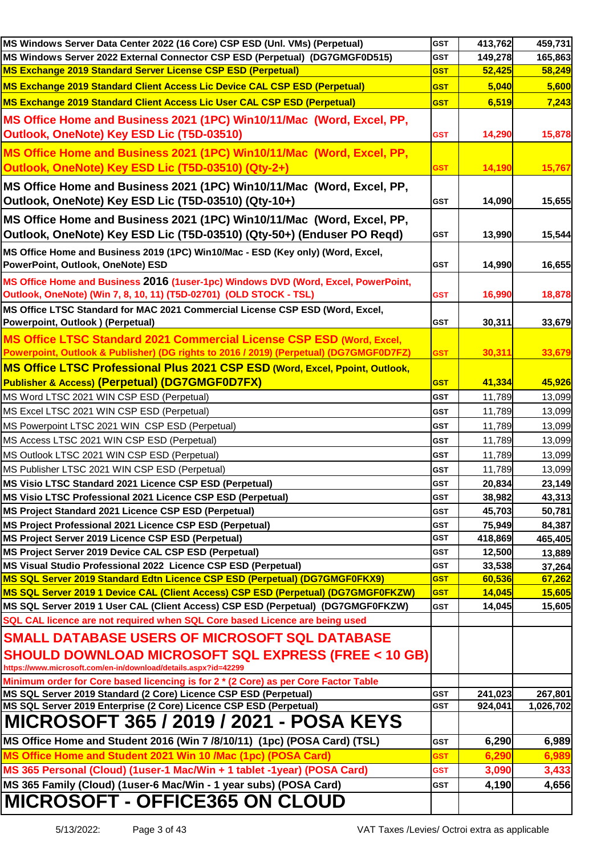| MS Windows Server Data Center 2022 (16 Core) CSP ESD (Unl. VMs) (Perpetual)                                                      | <b>GST</b> | 413,762 | 459,731   |
|----------------------------------------------------------------------------------------------------------------------------------|------------|---------|-----------|
| MS Windows Server 2022 External Connector CSP ESD (Perpetual) (DG7GMGF0D515)                                                     | <b>GST</b> | 149,278 | 165,863   |
| MS Exchange 2019 Standard Server License CSP ESD (Perpetual)                                                                     | <b>GST</b> | 52,425  | 58,249    |
| MS Exchange 2019 Standard Client Access Lic Device CAL CSP ESD (Perpetual)                                                       | <b>GST</b> | 5.040   | 5,600     |
| MS Exchange 2019 Standard Client Access Lic User CAL CSP ESD (Perpetual)                                                         | <b>GST</b> | 6,519   | 7,243     |
| MS Office Home and Business 2021 (1PC) Win10/11/Mac (Word, Excel, PP,                                                            |            |         |           |
| Outlook, OneNote) Key ESD Lic (T5D-03510)                                                                                        | <b>GST</b> | 14,290  | 15,878    |
|                                                                                                                                  |            |         |           |
| MS Office Home and Business 2021 (1PC) Win10/11/Mac (Word, Excel, PP,                                                            |            |         |           |
| Outlook, OneNote) Key ESD Lic (T5D-03510) (Qty-2+)                                                                               | <b>GST</b> | 14,190  | 15,767    |
| MS Office Home and Business 2021 (1PC) Win10/11/Mac (Word, Excel, PP,                                                            |            |         |           |
| Outlook, OneNote) Key ESD Lic (T5D-03510) (Qty-10+)                                                                              | <b>GST</b> | 14,090  | 15,655    |
| MS Office Home and Business 2021 (1PC) Win10/11/Mac (Word, Excel, PP,                                                            |            |         |           |
| Outlook, OneNote) Key ESD Lic (T5D-03510) (Qty-50+) (Enduser PO Reqd)                                                            | <b>GST</b> | 13,990  | 15,544    |
| MS Office Home and Business 2019 (1PC) Win10/Mac - ESD (Key only) (Word, Excel,                                                  |            |         |           |
| PowerPoint, Outlook, OneNote) ESD                                                                                                | <b>GST</b> | 14,990  | 16,655    |
| MS Office Home and Business 2016 (1user-1pc) Windows DVD (Word, Excel, PowerPoint,                                               |            |         |           |
| Outlook, OneNote) (Win 7, 8, 10, 11) (T5D-02701) (OLD STOCK - TSL)                                                               | <b>GST</b> | 16,990  | 18,878    |
| MS Office LTSC Standard for MAC 2021 Commercial License CSP ESD (Word, Excel,                                                    |            |         |           |
| Powerpoint, Outlook ) (Perpetual)                                                                                                | <b>GST</b> | 30,311  | 33,679    |
| MS Office LTSC Standard 2021 Commercial License CSP ESD (Word, Excel,                                                            |            |         |           |
| Powerpoint, Outlook & Publisher) (DG rights to 2016 / 2019) (Perpetual) (DG7GMGF0D7FZ)                                           | <b>GST</b> | 30,311  | 33,679    |
| MS Office LTSC Professional Plus 2021 CSP ESD (Word, Excel, Ppoint, Outlook,                                                     |            |         |           |
| Publisher & Access) (Perpetual) (DG7GMGF0D7FX)                                                                                   | <b>GST</b> | 41,334  | 45,926    |
| MS Word LTSC 2021 WIN CSP ESD (Perpetual)                                                                                        | <b>GST</b> | 11,789  | 13,099    |
| MS Excel LTSC 2021 WIN CSP ESD (Perpetual)                                                                                       | <b>GST</b> | 11,789  | 13,099    |
| MS Powerpoint LTSC 2021 WIN CSP ESD (Perpetual)                                                                                  | <b>GST</b> | 11,789  | 13,099    |
| MS Access LTSC 2021 WIN CSP ESD (Perpetual)                                                                                      | <b>GST</b> | 11,789  | 13,099    |
| MS Outlook LTSC 2021 WIN CSP ESD (Perpetual)                                                                                     | <b>GST</b> | 11,789  | 13,099    |
| MS Publisher LTSC 2021 WIN CSP ESD (Perpetual)                                                                                   | <b>GST</b> | 11,789  | 13,099    |
| MS Visio LTSC Standard 2021 Licence CSP ESD (Perpetual)                                                                          | <b>GST</b> | 20,834  | 23,149    |
| MS Visio LTSC Professional 2021 Licence CSP ESD (Perpetual)                                                                      | <b>GST</b> | 38,982  | 43,313    |
| MS Project Standard 2021 Licence CSP ESD (Perpetual)                                                                             | <b>GST</b> | 45,703  | 50,781    |
| MS Project Professional 2021 Licence CSP ESD (Perpetual)                                                                         | <b>GST</b> | 75,949  | 84,387    |
| MS Project Server 2019 Licence CSP ESD (Perpetual)                                                                               | GST        | 418,869 | 465,405   |
| MS Project Server 2019 Device CAL CSP ESD (Perpetual)                                                                            | <b>GST</b> | 12,500  | 13,889    |
| MS Visual Studio Professional 2022 Licence CSP ESD (Perpetual)                                                                   | <b>GST</b> | 33,538  | 37,264    |
| MS SQL Server 2019 Standard Edtn Licence CSP ESD (Perpetual) (DG7GMGF0FKX9)                                                      | <b>GST</b> | 60,536  | 67,262    |
| MS SQL Server 2019 1 Device CAL (Client Access) CSP ESD (Perpetual) (DG7GMGF0FKZW)                                               | <b>GST</b> | 14,045  | 15,605    |
| MS SQL Server 2019 1 User CAL (Client Access) CSP ESD (Perpetual) (DG7GMGF0FKZW)                                                 | <b>GST</b> | 14,045  | 15,605    |
| SQL CAL licence are not required when SQL Core based Licence are being used                                                      |            |         |           |
| <b>SMALL DATABASE USERS OF MICROSOFT SQL DATABASE</b>                                                                            |            |         |           |
|                                                                                                                                  |            |         |           |
| <b>SHOULD DOWNLOAD MICROSOFT SQL EXPRESS (FREE &lt; 10 GB)</b><br>https://www.microsoft.com/en-in/download/details.aspx?id=42299 |            |         |           |
| Minimum order for Core based licencing is for 2 * (2 Core) as per Core Factor Table                                              |            |         |           |
| MS SQL Server 2019 Standard (2 Core) Licence CSP ESD (Perpetual)                                                                 | <b>GST</b> | 241,023 | 267,801   |
| MS SQL Server 2019 Enterprise (2 Core) Licence CSP ESD (Perpetual)                                                               | <b>GST</b> | 924,041 | 1,026,702 |
| <b>MICROSOFT 365 / 2019 / 2021 - POSA KEYS</b>                                                                                   |            |         |           |
| MS Office Home and Student 2016 (Win 7 /8/10/11) (1pc) (POSA Card) (TSL)                                                         | <b>GST</b> | 6,290   | 6,989     |
| MS Office Home and Student 2021 Win 10 /Mac (1pc) (POSA Card)                                                                    | GST        | 6,290   | 6,989     |
| MS 365 Personal (Cloud) (1user-1 Mac/Win + 1 tablet -1year) (POSA Card)                                                          | <b>GST</b> | 3,090   | 3,433     |
| MS 365 Family (Cloud) (1user-6 Mac/Win - 1 year subs) (POSA Card)                                                                | <b>GST</b> | 4,190   | 4,656     |
|                                                                                                                                  |            |         |           |
| <b>MICROSOFT - OFFICE365 ON CLOUD</b>                                                                                            |            |         |           |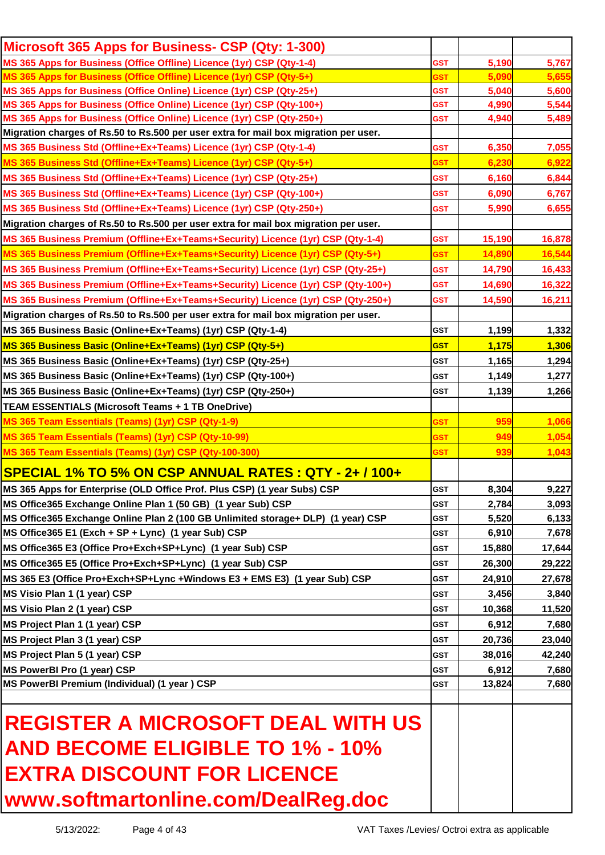| Microsoft 365 Apps for Business- CSP (Qty: 1-300)                                                                                        |                          |                 |                 |
|------------------------------------------------------------------------------------------------------------------------------------------|--------------------------|-----------------|-----------------|
| MS 365 Apps for Business (Office Offline) Licence (1yr) CSP (Qty-1-4)                                                                    | <b>GST</b>               | 5,190           | 5,767           |
| MS 365 Apps for Business (Office Offline) Licence (1yr) CSP (Qty-5+)                                                                     | GST                      | 5,090           | 5,655           |
| MS 365 Apps for Business (Office Online) Licence (1yr) CSP (Qty-25+)                                                                     | <b>GST</b>               | 5,040           | 5,600           |
| MS 365 Apps for Business (Office Online) Licence (1yr) CSP (Qty-100+)                                                                    | <b>GST</b>               | 4,990           | 5,544           |
| MS 365 Apps for Business (Office Online) Licence (1yr) CSP (Qty-250+)                                                                    | GST                      | 4,940           | 5,489           |
| Migration charges of Rs.50 to Rs.500 per user extra for mail box migration per user.                                                     |                          |                 |                 |
| MS 365 Business Std (Offline+Ex+Teams) Licence (1yr) CSP (Qty-1-4)                                                                       | <b>GST</b>               | 6,350           | 7,055           |
| MS 365 Business Std (Offline+Ex+Teams) Licence (1yr) CSP (Qty-5+)                                                                        | <b>GST</b>               | 6,230           | 6,922           |
| MS 365 Business Std (Offline+Ex+Teams) Licence (1yr) CSP (Qty-25+)                                                                       | <b>GST</b>               | 6,160           | 6,844           |
| MS 365 Business Std (Offline+Ex+Teams) Licence (1yr) CSP (Qty-100+)                                                                      | <b>GST</b>               | 6,090           | 6,767           |
| MS 365 Business Std (Offline+Ex+Teams) Licence (1yr) CSP (Qty-250+)                                                                      | <b>GST</b>               | 5,990           | 6,655           |
| Migration charges of Rs.50 to Rs.500 per user extra for mail box migration per user.                                                     |                          |                 |                 |
| MS 365 Business Premium (Offline+Ex+Teams+Security) Licence (1yr) CSP (Qty-1-4)                                                          | <b>GST</b>               | 15,190          | 16,878          |
| MS 365 Business Premium (Offline+Ex+Teams+Security) Licence (1yr) CSP (Qty-5+)                                                           | <b>GST</b>               | 14,890          | 16,544          |
| MS 365 Business Premium (Offline+Ex+Teams+Security) Licence (1yr) CSP (Qty-25+)                                                          | <b>GST</b>               | 14,790          | 16,433          |
| MS 365 Business Premium (Offline+Ex+Teams+Security) Licence (1yr) CSP (Qty-100+)                                                         | <b>GST</b>               | 14,690          | 16,322          |
| MS 365 Business Premium (Offline+Ex+Teams+Security) Licence (1yr) CSP (Qty-250+)                                                         | <b>GST</b>               | 14,590          | 16,211          |
| Migration charges of Rs.50 to Rs.500 per user extra for mail box migration per user.                                                     |                          |                 |                 |
| MS 365 Business Basic (Online+Ex+Teams) (1yr) CSP (Qty-1-4)                                                                              | <b>GST</b>               | 1,199           | 1,332           |
| MS 365 Business Basic (Online+Ex+Teams) (1yr) CSP (Qty-5+)                                                                               | <b>GST</b>               | 1,175           | 1,306           |
| MS 365 Business Basic (Online+Ex+Teams) (1yr) CSP (Qty-25+)                                                                              | <b>GST</b>               | 1,165           | 1,294           |
| MS 365 Business Basic (Online+Ex+Teams) (1yr) CSP (Qty-100+)                                                                             | GST                      | 1,149           | 1,277           |
| MS 365 Business Basic (Online+Ex+Teams) (1yr) CSP (Qty-250+)                                                                             | <b>GST</b>               | 1,139           | 1,266           |
| TEAM ESSENTIALS (Microsoft Teams + 1 TB OneDrive)                                                                                        |                          |                 |                 |
| MS 365 Team Essentials (Teams) (1yr) CSP (Qty-1-9)                                                                                       | <b>GST</b>               | 959             | 1,066           |
| MS 365 Team Essentials (Teams) (1yr) CSP (Qty-10-99)                                                                                     | <u>GST</u>               | 949             | 1,054           |
| MS 365 Team Essentials (Teams) (1yr) CSP (Qty-100-300)                                                                                   | <b>GST</b>               | 939             | 1,043           |
| SPECIAL 1% TO 5% ON CSP ANNUAL RATES : QTY - 2+ / 100+                                                                                   |                          |                 |                 |
|                                                                                                                                          |                          | 8,304           | 9,227           |
| MS 365 Apps for Enterprise (OLD Office Prof. Plus CSP) (1 year Subs) CSP<br>MS Office365 Exchange Online Plan 1 (50 GB) (1 year Sub) CSP | <b>GST</b><br><b>GST</b> | 2,784           | 3,093           |
| MS Office365 Exchange Online Plan 2 (100 GB Unlimited storage+ DLP) (1 year) CSP                                                         | <b>GST</b>               | 5,520           | 6,133           |
| MS Office365 E1 (Exch + SP + Lync) (1 year Sub) CSP                                                                                      | <b>GST</b>               | 6,910           | 7,678           |
| MS Office365 E3 (Office Pro+Exch+SP+Lync) (1 year Sub) CSP                                                                               | <b>GST</b>               | 15,880          | 17,644          |
| MS Office365 E5 (Office Pro+Exch+SP+Lync) (1 year Sub) CSP                                                                               | <b>GST</b>               | 26,300          | 29,222          |
| MS 365 E3 (Office Pro+Exch+SP+Lync +Windows E3 + EMS E3) (1 year Sub) CSP                                                                | <b>GST</b>               | 24,910          |                 |
| MS Visio Plan 1 (1 year) CSP                                                                                                             | <b>GST</b>               |                 | 27,678<br>3,840 |
| MS Visio Plan 2 (1 year) CSP                                                                                                             | <b>GST</b>               | 3,456<br>10,368 |                 |
|                                                                                                                                          |                          |                 | 11,520          |
| MS Project Plan 1 (1 year) CSP                                                                                                           | <b>GST</b>               | 6,912           | 7,680           |
| MS Project Plan 3 (1 year) CSP                                                                                                           | <b>GST</b>               | 20,736          | 23,040          |
| MS Project Plan 5 (1 year) CSP                                                                                                           | <b>GST</b>               | 38,016          | 42,240          |
| MS PowerBI Pro (1 year) CSP                                                                                                              | <b>GST</b>               | 6,912           | 7,680           |
| MS PowerBI Premium (Individual) (1 year ) CSP                                                                                            | <b>GST</b>               | 13,824          | 7,680           |
| <b>REGISTER A MICROSOFT DEAL WITH US</b><br><b>AND BECOME ELIGIBLE TO 1% - 10%</b>                                                       |                          |                 |                 |
| <b>EXTRA DISCOUNT FOR LICENCE</b>                                                                                                        |                          |                 |                 |
| www.softmartonline.com/DealReg.doc                                                                                                       |                          |                 |                 |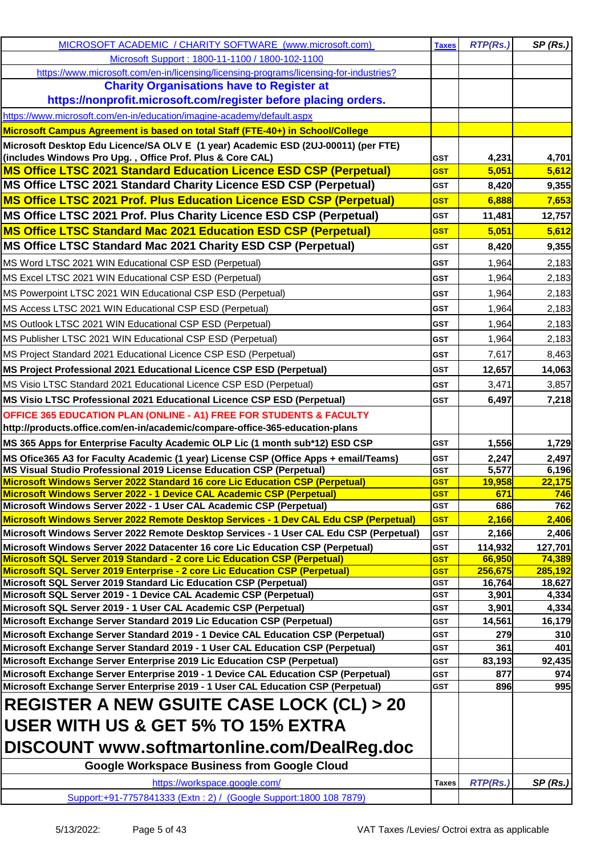| MICROSOFT ACADEMIC / CHARITY SOFTWARE (www.microsoft.com)                                                                                            | <b>Taxes</b>             | <b>RTP(Rs.)</b>   | SP(Rs.)           |
|------------------------------------------------------------------------------------------------------------------------------------------------------|--------------------------|-------------------|-------------------|
| Microsoft Support: 1800-11-1100 / 1800-102-1100                                                                                                      |                          |                   |                   |
| https://www.microsoft.com/en-in/licensing/licensing-programs/licensing-for-industries?                                                               |                          |                   |                   |
| <b>Charity Organisations have to Register at</b>                                                                                                     |                          |                   |                   |
| https://nonprofit.microsoft.com/register before placing orders.                                                                                      |                          |                   |                   |
| https://www.microsoft.com/en-in/education/imagine-academy/default.aspx                                                                               |                          |                   |                   |
| Microsoft Campus Agreement is based on total Staff (FTE-40+) in School/College                                                                       |                          |                   |                   |
| Microsoft Desktop Edu Licence/SA OLV E (1 year) Academic ESD (2UJ-00011) (per FTE)                                                                   |                          |                   |                   |
| (includes Windows Pro Upg., Office Prof. Plus & Core CAL)                                                                                            | GST                      | 4,231             | 4,701             |
| MS Office LTSC 2021 Standard Education Licence ESD CSP (Perpetual)                                                                                   | <b>GST</b>               | 5,051             | 5,612             |
| MS Office LTSC 2021 Standard Charity Licence ESD CSP (Perpetual)                                                                                     | <b>GST</b>               | 8,420             | 9,355             |
| MS Office LTSC 2021 Prof. Plus Education Licence ESD CSP (Perpetual)                                                                                 | <b>GST</b>               | 6,888             | 7,653             |
| MS Office LTSC 2021 Prof. Plus Charity Licence ESD CSP (Perpetual)                                                                                   | GST                      | 11,481            | 12,757            |
| <b>MS Office LTSC Standard Mac 2021 Education ESD CSP (Perpetual)</b>                                                                                | <b>GST</b>               | 5,051             | 5,612             |
| MS Office LTSC Standard Mac 2021 Charity ESD CSP (Perpetual)                                                                                         | <b>GST</b>               | 8,420             | 9,355             |
| MS Word LTSC 2021 WIN Educational CSP ESD (Perpetual)                                                                                                | <b>GST</b>               | 1,964             | 2,183             |
| MS Excel LTSC 2021 WIN Educational CSP ESD (Perpetual)                                                                                               | <b>GST</b>               | 1,964             | 2,183             |
| MS Powerpoint LTSC 2021 WIN Educational CSP ESD (Perpetual)                                                                                          | <b>GST</b>               | 1,964             | 2,183             |
| MS Access LTSC 2021 WIN Educational CSP ESD (Perpetual)                                                                                              | <b>GST</b>               | 1,964             | 2,183             |
| MS Outlook LTSC 2021 WIN Educational CSP ESD (Perpetual)                                                                                             | <b>GST</b>               | 1,964             | 2,183             |
| MS Publisher LTSC 2021 WIN Educational CSP ESD (Perpetual)                                                                                           | <b>GST</b>               |                   |                   |
|                                                                                                                                                      |                          | 1,964             | 2,183             |
| MS Project Standard 2021 Educational Licence CSP ESD (Perpetual)                                                                                     | <b>GST</b>               | 7,617             | 8,463             |
| MS Project Professional 2021 Educational Licence CSP ESD (Perpetual)                                                                                 | <b>GST</b>               | 12,657            | 14,063            |
| MS Visio LTSC Standard 2021 Educational Licence CSP ESD (Perpetual)                                                                                  | <b>GST</b>               | 3,471             | 3,857             |
| MS Visio LTSC Professional 2021 Educational Licence CSP ESD (Perpetual)                                                                              | <b>GST</b>               | 6,497             | 7,218             |
| <b>OFFICE 365 EDUCATION PLAN (ONLINE - A1) FREE FOR STUDENTS &amp; FACULTY</b>                                                                       |                          |                   |                   |
| http://products.office.com/en-in/academic/compare-office-365-education-plans                                                                         |                          |                   |                   |
| MS 365 Apps for Enterprise Faculty Academic OLP Lic (1 month sub*12) ESD CSP                                                                         | <b>GST</b>               | 1,556             | 1,729             |
| MS Ofice365 A3 for Faculty Academic (1 year) License CSP (Office Apps + email/Teams)                                                                 | <b>GST</b>               | 2,247             | 2,497             |
| MS Visual Studio Professional 2019 License Education CSP (Perpetual)<br>Microsoft Windows Server 2022 Standard 16 core Lic Education CSP (Perpetual) | <b>GST</b><br><b>GST</b> | 5,577<br>19,958   | 6,196<br>22,175   |
| Microsoft Windows Server 2022 - 1 Device CAL Academic CSP (Perpetual)                                                                                | <b>GST</b>               | 671               | 746               |
| Microsoft Windows Server 2022 - 1 User CAL Academic CSP (Perpetual)                                                                                  | <b>GST</b>               | 686               | 762               |
| Microsoft Windows Server 2022 Remote Desktop Services - 1 Dev CAL Edu CSP (Perpetual)                                                                | <b>GST</b>               | 2,166             | 2,406             |
| Microsoft Windows Server 2022 Remote Desktop Services - 1 User CAL Edu CSP (Perpetual)                                                               | <b>GST</b>               | 2,166             | 2,406             |
| Microsoft Windows Server 2022 Datacenter 16 core Lic Education CSP (Perpetual)                                                                       | <b>GST</b>               | 114,932           | 127,701           |
| Microsoft SQL Server 2019 Standard - 2 core Lic Education CSP (Perpetual)                                                                            | <b>GST</b>               | 66,950            | 74,389            |
| Microsoft SQL Server 2019 Enterprise - 2 core Lic Education CSP (Perpetual)<br>Microsoft SQL Server 2019 Standard Lic Education CSP (Perpetual)      | <b>GST</b><br><b>GST</b> | 256,675<br>16,764 | 285,192<br>18,627 |
| Microsoft SQL Server 2019 - 1 Device CAL Academic CSP (Perpetual)                                                                                    | <b>GST</b>               | 3,901             | 4,334             |
| Microsoft SQL Server 2019 - 1 User CAL Academic CSP (Perpetual)                                                                                      | <b>GST</b>               | 3,901             | 4,334             |
| Microsoft Exchange Server Standard 2019 Lic Education CSP (Perpetual)                                                                                | <b>GST</b>               | 14,561            | 16,179            |
| Microsoft Exchange Server Standard 2019 - 1 Device CAL Education CSP (Perpetual)                                                                     | <b>GST</b>               | 279               | 310               |
| Microsoft Exchange Server Standard 2019 - 1 User CAL Education CSP (Perpetual)                                                                       | GST                      | 361               | 401               |
| Microsoft Exchange Server Enterprise 2019 Lic Education CSP (Perpetual)                                                                              | GST                      | 83,193            | 92,435            |
| Microsoft Exchange Server Enterprise 2019 - 1 Device CAL Education CSP (Perpetual)                                                                   | <b>GST</b>               | 877               | 974               |
| Microsoft Exchange Server Enterprise 2019 - 1 User CAL Education CSP (Perpetual)                                                                     | <b>GST</b>               | 896               | 995               |
| <b>REGISTER A NEW GSUITE CASE LOCK (CL) &gt; 20</b>                                                                                                  |                          |                   |                   |
| USER WITH US & GET 5% TO 15% EXTRA                                                                                                                   |                          |                   |                   |
| DISCOUNT www.softmartonline.com/DealReg.doc                                                                                                          |                          |                   |                   |
| <b>Google Workspace Business from Google Cloud</b>                                                                                                   |                          |                   |                   |
| https://workspace.google.com/                                                                                                                        | <b>Taxes</b>             | RTP(Rs.)          | SP(Rs.)           |
| Support:+91-7757841333 (Extn: 2) / (Google Support:1800 108 7879)                                                                                    |                          |                   |                   |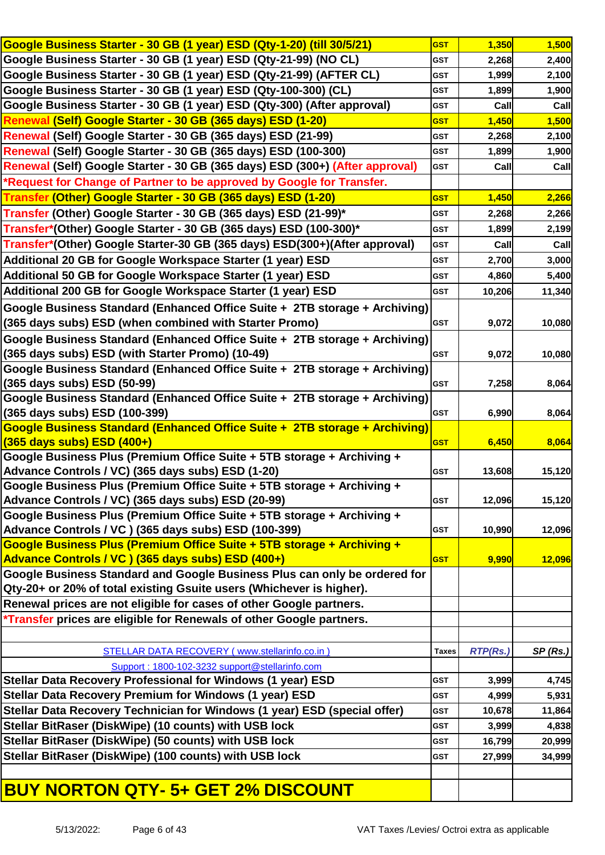| Google Business Starter - 30 GB (1 year) ESD (Qty-1-20) (till 30/5/21)       | <b>GST</b>   | 1,350           | 1,500   |
|------------------------------------------------------------------------------|--------------|-----------------|---------|
| Google Business Starter - 30 GB (1 year) ESD (Qty-21-99) (NO CL)             | <b>GST</b>   | 2,268           | 2,400   |
| Google Business Starter - 30 GB (1 year) ESD (Qty-21-99) (AFTER CL)          | <b>GST</b>   | 1,999           | 2,100   |
| Google Business Starter - 30 GB (1 year) ESD (Qty-100-300) (CL)              | <b>GST</b>   | 1,899           | 1,900   |
| Google Business Starter - 30 GB (1 year) ESD (Qty-300) (After approval)      | <b>GST</b>   | Call            | Call    |
| Renewal (Self) Google Starter - 30 GB (365 days) ESD (1-20)                  | <b>GST</b>   | 1,450           | 1,500   |
| Renewal (Self) Google Starter - 30 GB (365 days) ESD (21-99)                 | <b>GST</b>   | 2,268           | 2,100   |
| Renewal (Self) Google Starter - 30 GB (365 days) ESD (100-300)               | <b>GST</b>   | 1,899           | 1,900   |
| Renewal (Self) Google Starter - 30 GB (365 days) ESD (300+) (After approval) | <b>GST</b>   | Call            | Call    |
| *Request for Change of Partner to be approved by Google for Transfer.        |              |                 |         |
| Transfer (Other) Google Starter - 30 GB (365 days) ESD (1-20)                | <b>GST</b>   | 1,450           | 2,266   |
| Transfer (Other) Google Starter - 30 GB (365 days) ESD (21-99)*              | <b>GST</b>   | 2,268           | 2,266   |
| Transfer*(Other) Google Starter - 30 GB (365 days) ESD (100-300)*            | <b>GST</b>   | 1,899           | 2,199   |
| Transfer*(Other) Google Starter-30 GB (365 days) ESD(300+)(After approval)   | <b>GST</b>   | Call            | Call    |
| Additional 20 GB for Google Workspace Starter (1 year) ESD                   | <b>GST</b>   | 2,700           | 3,000   |
| Additional 50 GB for Google Workspace Starter (1 year) ESD                   | <b>GST</b>   | 4,860           | 5,400   |
| Additional 200 GB for Google Workspace Starter (1 year) ESD                  | <b>GST</b>   | 10,206          | 11,340  |
| Google Business Standard (Enhanced Office Suite + 2TB storage + Archiving)   |              |                 |         |
| (365 days subs) ESD (when combined with Starter Promo)                       | <b>GST</b>   | 9,072           | 10,080  |
| Google Business Standard (Enhanced Office Suite + 2TB storage + Archiving)   |              |                 |         |
| (365 days subs) ESD (with Starter Promo) (10-49)                             | <b>GST</b>   | 9,072           | 10,080  |
| Google Business Standard (Enhanced Office Suite + 2TB storage + Archiving)   |              |                 |         |
| (365 days subs) ESD (50-99)                                                  | <b>GST</b>   | 7,258           | 8,064   |
| Google Business Standard (Enhanced Office Suite + 2TB storage + Archiving)   |              |                 |         |
| (365 days subs) ESD (100-399)                                                | <b>GST</b>   | 6,990           | 8,064   |
| Google Business Standard (Enhanced Office Suite + 2TB storage + Archiving)   |              |                 |         |
| (365 days subs) ESD (400+)                                                   | <b>GST</b>   | 6,450           | 8,064   |
| Google Business Plus (Premium Office Suite + 5TB storage + Archiving +       |              |                 |         |
| Advance Controls / VC) (365 days subs) ESD (1-20)                            | <b>GST</b>   | 13,608          | 15,120  |
| Google Business Plus (Premium Office Suite + 5TB storage + Archiving +       |              |                 |         |
| Advance Controls / VC) (365 days subs) ESD (20-99)                           | <b>GST</b>   | 12,096          | 15,120  |
| Google Business Plus (Premium Office Suite + 5TB storage + Archiving +       |              |                 |         |
| Advance Controls / VC ) (365 days subs) ESD (100-399)                        | <b>GST</b>   | 10,990          | 12,096  |
| Google Business Plus (Premium Office Suite + 5TB storage + Archiving +       |              |                 |         |
| Advance Controls / VC ) (365 days subs) ESD (400+)                           | <b>GST</b>   | 9,990           | 12,096  |
| Google Business Standard and Google Business Plus can only be ordered for    |              |                 |         |
| Qty-20+ or 20% of total existing Gsuite users (Whichever is higher).         |              |                 |         |
| Renewal prices are not eligible for cases of other Google partners.          |              |                 |         |
| <i>*Transfer prices are eligible for Renewals of other Google partners.</i>  |              |                 |         |
|                                                                              |              |                 |         |
| STELLAR DATA RECOVERY ( www.stellarinfo.co.in )                              | <b>Taxes</b> | <b>RTP(Rs.)</b> | SP(Rs.) |
| Support: 1800-102-3232 support@stellarinfo.com                               |              |                 |         |
| Stellar Data Recovery Professional for Windows (1 year) ESD                  | <b>GST</b>   | 3,999           | 4,745   |
| Stellar Data Recovery Premium for Windows (1 year) ESD                       | <b>GST</b>   | 4,999           | 5,931   |
| Stellar Data Recovery Technician for Windows (1 year) ESD (special offer)    | <b>GST</b>   | 10,678          | 11,864  |
| Stellar BitRaser (DiskWipe) (10 counts) with USB lock                        | <b>GST</b>   | 3,999           | 4,838   |
| Stellar BitRaser (DiskWipe) (50 counts) with USB lock                        | <b>GST</b>   | 16,799          | 20,999  |
| Stellar BitRaser (DiskWipe) (100 counts) with USB lock                       | <b>GST</b>   | 27,999          | 34,999  |
|                                                                              |              |                 |         |
| <b>BUY NORTON QTY- 5+ GET 2% DISCOUNT</b>                                    |              |                 |         |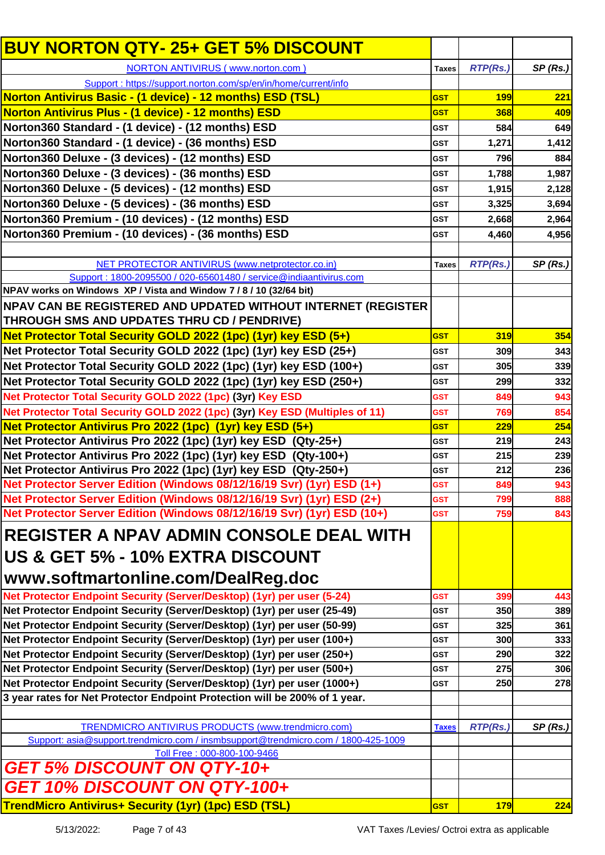| <b>BUY NORTON QTY- 25+ GET 5% DISCOUNT</b>                                                                   |              |                 |            |
|--------------------------------------------------------------------------------------------------------------|--------------|-----------------|------------|
| <b>NORTON ANTIVIRUS (www.norton.com)</b>                                                                     | <b>Taxes</b> | <b>RTP(Rs.)</b> | SP(Rs.)    |
| Support: https://support.norton.com/sp/en/in/home/current/info                                               |              |                 |            |
| Norton Antivirus Basic - (1 device) - 12 months) ESD (TSL)                                                   | <b>GST</b>   | <b>199</b>      | <b>221</b> |
| Norton Antivirus Plus - (1 device) - 12 months) ESD                                                          | <b>GST</b>   | 368             | 409        |
| Norton360 Standard - (1 device) - (12 months) ESD                                                            | <b>GST</b>   | 584             | 649        |
| Norton360 Standard - (1 device) - (36 months) ESD                                                            | <b>GST</b>   | 1,271           | 1,412      |
| Norton360 Deluxe - (3 devices) - (12 months) ESD                                                             | <b>GST</b>   | 796             | 884        |
| Norton360 Deluxe - (3 devices) - (36 months) ESD                                                             | <b>GST</b>   | 1,788           | 1,987      |
| Norton360 Deluxe - (5 devices) - (12 months) ESD                                                             | <b>GST</b>   | 1,915           | 2,128      |
| Norton360 Deluxe - (5 devices) - (36 months) ESD                                                             | <b>GST</b>   | 3,325           | 3,694      |
| Norton360 Premium - (10 devices) - (12 months) ESD                                                           | <b>GST</b>   | 2,668           | 2,964      |
| Norton360 Premium - (10 devices) - (36 months) ESD                                                           | <b>GST</b>   | 4,460           | 4,956      |
|                                                                                                              |              |                 |            |
| NET PROTECTOR ANTIVIRUS (www.netprotector.co.in)                                                             | <b>Taxes</b> | <b>RTP(Rs.)</b> | SP(Rs.)    |
| Support: 1800-2095500 / 020-65601480 / service@indiaantivirus.com                                            |              |                 |            |
| NPAV works on Windows XP / Vista and Window 7 / 8 / 10 (32/64 bit)                                           |              |                 |            |
| NPAV CAN BE REGISTERED AND UPDATED WITHOUT INTERNET (REGISTER<br>THROUGH SMS AND UPDATES THRU CD / PENDRIVE) |              |                 |            |
| Net Protector Total Security GOLD 2022 (1pc) (1yr) key ESD (5+)                                              | <b>GST</b>   | 319             | 354        |
|                                                                                                              |              |                 |            |
| Net Protector Total Security GOLD 2022 (1pc) (1yr) key ESD (25+)                                             | <b>GST</b>   | 309             | 343        |
| Net Protector Total Security GOLD 2022 (1pc) (1yr) key ESD (100+)                                            | <b>GST</b>   | 305             | 339        |
| Net Protector Total Security GOLD 2022 (1pc) (1yr) key ESD (250+)                                            | <b>GST</b>   | 299             | 332        |
| Net Protector Total Security GOLD 2022 (1pc) (3yr) Key ESD                                                   | <b>GST</b>   | 849             | 943        |
| Net Protector Total Security GOLD 2022 (1pc) (3yr) Key ESD (Multiples of 11)                                 | <b>GST</b>   | 769             | 854        |
| Net Protector Antivirus Pro 2022 (1pc) (1yr) key ESD (5+)                                                    | <b>GST</b>   | 229             | 254        |
| Net Protector Antivirus Pro 2022 (1pc) (1yr) key ESD (Qty-25+)                                               | <b>GST</b>   | 219             | 243        |
| Net Protector Antivirus Pro 2022 (1pc) (1yr) key ESD (Qty-100+)                                              | <b>GST</b>   | 215             | 239        |
| Net Protector Antivirus Pro 2022 (1pc) (1yr) key ESD (Qty-250+)                                              | <b>GST</b>   | 212             | 236        |
| Net Protector Server Edition (Windows 08/12/16/19 Svr) (1yr) ESD (1+)                                        | <b>GST</b>   | 849             | 943        |
| Net Protector Server Edition (Windows 08/12/16/19 Svr) (1yr) ESD (2+)                                        | <b>GST</b>   | 799             | 888        |
| Net Protector Server Edition (Windows 08/12/16/19 Svr) (1yr) ESD (10+)                                       | <b>GST</b>   | 759             | 843        |
| <b>REGISTER A NPAV ADMIN CONSOLE DEAL WITH</b>                                                               |              |                 |            |
| US & GET 5% - 10% EXTRA DISCOUNT                                                                             |              |                 |            |
| www.softmartonline.com/DealReg.doc                                                                           |              |                 |            |
| Net Protector Endpoint Security (Server/Desktop) (1yr) per user (5-24)                                       | <b>GST</b>   | 399             | 443        |
| Net Protector Endpoint Security (Server/Desktop) (1yr) per user (25-49)                                      | <b>GST</b>   | 350             | 389        |
| Net Protector Endpoint Security (Server/Desktop) (1yr) per user (50-99)                                      | <b>GST</b>   | 325             | 361        |
| Net Protector Endpoint Security (Server/Desktop) (1yr) per user (100+)                                       | <b>GST</b>   | 300             | 333        |
| Net Protector Endpoint Security (Server/Desktop) (1yr) per user (250+)                                       | <b>GST</b>   | <b>290</b>      | 322        |
| Net Protector Endpoint Security (Server/Desktop) (1yr) per user (500+)                                       | <b>GST</b>   | 275             | 306        |
| Net Protector Endpoint Security (Server/Desktop) (1yr) per user (1000+)                                      | <b>GST</b>   | <b>250</b>      | 278        |
| 3 year rates for Net Protector Endpoint Protection will be 200% of 1 year.                                   |              |                 |            |
| TRENDMICRO ANTIVIRUS PRODUCTS (www.trendmicro.com)                                                           |              |                 |            |
| Support: asia@support.trendmicro.com / insmbsupport@trendmicro.com / 1800-425-1009                           | <b>Taxes</b> | <b>RTP(Rs.)</b> | SP(Rs.)    |
| Toll Free: 000-800-100-9466                                                                                  |              |                 |            |
| <b>GET 5% DISCOUNT ON QTY-10+</b>                                                                            |              |                 |            |
| GET 10% DISCOUNT ON QTY-100+                                                                                 |              |                 |            |
| TrendMicro Antivirus+ Security (1yr) (1pc) ESD (TSL)                                                         | <b>GST</b>   | <b>179</b>      | 224        |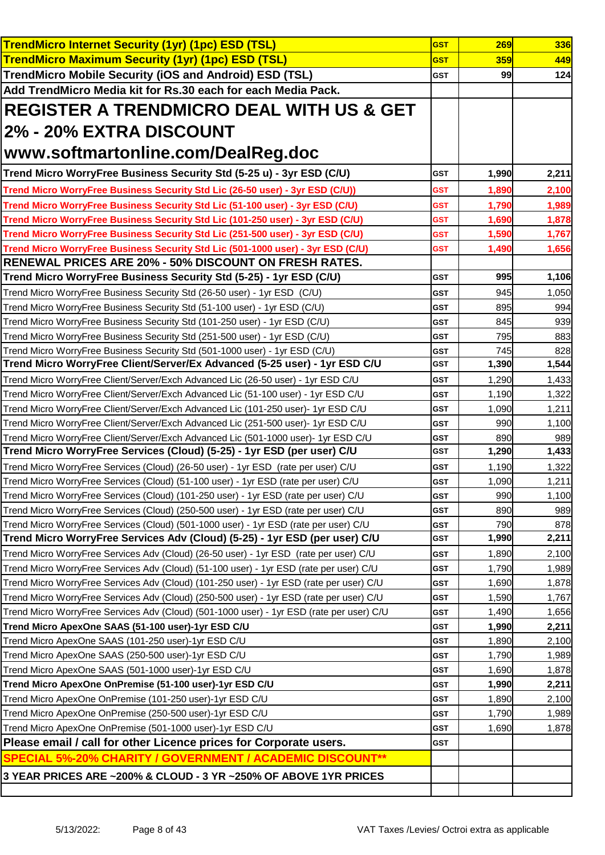| <b>TrendMicro Internet Security (1yr) (1pc) ESD (TSL)</b>                                                                                                                         | <b>GST</b>               | 269            | 336            |
|-----------------------------------------------------------------------------------------------------------------------------------------------------------------------------------|--------------------------|----------------|----------------|
| <b>TrendMicro Maximum Security (1yr) (1pc) ESD (TSL)</b>                                                                                                                          | <b>GST</b>               | 359            | 449            |
| <b>TrendMicro Mobile Security (iOS and Android) ESD (TSL)</b>                                                                                                                     | <b>GST</b>               | 99             | 124            |
| Add TrendMicro Media kit for Rs.30 each for each Media Pack.                                                                                                                      |                          |                |                |
| <b>REGISTER A TRENDMICRO DEAL WITH US &amp; GET</b>                                                                                                                               |                          |                |                |
| <b>2% - 20% EXTRA DISCOUNT</b>                                                                                                                                                    |                          |                |                |
| www.softmartonline.com/DealReg.doc                                                                                                                                                |                          |                |                |
| Trend Micro WorryFree Business Security Std (5-25 u) - 3yr ESD (C/U)                                                                                                              | <b>GST</b>               | 1,990          | 2,211          |
| Trend Micro WorryFree Business Security Std Lic (26-50 user) - 3yr ESD (C/U))                                                                                                     | GST                      | 1,890          | 2,100          |
| Trend Micro WorryFree Business Security Std Lic (51-100 user) - 3yr ESD (C/U)                                                                                                     | <b>GST</b>               | 1,790          | 1,989          |
| Trend Micro WorryFree Business Security Std Lic (101-250 user) - 3yr ESD (C/U)                                                                                                    | <b>GST</b>               | 1,690          | 1,878          |
| Trend Micro WorryFree Business Security Std Lic (251-500 user) - 3yr ESD (C/U)                                                                                                    | <b>GST</b>               | 1,590          | 1,767          |
| Trend Micro WorryFree Business Security Std Lic (501-1000 user) - 3yr ESD (C/U)                                                                                                   | <b>GST</b>               | 1,490          | 1,656          |
| <b>RENEWAL PRICES ARE 20% - 50% DISCOUNT ON FRESH RATES.</b>                                                                                                                      |                          |                |                |
| Trend Micro WorryFree Business Security Std (5-25) - 1yr ESD (C/U)                                                                                                                | <b>GST</b>               | 995            | 1,106          |
| Trend Micro WorryFree Business Security Std (26-50 user) - 1yr ESD (C/U)                                                                                                          | <b>GST</b>               | 945            | 1,050          |
| Trend Micro WorryFree Business Security Std (51-100 user) - 1yr ESD (C/U)                                                                                                         | <b>GST</b>               | 895            | 994            |
| Trend Micro WorryFree Business Security Std (101-250 user) - 1yr ESD (C/U)                                                                                                        | <b>GST</b>               | 845            | 939            |
| Trend Micro WorryFree Business Security Std (251-500 user) - 1yr ESD (C/U)                                                                                                        | <b>GST</b>               | 795            | 883            |
| Trend Micro WorryFree Business Security Std (501-1000 user) - 1yr ESD (C/U)                                                                                                       | <b>GST</b>               | 745            | 828            |
| Trend Micro WorryFree Client/Server/Ex Advanced (5-25 user) - 1yr ESD C/U                                                                                                         | <b>GST</b>               | 1,390          | 1,544          |
| Trend Micro WorryFree Client/Server/Exch Advanced Lic (26-50 user) - 1yr ESD C/U                                                                                                  | <b>GST</b>               | 1,290          | 1,433          |
| Trend Micro WorryFree Client/Server/Exch Advanced Lic (51-100 user) - 1yr ESD C/U                                                                                                 | <b>GST</b>               | 1,190          | 1,322          |
| Trend Micro WorryFree Client/Server/Exch Advanced Lic (101-250 user)- 1yr ESD C/U                                                                                                 | <b>GST</b>               | 1,090          | 1,211          |
| Trend Micro WorryFree Client/Server/Exch Advanced Lic (251-500 user)- 1yr ESD C/U                                                                                                 | <b>GST</b>               | 990            | 1,100          |
| Trend Micro WorryFree Client/Server/Exch Advanced Lic (501-1000 user)- 1yr ESD C/U                                                                                                | <b>GST</b>               | 890            | 989            |
| Trend Micro WorryFree Services (Cloud) (5-25) - 1yr ESD (per user) C/U                                                                                                            | <b>GST</b>               | 1,290          | 1,433          |
| Trend Micro WorryFree Services (Cloud) (26-50 user) - 1yr ESD (rate per user) C/U                                                                                                 | <b>GST</b>               | 1,190          | 1,322          |
| Trend Micro WorryFree Services (Cloud) (51-100 user) - 1yr ESD (rate per user) C/U                                                                                                | <b>GST</b>               | 1,090          | 1,211          |
| Trend Micro WorryFree Services (Cloud) (101-250 user) - 1yr ESD (rate per user) C/U                                                                                               | GST                      | 990            | 1,100          |
| Trend Micro WorryFree Services (Cloud) (250-500 user) - 1yr ESD (rate per user) C/U                                                                                               | <b>GST</b>               | 890            | 989            |
| Trend Micro WorryFree Services (Cloud) (501-1000 user) - 1yr ESD (rate per user) C/U<br>Trend Micro WorryFree Services Adv (Cloud) (5-25) - 1yr ESD (per user) C/U                | <b>GST</b><br><b>GST</b> | 790<br>1,990   | 878<br>2,211   |
|                                                                                                                                                                                   |                          |                |                |
| Trend Micro WorryFree Services Adv (Cloud) (26-50 user) - 1yr ESD (rate per user) C/U                                                                                             | <b>GST</b><br><b>GST</b> | 1,890          | 2,100          |
| Trend Micro WorryFree Services Adv (Cloud) (51-100 user) - 1yr ESD (rate per user) C/U<br>Trend Micro WorryFree Services Adv (Cloud) (101-250 user) - 1yr ESD (rate per user) C/U | <b>GST</b>               | 1,790<br>1,690 | 1,989          |
| Trend Micro WorryFree Services Adv (Cloud) (250-500 user) - 1yr ESD (rate per user) C/U                                                                                           | <b>GST</b>               | 1,590          | 1,878<br>1,767 |
| Trend Micro WorryFree Services Adv (Cloud) (501-1000 user) - 1yr ESD (rate per user) C/U                                                                                          | <b>GST</b>               | 1,490          | 1,656          |
| Trend Micro ApexOne SAAS (51-100 user)-1yr ESD C/U                                                                                                                                | <b>GST</b>               | 1,990          | 2,211          |
| Trend Micro ApexOne SAAS (101-250 user)-1yr ESD C/U                                                                                                                               | <b>GST</b>               | 1,890          | 2,100          |
| Trend Micro ApexOne SAAS (250-500 user)-1yr ESD C/U                                                                                                                               | <b>GST</b>               | 1,790          | 1,989          |
| Trend Micro ApexOne SAAS (501-1000 user)-1yr ESD C/U                                                                                                                              | <b>GST</b>               | 1,690          | 1,878          |
| Trend Micro ApexOne OnPremise (51-100 user)-1yr ESD C/U                                                                                                                           | <b>GST</b>               | 1,990          | 2,211          |
| Trend Micro ApexOne OnPremise (101-250 user)-1yr ESD C/U                                                                                                                          | <b>GST</b>               | 1,890          | 2,100          |
| Trend Micro ApexOne OnPremise (250-500 user)-1yr ESD C/U                                                                                                                          | <b>GST</b>               | 1,790          | 1,989          |
| Trend Micro ApexOne OnPremise (501-1000 user)-1yr ESD C/U                                                                                                                         | <b>GST</b>               | 1,690          | 1,878          |
| Please email / call for other Licence prices for Corporate users.                                                                                                                 | <b>GST</b>               |                |                |
| <b>SPECIAL 5%-20% CHARITY / GOVERNMENT / ACADEMIC DISCOUNT**</b>                                                                                                                  |                          |                |                |
| 3 YEAR PRICES ARE ~200% & CLOUD - 3 YR ~250% OF ABOVE 1YR PRICES                                                                                                                  |                          |                |                |
|                                                                                                                                                                                   |                          |                |                |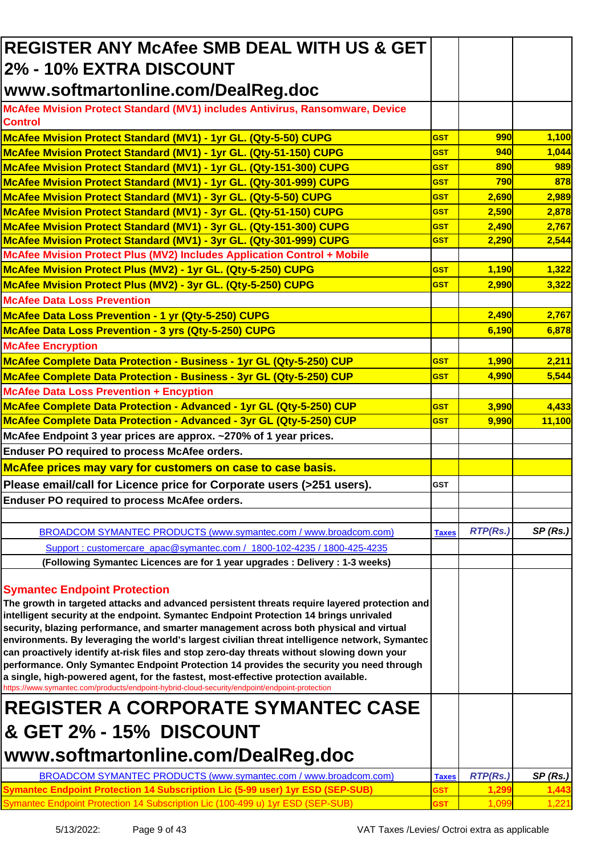| <b>REGISTER ANY McAfee SMB DEAL WITH US &amp; GET</b>                                                                                                                                                                                                                                                                                                                                                                                                                                                                                                                                                                                                                                                                                                                                                                                                                                |              |                 |         |
|--------------------------------------------------------------------------------------------------------------------------------------------------------------------------------------------------------------------------------------------------------------------------------------------------------------------------------------------------------------------------------------------------------------------------------------------------------------------------------------------------------------------------------------------------------------------------------------------------------------------------------------------------------------------------------------------------------------------------------------------------------------------------------------------------------------------------------------------------------------------------------------|--------------|-----------------|---------|
| 2% - 10% EXTRA DISCOUNT                                                                                                                                                                                                                                                                                                                                                                                                                                                                                                                                                                                                                                                                                                                                                                                                                                                              |              |                 |         |
| www.softmartonline.com/DealReg.doc                                                                                                                                                                                                                                                                                                                                                                                                                                                                                                                                                                                                                                                                                                                                                                                                                                                   |              |                 |         |
| McAfee Mvision Protect Standard (MV1) includes Antivirus, Ransomware, Device<br><b>Control</b>                                                                                                                                                                                                                                                                                                                                                                                                                                                                                                                                                                                                                                                                                                                                                                                       |              |                 |         |
| McAfee Mvision Protect Standard (MV1) - 1yr GL. (Qty-5-50) CUPG                                                                                                                                                                                                                                                                                                                                                                                                                                                                                                                                                                                                                                                                                                                                                                                                                      | <b>GST</b>   | 990             | 1,100   |
| McAfee Mvision Protect Standard (MV1) - 1yr GL. (Qty-51-150) CUPG                                                                                                                                                                                                                                                                                                                                                                                                                                                                                                                                                                                                                                                                                                                                                                                                                    | <b>GST</b>   | 940             | 1,044   |
| McAfee Mvision Protect Standard (MV1) - 1yr GL. (Qty-151-300) CUPG                                                                                                                                                                                                                                                                                                                                                                                                                                                                                                                                                                                                                                                                                                                                                                                                                   | <b>GST</b>   | 890             | 989     |
| McAfee Mvision Protect Standard (MV1) - 1yr GL. (Qty-301-999) CUPG                                                                                                                                                                                                                                                                                                                                                                                                                                                                                                                                                                                                                                                                                                                                                                                                                   | <b>GST</b>   | 790             | 878     |
| McAfee Mvision Protect Standard (MV1) - 3yr GL. (Qty-5-50) CUPG                                                                                                                                                                                                                                                                                                                                                                                                                                                                                                                                                                                                                                                                                                                                                                                                                      | <b>GST</b>   | 2,690           | 2,989   |
| McAfee Mvision Protect Standard (MV1) - 3yr GL. (Qty-51-150) CUPG                                                                                                                                                                                                                                                                                                                                                                                                                                                                                                                                                                                                                                                                                                                                                                                                                    | <b>GST</b>   | 2,590           | 2,878   |
| McAfee Mvision Protect Standard (MV1) - 3yr GL. (Qty-151-300) CUPG                                                                                                                                                                                                                                                                                                                                                                                                                                                                                                                                                                                                                                                                                                                                                                                                                   | <b>GST</b>   | 2,490           | 2,767   |
| McAfee Mvision Protect Standard (MV1) - 3yr GL. (Qty-301-999) CUPG                                                                                                                                                                                                                                                                                                                                                                                                                                                                                                                                                                                                                                                                                                                                                                                                                   | <b>GST</b>   | 2,290           | 2,544   |
| McAfee Mvision Protect Plus (MV2) Includes Application Control + Mobile                                                                                                                                                                                                                                                                                                                                                                                                                                                                                                                                                                                                                                                                                                                                                                                                              |              |                 |         |
| McAfee Mvision Protect Plus (MV2) - 1yr GL. (Qty-5-250) CUPG                                                                                                                                                                                                                                                                                                                                                                                                                                                                                                                                                                                                                                                                                                                                                                                                                         | <b>GST</b>   | 1,190           | 1,322   |
| McAfee Mvision Protect Plus (MV2) - 3yr GL. (Qty-5-250) CUPG                                                                                                                                                                                                                                                                                                                                                                                                                                                                                                                                                                                                                                                                                                                                                                                                                         | <b>GST</b>   | 2,990           | 3,322   |
| <b>McAfee Data Loss Prevention</b>                                                                                                                                                                                                                                                                                                                                                                                                                                                                                                                                                                                                                                                                                                                                                                                                                                                   |              |                 |         |
| McAfee Data Loss Prevention - 1 yr (Qty-5-250) CUPG                                                                                                                                                                                                                                                                                                                                                                                                                                                                                                                                                                                                                                                                                                                                                                                                                                  |              | 2,490           | 2,767   |
| McAfee Data Loss Prevention - 3 yrs (Qty-5-250) CUPG                                                                                                                                                                                                                                                                                                                                                                                                                                                                                                                                                                                                                                                                                                                                                                                                                                 |              | 6,190           | 6,878   |
| <b>McAfee Encryption</b>                                                                                                                                                                                                                                                                                                                                                                                                                                                                                                                                                                                                                                                                                                                                                                                                                                                             |              |                 |         |
| McAfee Complete Data Protection - Business - 1yr GL (Qty-5-250) CUP                                                                                                                                                                                                                                                                                                                                                                                                                                                                                                                                                                                                                                                                                                                                                                                                                  | <b>GST</b>   | 1,990           | 2,211   |
| McAfee Complete Data Protection - Business - 3yr GL (Qty-5-250) CUP                                                                                                                                                                                                                                                                                                                                                                                                                                                                                                                                                                                                                                                                                                                                                                                                                  | <b>GST</b>   | 4,990           | 5,544   |
| <b>McAfee Data Loss Prevention + Encyption</b>                                                                                                                                                                                                                                                                                                                                                                                                                                                                                                                                                                                                                                                                                                                                                                                                                                       |              |                 |         |
| McAfee Complete Data Protection - Advanced - 1yr GL (Qty-5-250) CUP                                                                                                                                                                                                                                                                                                                                                                                                                                                                                                                                                                                                                                                                                                                                                                                                                  | <b>GST</b>   | 3,990           | 4,433   |
| McAfee Complete Data Protection - Advanced - 3yr GL (Qty-5-250) CUP                                                                                                                                                                                                                                                                                                                                                                                                                                                                                                                                                                                                                                                                                                                                                                                                                  | <b>GST</b>   | 9,990           | 11,100  |
| McAfee Endpoint 3 year prices are approx. ~270% of 1 year prices.                                                                                                                                                                                                                                                                                                                                                                                                                                                                                                                                                                                                                                                                                                                                                                                                                    |              |                 |         |
| <b>Enduser PO required to process McAfee orders.</b>                                                                                                                                                                                                                                                                                                                                                                                                                                                                                                                                                                                                                                                                                                                                                                                                                                 |              |                 |         |
| McAfee prices may vary for customers on case to case basis.                                                                                                                                                                                                                                                                                                                                                                                                                                                                                                                                                                                                                                                                                                                                                                                                                          |              |                 |         |
| Please email/call for Licence price for Corporate users (>251 users).                                                                                                                                                                                                                                                                                                                                                                                                                                                                                                                                                                                                                                                                                                                                                                                                                | <b>GST</b>   |                 |         |
| <b>Enduser PO required to process McAfee orders.</b>                                                                                                                                                                                                                                                                                                                                                                                                                                                                                                                                                                                                                                                                                                                                                                                                                                 |              |                 |         |
|                                                                                                                                                                                                                                                                                                                                                                                                                                                                                                                                                                                                                                                                                                                                                                                                                                                                                      |              |                 |         |
| BROADCOM SYMANTEC PRODUCTS (www.symantec.com / www.broadcom.com)                                                                                                                                                                                                                                                                                                                                                                                                                                                                                                                                                                                                                                                                                                                                                                                                                     | <b>Taxes</b> | <b>RTP(Rs.)</b> | SP(Rs.) |
| Support: customercare_apac@symantec.com / 1800-102-4235 / 1800-425-4235                                                                                                                                                                                                                                                                                                                                                                                                                                                                                                                                                                                                                                                                                                                                                                                                              |              |                 |         |
| (Following Symantec Licences are for 1 year upgrades : Delivery : 1-3 weeks)                                                                                                                                                                                                                                                                                                                                                                                                                                                                                                                                                                                                                                                                                                                                                                                                         |              |                 |         |
| <b>Symantec Endpoint Protection</b><br>The growth in targeted attacks and advanced persistent threats require layered protection and<br>intelligent security at the endpoint. Symantec Endpoint Protection 14 brings unrivaled<br>security, blazing performance, and smarter management across both physical and virtual<br>environments. By leveraging the world's largest civilian threat intelligence network, Symantec<br>can proactively identify at-risk files and stop zero-day threats without slowing down your<br>performance. Only Symantec Endpoint Protection 14 provides the security you need through<br>a single, high-powered agent, for the fastest, most-effective protection available.<br>https://www.symantec.com/products/endpoint-hybrid-cloud-security/endpoint/endpoint-protection<br><b>REGISTER A CORPORATE SYMANTEC CASE</b><br>& GET 2% - 15% DISCOUNT |              |                 |         |
| www.softmartonline.com/DealReg.doc                                                                                                                                                                                                                                                                                                                                                                                                                                                                                                                                                                                                                                                                                                                                                                                                                                                   |              |                 |         |
| BROADCOM SYMANTEC PRODUCTS (www.symantec.com / www.broadcom.com)                                                                                                                                                                                                                                                                                                                                                                                                                                                                                                                                                                                                                                                                                                                                                                                                                     | <b>Taxes</b> | <b>RTP(Rs.)</b> | SP(Rs.) |
| <b>Symantec Endpoint Protection 14 Subscription Lic (5-99 user) 1yr ESD (SEP-SUB)</b>                                                                                                                                                                                                                                                                                                                                                                                                                                                                                                                                                                                                                                                                                                                                                                                                | <b>GST</b>   | 1,299           | 1,443   |
| Symantec Endpoint Protection 14 Subscription Lic (100-499 u) 1yr ESD (SEP-SUB)                                                                                                                                                                                                                                                                                                                                                                                                                                                                                                                                                                                                                                                                                                                                                                                                       | <b>GST</b>   | 1,099           | 1,221   |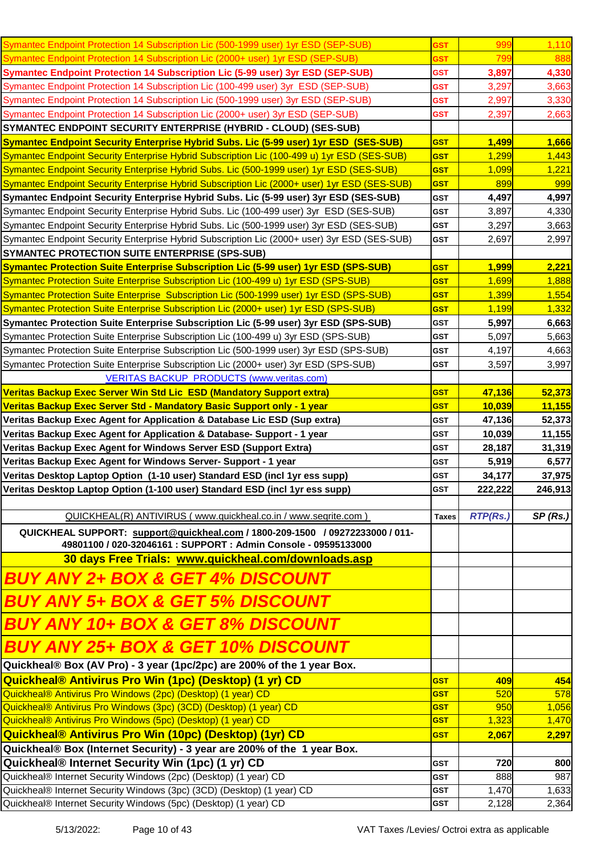| Symantec Endpoint Protection 14 Subscription Lic (500-1999 user) 1yr ESD (SEP-SUB)                                                               | <b>GST</b>               | 999             | 1,110          |
|--------------------------------------------------------------------------------------------------------------------------------------------------|--------------------------|-----------------|----------------|
| Symantec Endpoint Protection 14 Subscription Lic (2000+ user) 1yr ESD (SEP-SUB)                                                                  | <b>GST</b>               | 799             | 888            |
| Symantec Endpoint Protection 14 Subscription Lic (5-99 user) 3yr ESD (SEP-SUB)                                                                   | <b>GST</b>               | 3,897           | 4,330          |
| Symantec Endpoint Protection 14 Subscription Lic (100-499 user) 3yr ESD (SEP-SUB)                                                                | <b>GST</b>               | 3,297           | 3,663          |
| Symantec Endpoint Protection 14 Subscription Lic (500-1999 user) 3yr ESD (SEP-SUB)                                                               | <b>GST</b>               | 2,997           | 3,330          |
| Symantec Endpoint Protection 14 Subscription Lic (2000+ user) 3yr ESD (SEP-SUB)                                                                  | <b>GST</b>               | 2,397           | 2,663          |
| <b>SYMANTEC ENDPOINT SECURITY ENTERPRISE (HYBRID - CLOUD) (SES-SUB)</b>                                                                          |                          |                 |                |
| <b>Symantec Endpoint Security Enterprise Hybrid Subs. Lic (5-99 user) 1yr ESD (SES-SUB)</b>                                                      | <b>GST</b>               | 1,499           | 1,666          |
| Symantec Endpoint Security Enterprise Hybrid Subscription Lic (100-499 u) 1yr ESD (SES-SUB)                                                      | <b>GST</b>               | 1,299           | 1,443          |
| Symantec Endpoint Security Enterprise Hybrid Subs. Lic (500-1999 user) 1yr ESD (SES-SUB)                                                         | <b>GST</b>               | 1,099           | 1,221          |
| Symantec Endpoint Security Enterprise Hybrid Subscription Lic (2000+ user) 1yr ESD (SES-SUB)                                                     | <b>GST</b>               | 899             | 999            |
| Symantec Endpoint Security Enterprise Hybrid Subs. Lic (5-99 user) 3yr ESD (SES-SUB)                                                             | <b>GST</b>               | 4,497           | 4,997          |
| Symantec Endpoint Security Enterprise Hybrid Subs. Lic (100-499 user) 3yr ESD (SES-SUB)                                                          | <b>GST</b>               | 3,897           | 4,330          |
| Symantec Endpoint Security Enterprise Hybrid Subs. Lic (500-1999 user) 3yr ESD (SES-SUB)                                                         | <b>GST</b>               | 3,297           | 3,663          |
| Symantec Endpoint Security Enterprise Hybrid Subscription Lic (2000+ user) 3yr ESD (SES-SUB)                                                     | GST                      | 2,697           | 2,997          |
| SYMANTEC PROTECTION SUITE ENTERPRISE (SPS-SUB)                                                                                                   |                          |                 |                |
| <b>Symantec Protection Suite Enterprise Subscription Lic (5-99 user) 1yr ESD (SPS-SUB)</b>                                                       | <b>GST</b>               | 1,999           | 2,221          |
| Symantec Protection Suite Enterprise Subscription Lic (100-499 u) 1yr ESD (SPS-SUB)                                                              | <b>GST</b>               | 1,699           | 1,888          |
| Symantec Protection Suite Enterprise Subscription Lic (500-1999 user) 1yr ESD (SPS-SUB)                                                          | <b>GST</b>               | 1,399           | 1,554          |
| Symantec Protection Suite Enterprise Subscription Lic (2000+ user) 1yr ESD (SPS-SUB)                                                             | <b>GST</b>               | 1,199           | 1,332          |
| Symantec Protection Suite Enterprise Subscription Lic (5-99 user) 3yr ESD (SPS-SUB)                                                              | <b>GST</b>               | 5,997           | 6,663          |
| Symantec Protection Suite Enterprise Subscription Lic (100-499 u) 3yr ESD (SPS-SUB)                                                              | <b>GST</b>               | 5,097           | 5,663          |
| Symantec Protection Suite Enterprise Subscription Lic (500-1999 user) 3yr ESD (SPS-SUB)                                                          | GST                      | 4,197           | 4,663          |
| Symantec Protection Suite Enterprise Subscription Lic (2000+ user) 3yr ESD (SPS-SUB)                                                             | <b>GST</b>               | 3,597           | 3,997          |
|                                                                                                                                                  |                          |                 |                |
| <b>VERITAS BACKUP PRODUCTS (www.veritas.com)</b>                                                                                                 |                          |                 |                |
| Veritas Backup Exec Server Win Std Lic ESD (Mandatory Support extra)                                                                             | <b>GST</b>               | 47,136          | 52,373         |
| Veritas Backup Exec Server Std - Mandatory Basic Support only - 1 year                                                                           | <b>GST</b>               | 10,039          | 11,155         |
| Veritas Backup Exec Agent for Application & Database Lic ESD (Sup extra)                                                                         | <b>GST</b>               | 47,136          | 52,373         |
| Veritas Backup Exec Agent for Application & Database- Support - 1 year                                                                           | <b>GST</b>               | 10,039          | 11,155         |
| Veritas Backup Exec Agent for Windows Server ESD (Support Extra)                                                                                 | <b>GST</b>               | 28,187          | 31,319         |
| Veritas Backup Exec Agent for Windows Server- Support - 1 year                                                                                   | <b>GST</b>               | 5,919           | 6,577          |
| Veritas Desktop Laptop Option (1-10 user) Standard ESD (incl 1yr ess supp)                                                                       | <b>GST</b>               | 34,177          | 37,975         |
| Veritas Desktop Laptop Option (1-100 user) Standard ESD (incl 1yr ess supp)                                                                      | <b>GST</b>               | 222,222         | 246,913        |
|                                                                                                                                                  | <b>Taxes</b>             | <b>RTP(Rs.)</b> |                |
| QUICKHEAL(R) ANTIVIRUS (www.quickheal.co.in / www.seqrite.com)                                                                                   |                          |                 | SP(Rs.)        |
| QUICKHEAL SUPPORT: support@quickheal.com / 1800-209-1500 / 09272233000 / 011-<br>49801100 / 020-32046161 : SUPPORT : Admin Console - 09595133000 |                          |                 |                |
| 30 days Free Trials: www.quickheal.com/downloads.asp                                                                                             |                          |                 |                |
| BUY ANY 2+ BOX & GET 4% DISCOUNT                                                                                                                 |                          |                 |                |
| <b>BUY ANY 5+ BOX &amp; GET 5% DISCOUNT</b>                                                                                                      |                          |                 |                |
| <b>BUY ANY 10+ BOX &amp; GET 8% DISCOUNT</b>                                                                                                     |                          |                 |                |
| <b>BUY ANY 25+ BOX &amp; GET 10% DISCOUNT</b>                                                                                                    |                          |                 |                |
| Quickheal® Box (AV Pro) - 3 year (1pc/2pc) are 200% of the 1 year Box.                                                                           |                          |                 |                |
| Quickheal® Antivirus Pro Win (1pc) (Desktop) (1 yr) CD                                                                                           | <b>GST</b>               | 409             | 454            |
| Quickheal® Antivirus Pro Windows (2pc) (Desktop) (1 year) CD                                                                                     | <b>GST</b>               | 520             | 578            |
| Quickheal® Antivirus Pro Windows (3pc) (3CD) (Desktop) (1 year) CD                                                                               |                          | 950             | 1,056          |
|                                                                                                                                                  | <b>GST</b>               |                 |                |
| Quickheal® Antivirus Pro Windows (5pc) (Desktop) (1 year) CD                                                                                     | <b>GST</b>               | 1,323           | 1,470          |
| Quickheal® Antivirus Pro Win (10pc) (Desktop) (1yr) CD                                                                                           | <b>GST</b>               | 2,067           | 2,297          |
| Quickheal® Box (Internet Security) - 3 year are 200% of the 1 year Box.                                                                          |                          |                 |                |
| Quickheal® Internet Security Win (1pc) (1 yr) CD                                                                                                 | <b>GST</b>               | 720             | 800            |
| Quickheal® Internet Security Windows (2pc) (Desktop) (1 year) CD                                                                                 | <b>GST</b>               | 888             | 987            |
| Quickheal® Internet Security Windows (3pc) (3CD) (Desktop) (1 year) CD<br>Quickheal® Internet Security Windows (5pc) (Desktop) (1 year) CD       | <b>GST</b><br><b>GST</b> | 1,470<br>2,128  | 1,633<br>2,364 |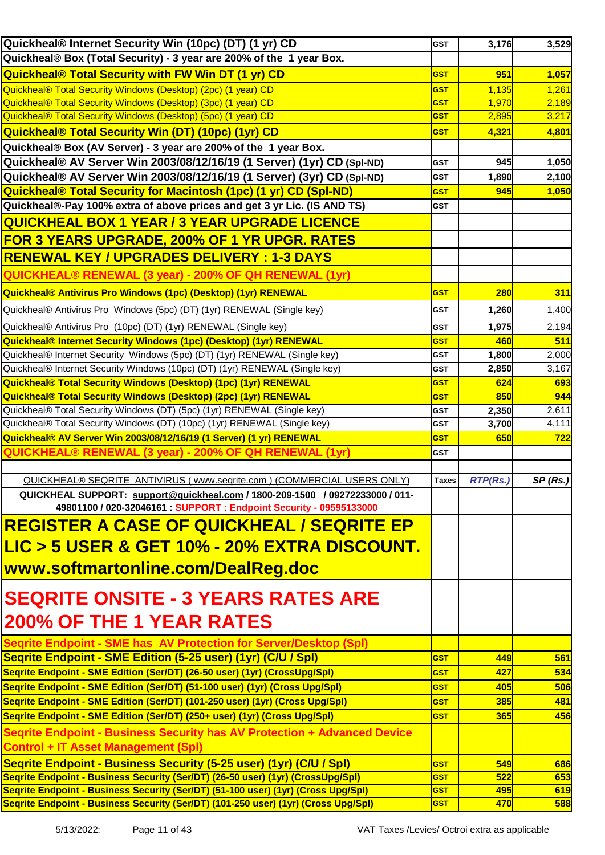| Quickheal® Internet Security Win (10pc) (DT) (1 yr) CD                                                                                                | <b>GST</b>   | 3,176           | 3,529   |
|-------------------------------------------------------------------------------------------------------------------------------------------------------|--------------|-----------------|---------|
| Quickheal® Box (Total Security) - 3 year are 200% of the 1 year Box.                                                                                  |              |                 |         |
| <b>Quickheal® Total Security with FW Win DT (1 yr) CD</b>                                                                                             | <b>GST</b>   | 951             | 1,057   |
| Quickheal® Total Security Windows (Desktop) (2pc) (1 year) CD                                                                                         | <b>GST</b>   | 1,135           | 1,261   |
| Quickheal® Total Security Windows (Desktop) (3pc) (1 year) CD                                                                                         | <b>GST</b>   | 1,970           | 2,189   |
| Quickheal® Total Security Windows (Desktop) (5pc) (1 year) CD                                                                                         | <b>GST</b>   | 2,895           | 3,217   |
| <b>Quickheal® Total Security Win (DT) (10pc) (1yr) CD</b>                                                                                             | <b>GST</b>   | 4,321           | 4,801   |
| Quickheal® Box (AV Server) - 3 year are 200% of the 1 year Box.                                                                                       |              |                 |         |
| Quickheal® AV Server Win 2003/08/12/16/19 (1 Server) (1yr) CD (Spl-ND)                                                                                | <b>GST</b>   | 945             | 1,050   |
| Quickheal® AV Server Win 2003/08/12/16/19 (1 Server) (3yr) CD (Spl-ND)                                                                                | <b>GST</b>   | 1,890           | 2,100   |
| <b>Quickheal® Total Security for Macintosh (1pc) (1 yr) CD (Spl-ND)</b>                                                                               | <b>GST</b>   | 945             | 1,050   |
| Quickheal®-Pay 100% extra of above prices and get 3 yr Lic. (IS AND TS)                                                                               | <b>GST</b>   |                 |         |
| <b>QUICKHEAL BOX 1 YEAR / 3 YEAR UPGRADE LICENCE</b>                                                                                                  |              |                 |         |
| FOR 3 YEARS UPGRADE, 200% OF 1 YR UPGR. RATES                                                                                                         |              |                 |         |
|                                                                                                                                                       |              |                 |         |
| <b>RENEWAL KEY / UPGRADES DELIVERY : 1-3 DAYS</b>                                                                                                     |              |                 |         |
| QUICKHEAL® RENEWAL (3 year) - 200% OF QH RENEWAL (1yr)                                                                                                |              |                 |         |
| Quickheal® Antivirus Pro Windows (1pc) (Desktop) (1yr) RENEWAL                                                                                        | <b>GST</b>   | <b>280</b>      | 311     |
| Quickheal® Antivirus Pro Windows (5pc) (DT) (1yr) RENEWAL (Single key)                                                                                | <b>GST</b>   | 1,260           | 1,400   |
| Quickheal® Antivirus Pro (10pc) (DT) (1yr) RENEWAL (Single key)                                                                                       | <b>GST</b>   | 1,975           | 2,194   |
| Quickheal® Internet Security Windows (1pc) (Desktop) (1yr) RENEWAL                                                                                    | <b>GST</b>   | 460             | 511     |
| Quickheal® Internet Security Windows (5pc) (DT) (1yr) RENEWAL (Single key)                                                                            | <b>GST</b>   | 1,800           | 2,000   |
| Quickheal® Internet Security Windows (10pc) (DT) (1yr) RENEWAL (Single key)                                                                           | <b>GST</b>   | 2,850           | 3,167   |
| <b>Quickheal® Total Security Windows (Desktop) (1pc) (1yr) RENEWAL</b>                                                                                | <b>GST</b>   | 624             | 693     |
| <b>Quickheal® Total Security Windows (Desktop) (2pc) (1yr) RENEWAL</b>                                                                                | <b>GST</b>   | 850             | 944     |
| Quickheal® Total Security Windows (DT) (5pc) (1yr) RENEWAL (Single key)                                                                               | <b>GST</b>   | 2,350           | 2,611   |
| Quickheal® Total Security Windows (DT) (10pc) (1yr) RENEWAL (Single key)                                                                              | <b>GST</b>   | 3,700           | 4,111   |
| Quickheal® AV Server Win 2003/08/12/16/19 (1 Server) (1 yr) RENEWAL                                                                                   | <b>GST</b>   | 650             | 722     |
| QUICKHEAL® RENEWAL (3 year) - 200% OF QH RENEWAL (1yr)                                                                                                | <b>GST</b>   |                 |         |
|                                                                                                                                                       |              |                 |         |
| QUICKHEAL® SEQRITE ANTIVIRUS (www.segrite.com) (COMMERCIAL USERS ONLY)                                                                                | <b>Taxes</b> | <b>RTP(Rs.)</b> | SP(Rs.) |
| QUICKHEAL SUPPORT: support@quickheal.com / 1800-209-1500 / 09272233000 / 011-<br>49801100 / 020-32046161 : SUPPORT : Endpoint Security - 09595133000  |              |                 |         |
| <b>REGISTER A CASE OF QUICKHEAL / SEQRITE EP</b>                                                                                                      |              |                 |         |
|                                                                                                                                                       |              |                 |         |
|                                                                                                                                                       |              |                 |         |
| <u>LIC &gt; 5 USER &amp; GET 10% - 20% EXTRA DISCOUNT.</u>                                                                                            |              |                 |         |
|                                                                                                                                                       |              |                 |         |
| www.softmartonline.com/DealReg.doc                                                                                                                    |              |                 |         |
|                                                                                                                                                       |              |                 |         |
| <b>SEQRITE ONSITE - 3 YEARS RATES ARE</b>                                                                                                             |              |                 |         |
| <b>200% OF THE 1 YEAR RATES</b>                                                                                                                       |              |                 |         |
| Seqrite Endpoint - SME has AV Protection for Server/Desktop (Spl)                                                                                     |              |                 |         |
| Segrite Endpoint - SME Edition (5-25 user) (1yr) (C/U / Spl)                                                                                          | <b>GST</b>   | 449             | 561     |
| Seqrite Endpoint - SME Edition (Ser/DT) (26-50 user) (1yr) (CrossUpg/Spl)                                                                             | <b>GST</b>   | 427             | 534     |
| Segrite Endpoint - SME Edition (Ser/DT) (51-100 user) (1yr) (Cross Upg/Spl)                                                                           | <b>GST</b>   | 405             | 506     |
| Segrite Endpoint - SME Edition (Ser/DT) (101-250 user) (1yr) (Cross Upg/Spl)                                                                          | <b>GST</b>   | 385             | 481     |
| Segrite Endpoint - SME Edition (Ser/DT) (250+ user) (1yr) (Cross Upg/Spl)                                                                             | <b>GST</b>   | 365             | 456     |
| Segrite Endpoint - Business Security has AV Protection + Advanced Device                                                                              |              |                 |         |
| <b>Control + IT Asset Management (SpI)</b>                                                                                                            |              |                 |         |
|                                                                                                                                                       | <b>GST</b>   | 549             | 686     |
| Segrite Endpoint - Business Security (5-25 user) (1yr) (C/U / Spl)<br>Segrite Endpoint - Business Security (Ser/DT) (26-50 user) (1yr) (CrossUpg/Spl) | <b>GST</b>   | 522             | 653     |
| Seqrite Endpoint - Business Security (Ser/DT) (51-100 user) (1yr) (Cross Upg/Spl)                                                                     | <b>GST</b>   | 495             | 619     |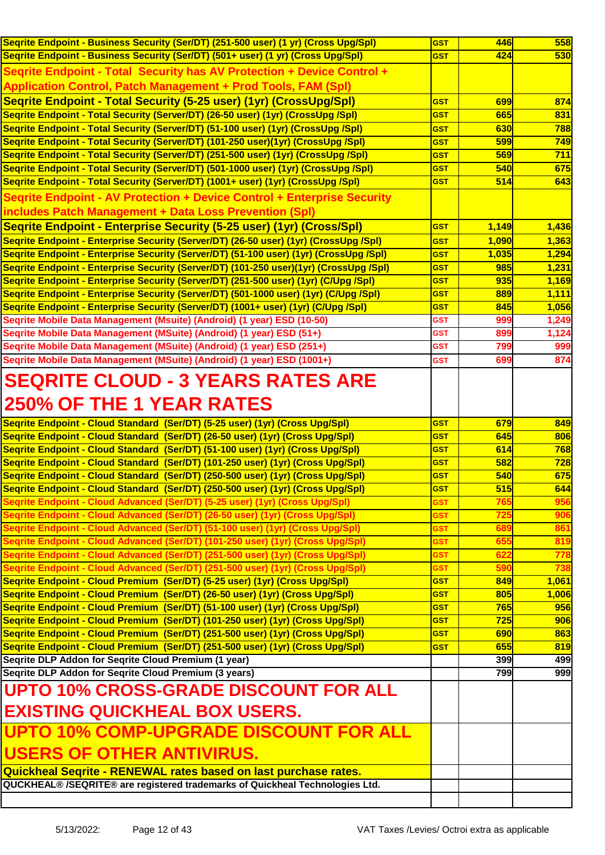| Segrite Endpoint - Business Security (Ser/DT) (251-500 user) (1 yr) (Cross Upg/Spl)    | <b>GST</b>               | <b>446</b> | 558        |
|----------------------------------------------------------------------------------------|--------------------------|------------|------------|
| Seqrite Endpoint - Business Security (Ser/DT) (501+ user) (1 yr) (Cross Upg/Spl)       | <b>GST</b>               | 424        | 530        |
| Segrite Endpoint - Total Security has AV Protection + Device Control +                 |                          |            |            |
| <b>Application Control, Patch Management + Prod Tools, FAM (Spl)</b>                   |                          |            |            |
| Segrite Endpoint - Total Security (5-25 user) (1yr) (CrossUpg/Spl)                     | <b>GST</b>               | 699        | 874        |
| Segrite Endpoint - Total Security (Server/DT) (26-50 user) (1yr) (CrossUpg /Spl)       | <b>GST</b>               | 665        | 831        |
| Segrite Endpoint - Total Security (Server/DT) (51-100 user) (1yr) (CrossUpg /Spl)      | <b>GST</b>               | 630        | 788        |
| Segrite Endpoint - Total Security (Server/DT) (101-250 user)(1yr) (CrossUpg /Spl)      | <b>GST</b>               | 599        | 749        |
| Segrite Endpoint - Total Security (Server/DT) (251-500 user) (1yr) (CrossUpg /Spl)     | <b>GST</b>               | 569        | 711        |
| Seqrite Endpoint - Total Security (Server/DT) (501-1000 user) (1yr) (CrossUpg /Spl)    | <b>GST</b>               | 540        | 675        |
| Seqrite Endpoint - Total Security (Server/DT) (1001+ user) (1yr) (CrossUpg /Spl)       | <b>GST</b>               | 514        | 643        |
|                                                                                        |                          |            |            |
| <b>Segrite Endpoint - AV Protection + Device Control + Enterprise Security</b>         |                          |            |            |
| includes Patch Management + Data Loss Prevention (Spl)                                 |                          |            |            |
| Segrite Endpoint - Enterprise Security (5-25 user) (1yr) (Cross/Spl)                   | <b>GST</b>               | 1,149      | 1,436      |
| Segrite Endpoint - Enterprise Security (Server/DT) (26-50 user) (1yr) (CrossUpg /Spl)  | <b>GST</b>               | 1,090      | 1,363      |
| Segrite Endpoint - Enterprise Security (Server/DT) (51-100 user) (1yr) (CrossUpg /Spl) | <b>GST</b>               | 1,035      | 1,294      |
| Seqrite Endpoint - Enterprise Security (Server/DT) (101-250 user)(1yr) (CrossUpg /Spl) | <b>GST</b>               | 985        | 1,231      |
| Seqrite Endpoint - Enterprise Security (Server/DT) (251-500 user) (1yr) (C/Upg /Spl)   | <b>GST</b>               | 935        | 1,169      |
| Segrite Endpoint - Enterprise Security (Server/DT) (501-1000 user) (1yr) (C/Upg /Spl)  | <b>GST</b>               | 889        | 1,111      |
| Segrite Endpoint - Enterprise Security (Server/DT) (1001+ user) (1yr) (C/Upg /Spl)     | <b>GST</b>               | 845        | 1,056      |
| Seqrite Mobile Data Management (Msuite) (Android) (1 year) ESD (10-50)                 | <b>GST</b>               | 999        | 1,249      |
| Seqrite Mobile Data Management (MSuite) (Android) (1 year) ESD (51+)                   | <b>GST</b>               | 899        | 1,124      |
| Seqrite Mobile Data Management (MSuite) (Android) (1 year) ESD (251+)                  | <b>GST</b>               | 799        | 999        |
| Seqrite Mobile Data Management (MSuite) (Android) (1 year) ESD (1001+)                 | GST                      | 699        | 874        |
| <b>SEQRITE CLOUD - 3 YEARS RATES ARE</b>                                               |                          |            |            |
|                                                                                        |                          |            |            |
| <b>250% OF THE 1 YEAR RATES</b>                                                        |                          |            |            |
|                                                                                        |                          |            |            |
|                                                                                        |                          |            |            |
| Segrite Endpoint - Cloud Standard (Ser/DT) (5-25 user) (1yr) (Cross Upg/Spl)           | <b>GST</b>               | 679        | 849        |
| Segrite Endpoint - Cloud Standard (Ser/DT) (26-50 user) (1yr) (Cross Upg/Spl)          | <b>GST</b>               | 645        | 806        |
| Seqrite Endpoint - Cloud Standard (Ser/DT) (51-100 user) (1yr) (Cross Upg/Spl)         | <b>GST</b>               | 614        | 768        |
| Segrite Endpoint - Cloud Standard (Ser/DT) (101-250 user) (1yr) (Cross Upg/Spl)        | <b>GST</b>               | 582        | <b>728</b> |
| Segrite Endpoint - Cloud Standard (Ser/DT) (250-500 user) (1yr) (Cross Upg/Spl)        | <b>GST</b>               | 540        | 675        |
| Seqrite Endpoint - Cloud Standard (Ser/DT) (250-500 user) (1yr) (Cross Upg/Spl)        | <b>GST</b>               | 515        | 644        |
| Seqrite Endpoint - Cloud Advanced (Ser/DT) (5-25 user) (1yr) (Cross Upg/Spl)           | <b>GST</b>               | 765        | 956        |
| Seqrite Endpoint - Cloud Advanced (Ser/DT) (26-50 user) (1yr) (Cross Upg/Spl)          | <b>GST</b>               | 72         | 906        |
| Segrite Endpoint - Cloud Advanced (Ser/DT) (51-100 user) (1yr) (Cross Upg/Spl)         | <b>GST</b>               | 68         | 861        |
| Seqrite Endpoint - Cloud Advanced (Ser/DT) (101-250 user) (1yr) (Cross Upg/Spl)        | <b>GST</b>               | 65         | 819        |
| Seqrite Endpoint - Cloud Advanced (Ser/DT) (251-500 user) (1yr) (Cross Upg/Spl)        | <u>GST</u>               | 62         | 778        |
| Seqrite Endpoint - Cloud Advanced (Ser/DT) (251-500 user) (1yr) (Cross Upg/Spl)        | <b>GST</b>               | 590        | 738        |
| Seqrite Endpoint - Cloud Premium (Ser/DT) (5-25 user) (1yr) (Cross Upg/Spl)            | <b>GST</b>               | 849        | 1,061      |
| Segrite Endpoint - Cloud Premium (Ser/DT) (26-50 user) (1yr) (Cross Upg/Spl)           | <b>GST</b><br><b>GST</b> | 805        | 1,006      |
| Segrite Endpoint - Cloud Premium (Ser/DT) (51-100 user) (1yr) (Cross Upg/Spl)          |                          | 765        | 956        |
| Seqrite Endpoint - Cloud Premium (Ser/DT) (101-250 user) (1yr) (Cross Upg/Spl)         | <b>GST</b><br><b>GST</b> | 725        | 906        |
| Seqrite Endpoint - Cloud Premium (Ser/DT) (251-500 user) (1yr) (Cross Upg/Spl)         |                          | 690        | 863        |
| Segrite Endpoint - Cloud Premium (Ser/DT) (251-500 user) (1yr) (Cross Upg/Spl)         | <b>GST</b>               | 655<br>399 | 819        |
| Seqrite DLP Addon for Seqrite Cloud Premium (1 year)                                   |                          | 799        | 499<br>999 |
| Seqrite DLP Addon for Seqrite Cloud Premium (3 years)                                  |                          |            |            |
| <b>UPTO 10% CROSS-GRADE DISCOUNT FOR ALL</b>                                           |                          |            |            |
| <b>EXISTING QUICKHEAL BOX USERS.</b>                                                   |                          |            |            |
|                                                                                        |                          |            |            |
| UPTO 10% COMP-UPGRADE DISCOUNT FOR ALL                                                 |                          |            |            |
|                                                                                        |                          |            |            |
| USERS OF OTHER ANTIVIRUS.                                                              |                          |            |            |
| Quickheal Segrite - RENEWAL rates based on last purchase rates.                        |                          |            |            |
| QUCKHEAL® /SEQRITE® are registered trademarks of Quickheal Technologies Ltd.           |                          |            |            |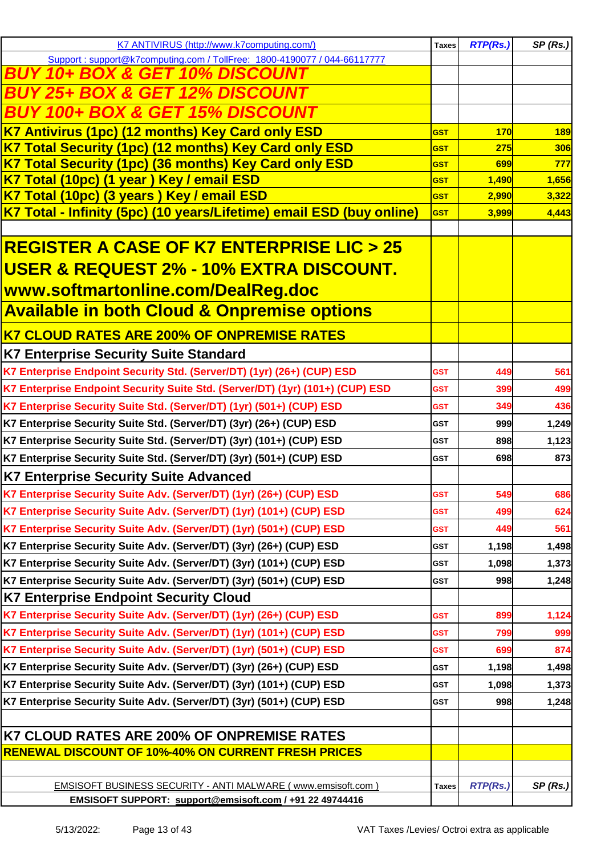| K7 ANTIVIRUS (http://www.k7computing.com/)                                    | <b>Taxes</b> | <b>RTP(Rs.)</b> | SP(Rs.)    |
|-------------------------------------------------------------------------------|--------------|-----------------|------------|
| Support: support@k7computing.com / TollFree: 1800-4190077 / 044-66117777      |              |                 |            |
| <u>10+ BOX &amp; GET 10% DISCOUNT</u><br><i><b>BUY</b></i>                    |              |                 |            |
| <b>BUY 25+ BOX &amp; GET 12% DISCOUNT</b>                                     |              |                 |            |
| <b>BUY 100+ BOX &amp; GET 15% DISCOUNT</b>                                    |              |                 |            |
| K7 Antivirus (1pc) (12 months) Key Card only ESD                              | <b>GST</b>   | <b>170</b>      | <b>189</b> |
| K7 Total Security (1pc) (12 months) Key Card only ESD                         | <b>GST</b>   | 275             | 306        |
| K7 Total Security (1pc) (36 months) Key Card only ESD                         | <b>GST</b>   | 699             | 777        |
| K7 Total (10pc) (1 year) Key / email ESD                                      | <b>GST</b>   | 1,490           | 1,656      |
| K7 Total (10pc) (3 years) Key / email ESD                                     | <b>GST</b>   | 2,990           | 3,322      |
| K7 Total - Infinity (5pc) (10 years/Lifetime) email ESD (buy online)          | <b>GST</b>   | 3,999           | 4,443      |
|                                                                               |              |                 |            |
| <b>REGISTER A CASE OF K7 ENTERPRISE LIC &gt; 25</b>                           |              |                 |            |
| <u> USER &amp; REQUEST 2% - 10% EXTRA DISCOUNT.</u>                           |              |                 |            |
| www.softmartonline.com/DealReg.doc                                            |              |                 |            |
| <b>Available in both Cloud &amp; Onpremise options</b>                        |              |                 |            |
| <b>K7 CLOUD RATES ARE 200% OF ONPREMISE RATES</b>                             |              |                 |            |
|                                                                               |              |                 |            |
| <b>K7 Enterprise Security Suite Standard</b>                                  |              |                 |            |
| K7 Enterprise Endpoint Security Std. (Server/DT) (1yr) (26+) (CUP) ESD        | <b>GST</b>   | 449             | 561        |
| K7 Enterprise Endpoint Security Suite Std. (Server/DT) (1yr) (101+) (CUP) ESD | <b>GST</b>   | 399             | 499        |
| K7 Enterprise Security Suite Std. (Server/DT) (1yr) (501+) (CUP) ESD          | <b>GST</b>   | 349             | 436        |
| K7 Enterprise Security Suite Std. (Server/DT) (3yr) (26+) (CUP) ESD           | <b>GST</b>   | 999             | 1,249      |
| K7 Enterprise Security Suite Std. (Server/DT) (3yr) (101+) (CUP) ESD          | <b>GST</b>   | 898             | 1,123      |
| K7 Enterprise Security Suite Std. (Server/DT) (3yr) (501+) (CUP) ESD          | <b>GST</b>   | 698             | 873        |
| <b>K7 Enterprise Security Suite Advanced</b>                                  |              |                 |            |
| K7 Enterprise Security Suite Adv. (Server/DT) (1yr) (26+) (CUP) ESD           | <b>GST</b>   | 549             | 686        |
| K7 Enterprise Security Suite Adv. (Server/DT) (1yr) (101+) (CUP) ESD          | <b>GST</b>   | 499             | 624        |
| K7 Enterprise Security Suite Adv. (Server/DT) (1yr) (501+) (CUP) ESD          | <b>GST</b>   | 449             | 561        |
| K7 Enterprise Security Suite Adv. (Server/DT) (3yr) (26+) (CUP) ESD           | <b>GST</b>   | 1,198           | 1,498      |
| K7 Enterprise Security Suite Adv. (Server/DT) (3yr) (101+) (CUP) ESD          | <b>GST</b>   | 1,098           | 1,373      |
| K7 Enterprise Security Suite Adv. (Server/DT) (3yr) (501+) (CUP) ESD          | <b>GST</b>   | 998             | 1,248      |
| K7 Enterprise Endpoint Security Cloud                                         |              |                 |            |
| K7 Enterprise Security Suite Adv. (Server/DT) (1yr) (26+) (CUP) ESD           | <b>GST</b>   | 899             | 1,124      |
| K7 Enterprise Security Suite Adv. (Server/DT) (1yr) (101+) (CUP) ESD          | GST          | 799             | 999        |
| K7 Enterprise Security Suite Adv. (Server/DT) (1yr) (501+) (CUP) ESD          | <b>GST</b>   | 699             | 874        |
| K7 Enterprise Security Suite Adv. (Server/DT) (3yr) (26+) (CUP) ESD           | <b>GST</b>   | 1,198           | 1,498      |
| K7 Enterprise Security Suite Adv. (Server/DT) (3yr) (101+) (CUP) ESD          | <b>GST</b>   | 1,098           | 1,373      |
| K7 Enterprise Security Suite Adv. (Server/DT) (3yr) (501+) (CUP) ESD          | <b>GST</b>   | 998             | 1,248      |
|                                                                               |              |                 |            |
| K7 CLOUD RATES ARE 200% OF ONPREMISE RATES                                    |              |                 |            |
| <b>RENEWAL DISCOUNT OF 10%-40% ON CURRENT FRESH PRICES</b>                    |              |                 |            |
|                                                                               |              |                 |            |
| EMSISOFT BUSINESS SECURITY - ANTI MALWARE (www.emsisoft.com)                  | <b>Taxes</b> | <b>RTP(Rs.)</b> | SP(Rs.)    |
| EMSISOFT SUPPORT: support@emsisoft.com / +91 22 49744416                      |              |                 |            |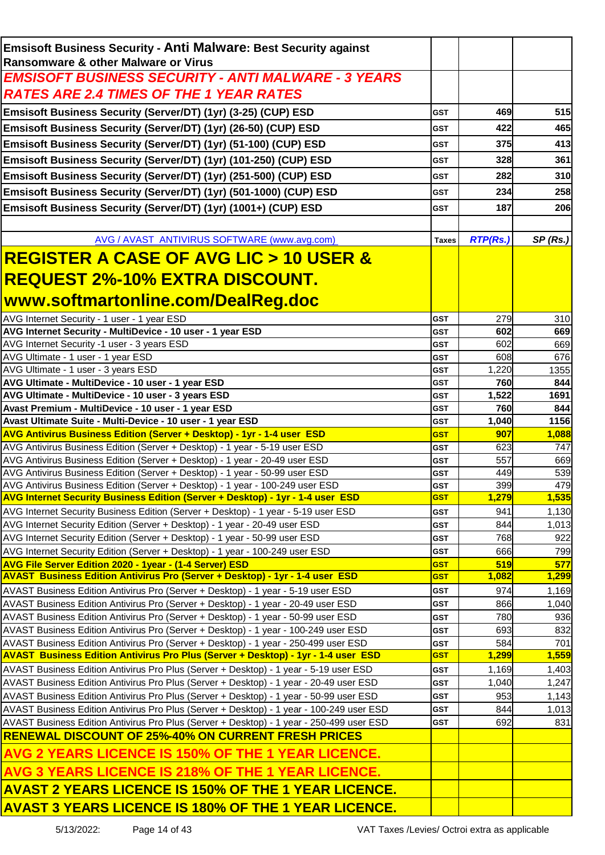| <b>Emsisoft Business Security - Anti Malware: Best Security against</b>                                                                                                              |                          |              |                |
|--------------------------------------------------------------------------------------------------------------------------------------------------------------------------------------|--------------------------|--------------|----------------|
| Ransomware & other Malware or Virus                                                                                                                                                  |                          |              |                |
| <b>EMSISOFT BUSINESS SECURITY - ANTI MALWARE - 3 YEARS</b>                                                                                                                           |                          |              |                |
| <b>RATES ARE 2.4 TIMES OF THE 1 YEAR RATES</b>                                                                                                                                       |                          |              |                |
| Emsisoft Business Security (Server/DT) (1yr) (3-25) (CUP) ESD                                                                                                                        | <b>GST</b>               | 469          | 515            |
| Emsisoft Business Security (Server/DT) (1yr) (26-50) (CUP) ESD                                                                                                                       | <b>GST</b>               | 422          | 465            |
| Emsisoft Business Security (Server/DT) (1yr) (51-100) (CUP) ESD                                                                                                                      | <b>GST</b>               | 375          | 413            |
| Emsisoft Business Security (Server/DT) (1yr) (101-250) (CUP) ESD                                                                                                                     | <b>GST</b>               | 328          | 361            |
| Emsisoft Business Security (Server/DT) (1yr) (251-500) (CUP) ESD                                                                                                                     | <b>GST</b>               | 282          | 310            |
| Emsisoft Business Security (Server/DT) (1yr) (501-1000) (CUP) ESD                                                                                                                    | <b>GST</b>               | 234          | 258            |
| Emsisoft Business Security (Server/DT) (1yr) (1001+) (CUP) ESD                                                                                                                       | <b>GST</b>               | 187          | 206            |
|                                                                                                                                                                                      |                          |              |                |
| AVG / AVAST ANTIVIRUS SOFTWARE (www.avg.com)                                                                                                                                         | <b>Taxes</b>             | RTP(Rs.)     | SP(Rs.)        |
| <u>REGISTER A CASE OF AVG LIC &gt; 10 USER &amp; </u>                                                                                                                                |                          |              |                |
|                                                                                                                                                                                      |                          |              |                |
| <u>REQUEST 2%-10% EXTRA DISCOUNT.</u>                                                                                                                                                |                          |              |                |
| www.softmartonline.com/DealReg.doc                                                                                                                                                   |                          |              |                |
| AVG Internet Security - 1 user - 1 year ESD                                                                                                                                          | <b>GST</b>               | 279          | 310            |
| AVG Internet Security - MultiDevice - 10 user - 1 year ESD                                                                                                                           | <b>GST</b>               | 602          | 669            |
| AVG Internet Security -1 user - 3 years ESD                                                                                                                                          | <b>GST</b>               | 602          | 669            |
| AVG Ultimate - 1 user - 1 year ESD                                                                                                                                                   | <b>GST</b>               | 608          | 676            |
| AVG Ultimate - 1 user - 3 years ESD<br>AVG Ultimate - MultiDevice - 10 user - 1 year ESD                                                                                             | <b>GST</b><br><b>GST</b> | 1,220<br>760 | 1355<br>844    |
| AVG Ultimate - MultiDevice - 10 user - 3 years ESD                                                                                                                                   | <b>GST</b>               | 1,522        | 1691           |
| Avast Premium - MultiDevice - 10 user - 1 year ESD                                                                                                                                   | <b>GST</b>               | 760          | 844            |
| Avast Ultimate Suite - Multi-Device - 10 user - 1 year ESD                                                                                                                           | <b>GST</b>               | 1,040        | 1156           |
| AVG Antivirus Business Edition (Server + Desktop) - 1yr - 1-4 user ESD                                                                                                               | <b>GST</b>               | 907          | 1,088          |
| AVG Antivirus Business Edition (Server + Desktop) - 1 year - 5-19 user ESD                                                                                                           | <b>GST</b>               | 623          | 747            |
| AVG Antivirus Business Edition (Server + Desktop) - 1 year - 20-49 user ESD                                                                                                          | <b>GST</b>               | 557          | 669            |
| AVG Antivirus Business Edition (Server + Desktop) - 1 year - 50-99 user ESD<br>AVG Antivirus Business Edition (Server + Desktop) - 1 year - 100-249 user ESD                         | <b>GST</b><br><b>GST</b> | 449<br>399   | 539<br>479     |
| AVG Internet Security Business Edition (Server + Desktop) - 1yr - 1-4 user ESD                                                                                                       | <b>GST</b>               | 1,279        | 1,535          |
| AVG Internet Security Business Edition (Server + Desktop) - 1 year - 5-19 user ESD                                                                                                   | <b>GST</b>               | 941          | 1,130          |
| AVG Internet Security Edition (Server + Desktop) - 1 year - 20-49 user ESD                                                                                                           | <b>GST</b>               | 844          | 1,013          |
| AVG Internet Security Edition (Server + Desktop) - 1 year - 50-99 user ESD                                                                                                           | <b>GST</b>               | 768          | 922            |
| AVG Internet Security Edition (Server + Desktop) - 1 year - 100-249 user ESD                                                                                                         | <b>GST</b>               | 666          | 799            |
| <b>AVG File Server Edition 2020 - 1year - (1-4 Server) ESD</b>                                                                                                                       | <b>GST</b>               | 519          | 577            |
| <b>AVAST Business Edition Antivirus Pro (Server + Desktop) - 1yr - 1-4 user ESD</b>                                                                                                  | <b>GST</b>               | 1,082        | 1,299          |
| AVAST Business Edition Antivirus Pro (Server + Desktop) - 1 year - 5-19 user ESD<br>AVAST Business Edition Antivirus Pro (Server + Desktop) - 1 year - 20-49 user ESD                | <b>GST</b><br><b>GST</b> | 974<br>866   | 1,169<br>1,040 |
| AVAST Business Edition Antivirus Pro (Server + Desktop) - 1 year - 50-99 user ESD                                                                                                    | GST                      | 780          | 936            |
| AVAST Business Edition Antivirus Pro (Server + Desktop) - 1 year - 100-249 user ESD                                                                                                  | <b>GST</b>               | 693          | 832            |
| AVAST Business Edition Antivirus Pro (Server + Desktop) - 1 year - 250-499 user ESD                                                                                                  | <b>GST</b>               | 584          | 701            |
| <b>AVAST Business Edition Antivirus Pro Plus (Server + Desktop) - 1yr - 1-4 user ESD</b>                                                                                             | <b>GST</b>               | 1,299        | 1,559          |
| AVAST Business Edition Antivirus Pro Plus (Server + Desktop) - 1 year - 5-19 user ESD                                                                                                | <b>GST</b>               | 1,169        | 1,403          |
| AVAST Business Edition Antivirus Pro Plus (Server + Desktop) - 1 year - 20-49 user ESD                                                                                               | <b>GST</b>               | 1,040        | 1,247          |
| AVAST Business Edition Antivirus Pro Plus (Server + Desktop) - 1 year - 50-99 user ESD                                                                                               | <b>GST</b>               | 953          | 1,143          |
| AVAST Business Edition Antivirus Pro Plus (Server + Desktop) - 1 year - 100-249 user ESD<br>AVAST Business Edition Antivirus Pro Plus (Server + Desktop) - 1 year - 250-499 user ESD | <b>GST</b><br><b>GST</b> | 844<br>692   | 1,013<br>831   |
| <b>RENEWAL DISCOUNT OF 25%-40% ON CURRENT FRESH PRICES</b>                                                                                                                           |                          |              |                |
| <b>AVG 2 YEARS LICENCE IS 150% OF THE 1 YEAR LICENCE.</b>                                                                                                                            |                          |              |                |
| AVG 3 YEARS LICENCE IS 218% OF THE 1 YEAR LICENCE.                                                                                                                                   |                          |              |                |
|                                                                                                                                                                                      |                          |              |                |
| <b>AVAST 2 YEARS LICENCE IS 150% OF THE 1 YEAR LICENCE.</b>                                                                                                                          |                          |              |                |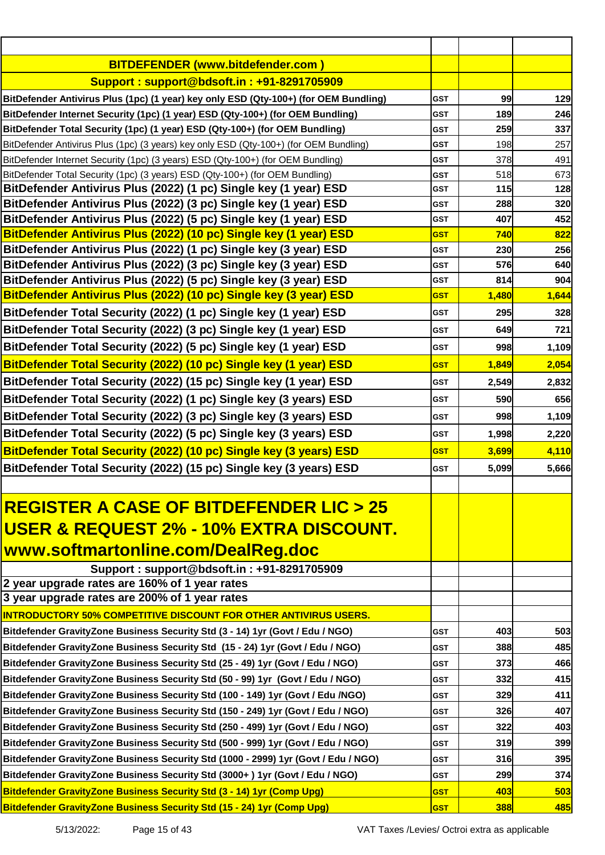| <b>BITDEFENDER (www.bitdefender.com)</b>                                                  |            |            |       |
|-------------------------------------------------------------------------------------------|------------|------------|-------|
| Support: support@bdsoft.in: +91-8291705909                                                |            |            |       |
| BitDefender Antivirus Plus (1pc) (1 year) key only ESD (Qty-100+) (for OEM Bundling)      | <b>GST</b> | 99         | 129   |
| BitDefender Internet Security (1pc) (1 year) ESD (Qty-100+) (for OEM Bundling)            | <b>GST</b> | 189        | 246   |
| BitDefender Total Security (1pc) (1 year) ESD (Qty-100+) (for OEM Bundling)               | <b>GST</b> | 259        | 337   |
| BitDefender Antivirus Plus (1pc) (3 years) key only ESD (Qty-100+) (for OEM Bundling)     | <b>GST</b> | 198        | 257   |
| BitDefender Internet Security (1pc) (3 years) ESD (Qty-100+) (for OEM Bundling)           | <b>GST</b> | 378        | 491   |
| BitDefender Total Security (1pc) (3 years) ESD (Qty-100+) (for OEM Bundling)              | <b>GST</b> | 518        | 673   |
| BitDefender Antivirus Plus (2022) (1 pc) Single key (1 year) ESD                          | <b>GST</b> | 115        | 128   |
| BitDefender Antivirus Plus (2022) (3 pc) Single key (1 year) ESD                          | <b>GST</b> | 288        | 320   |
| BitDefender Antivirus Plus (2022) (5 pc) Single key (1 year) ESD                          | <b>GST</b> | 407        | 452   |
| BitDefender Antivirus Plus (2022) (10 pc) Single key (1 year) ESD                         | <b>GST</b> | 740        | 822   |
| BitDefender Antivirus Plus (2022) (1 pc) Single key (3 year) ESD                          | <b>GST</b> | 230        | 256   |
| BitDefender Antivirus Plus (2022) (3 pc) Single key (3 year) ESD                          | <b>GST</b> | 576        | 640   |
| BitDefender Antivirus Plus (2022) (5 pc) Single key (3 year) ESD                          | <b>GST</b> | 814        | 904   |
| BitDefender Antivirus Plus (2022) (10 pc) Single key (3 year) ESD                         | <b>GST</b> | 1,480      | 1,644 |
| BitDefender Total Security (2022) (1 pc) Single key (1 year) ESD                          | <b>GST</b> | 295        | 328   |
| BitDefender Total Security (2022) (3 pc) Single key (1 year) ESD                          | <b>GST</b> | 649        | 721   |
| BitDefender Total Security (2022) (5 pc) Single key (1 year) ESD                          | <b>GST</b> | 998        | 1,109 |
| BitDefender Total Security (2022) (10 pc) Single key (1 year) ESD                         | <b>GST</b> | 1,849      | 2,054 |
| BitDefender Total Security (2022) (15 pc) Single key (1 year) ESD                         | <b>GST</b> | 2,549      | 2,832 |
| BitDefender Total Security (2022) (1 pc) Single key (3 years) ESD                         | <b>GST</b> | 590        | 656   |
|                                                                                           | <b>GST</b> | 998        |       |
| BitDefender Total Security (2022) (3 pc) Single key (3 years) ESD                         |            |            | 1,109 |
| BitDefender Total Security (2022) (5 pc) Single key (3 years) ESD                         | <b>GST</b> | 1,998      | 2,220 |
| BitDefender Total Security (2022) (10 pc) Single key (3 years) ESD                        | <b>GST</b> | 3,699      | 4,110 |
| BitDefender Total Security (2022) (15 pc) Single key (3 years) ESD                        | <b>GST</b> | 5,099      | 5,666 |
|                                                                                           |            |            |       |
| <b>REGISTER A CASE OF BITDEFENDER LIC &gt; 25</b>                                         |            |            |       |
| <u>USER &amp; REQUEST 2% - 10% EXTRA DISCOUNT.</u>                                        |            |            |       |
|                                                                                           |            |            |       |
| www.softmartonline.com/DealReg.doc                                                        |            |            |       |
| Support: support@bdsoft.in: +91-8291705909                                                |            |            |       |
| 2 year upgrade rates are 160% of 1 year rates                                             |            |            |       |
| 3 year upgrade rates are 200% of 1 year rates                                             |            |            |       |
| <b>INTRODUCTORY 50% COMPETITIVE DISCOUNT FOR OTHER ANTIVIRUS USERS.</b>                   |            |            |       |
| Bitdefender GravityZone Business Security Std (3 - 14) 1yr (Govt / Edu / NGO)             | <b>GST</b> | 403        | 503   |
| <b>Bitdefender GravityZone Business Security Std (15 - 24) 1yr (Govt / Edu / NGO)</b>     | <b>GST</b> | 388        | 485   |
| Bitdefender GravityZone Business Security Std (25 - 49) 1yr (Govt / Edu / NGO)            | <b>GST</b> | 373        | 466   |
| Bitdefender GravityZone Business Security Std (50 - 99) 1yr (Govt / Edu / NGO)            | <b>GST</b> | 332        | 415   |
| <b>Bitdefender GravityZone Business Security Std (100 - 149) 1yr (Govt / Edu /NGO)</b>    | <b>GST</b> | 329        | 411   |
| Bitdefender GravityZone Business Security Std (150 - 249) 1yr (Govt / Edu / NGO)          | <b>GST</b> | 326        | 407   |
| Bitdefender GravityZone Business Security Std (250 - 499) 1yr (Govt / Edu / NGO)          | <b>GST</b> | 322        | 403   |
| Bitdefender GravityZone Business Security Std (500 - 999) 1yr (Govt / Edu / NGO)          | GST        | 319        | 399   |
| <b>Bitdefender GravityZone Business Security Std (1000 - 2999) 1yr (Govt / Edu / NGO)</b> | <b>GST</b> | 316        | 395   |
| Bitdefender GravityZone Business Security Std (3000+) 1yr (Govt / Edu / NGO)              | <b>GST</b> | 299        | 374   |
| Bitdefender GravityZone Business Security Std (3 - 14) 1yr (Comp Upg)                     | <b>GST</b> | 403        | 503   |
| <b>Bitdefender GravityZone Business Security Std (15 - 24) 1yr (Comp Upg)</b>             | <b>GST</b> | <b>388</b> | 485   |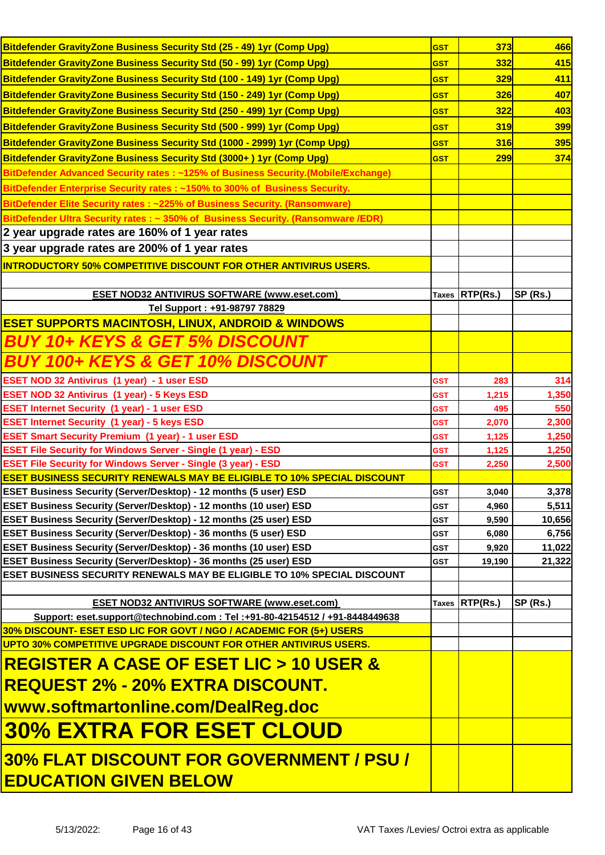| Bitdefender Gravity Zone Business Security Std (25 - 49) 1yr (Comp Upg)                                                                             | <b>GST</b> | 373            | 466             |
|-----------------------------------------------------------------------------------------------------------------------------------------------------|------------|----------------|-----------------|
| Bitdefender GravityZone Business Security Std (50 - 99) 1yr (Comp Upg)                                                                              | <b>GST</b> | 332            | 415             |
| Bitdefender GravityZone Business Security Std (100 - 149) 1yr (Comp Upg)                                                                            | <b>GST</b> | 329            | 411             |
| Bitdefender GravityZone Business Security Std (150 - 249) 1yr (Comp Upg)                                                                            | <b>GST</b> | <b>326</b>     | 407             |
| Bitdefender GravityZone Business Security Std (250 - 499) 1yr (Comp Upg)                                                                            | <b>GST</b> | 322            | 403             |
| Bitdefender Gravity Zone Business Security Std (500 - 999) 1yr (Comp Upg)                                                                           | <b>GST</b> | 319            | 399             |
| Bitdefender GravityZone Business Security Std (1000 - 2999) 1yr (Comp Upg)                                                                          | <b>GST</b> | 316            | <b>395</b>      |
| Bitdefender GravityZone Business Security Std (3000+) 1yr (Comp Upg)                                                                                | <b>GST</b> | 299            | 374             |
| BitDefender Advanced Security rates : ~125% of Business Security.(Mobile/Exchange)                                                                  |            |                |                 |
| BitDefender Enterprise Security rates : ~150% to 300% of Business Security.                                                                         |            |                |                 |
| BitDefender Elite Security rates : ~225% of Business Security. (Ransomware)                                                                         |            |                |                 |
| BitDefender Ultra Security rates : ~ 350% of Business Security. (Ransomware /EDR)                                                                   |            |                |                 |
| 2 year upgrade rates are 160% of 1 year rates                                                                                                       |            |                |                 |
| 3 year upgrade rates are 200% of 1 year rates                                                                                                       |            |                |                 |
| <b>INTRODUCTORY 50% COMPETITIVE DISCOUNT FOR OTHER ANTIVIRUS USERS.</b>                                                                             |            |                |                 |
|                                                                                                                                                     |            |                |                 |
| <b>ESET NOD32 ANTIVIRUS SOFTWARE (www.eset.com)</b>                                                                                                 |            | Taxes RTP(Rs.) | SP (Rs.)        |
| Tel Support: +91-98797 78829                                                                                                                        |            |                |                 |
| <b>ESET SUPPORTS MACINTOSH, LINUX, ANDROID &amp; WINDOWS</b>                                                                                        |            |                |                 |
| <b>BUY 10+ KEYS &amp; GET 5% DISCOUNT</b>                                                                                                           |            |                |                 |
| <b>BUY 100+ KEYS &amp; GET 10% DISCOUNT</b>                                                                                                         |            |                |                 |
| ESET NOD 32 Antivirus (1 year) - 1 user ESD                                                                                                         | <b>GST</b> | 283            | 314             |
| ESET NOD 32 Antivirus (1 year) - 5 Keys ESD                                                                                                         | <b>GST</b> | 1,215          | 1,350           |
| <b>ESET Internet Security (1 year) - 1 user ESD</b>                                                                                                 | <b>GST</b> | 495            | 550             |
| <b>ESET Internet Security (1 year) - 5 keys ESD</b>                                                                                                 | GST        | 2,070          | 2,300           |
| <b>ESET Smart Security Premium (1 year) - 1 user ESD</b>                                                                                            | <b>GST</b> | 1,125          | 1,250           |
| <b>ESET File Security for Windows Server - Single (1 year) - ESD</b>                                                                                | GST        | 1,125          | 1,250           |
| <b>ESET File Security for Windows Server - Single (3 year) - ESD</b>                                                                                | <b>GST</b> | 2,250          | 2,500           |
| <b>ESET BUSINESS SECURITY RENEWALS MAY BE ELIGIBLE TO 10% SPECIAL DISCOUNT</b>                                                                      |            |                |                 |
| <b>ESET Business Security (Server/Desktop) - 12 months (5 user) ESD</b><br><b>ESET Business Security (Server/Desktop) - 12 months (10 user) ESD</b> | <b>GST</b> | 3,040          | 3,378<br>5,511  |
| ESET Business Security (Server/Desktop) - 12 months (25 user) ESD                                                                                   | GST<br>GST | 4,960<br>9,590 | 10,656          |
| ESET Business Security (Server/Desktop) - 36 months (5 user) ESD                                                                                    | <b>GST</b> | 6,080          | 6,756           |
| ESET Business Security (Server/Desktop) - 36 months (10 user) ESD                                                                                   | GST        | 9,920          | 11,022          |
| ESET Business Security (Server/Desktop) - 36 months (25 user) ESD                                                                                   | GST        | 19,190         | 21,322          |
| <b>ESET BUSINESS SECURITY RENEWALS MAY BE ELIGIBLE TO 10% SPECIAL DISCOUNT</b>                                                                      |            |                |                 |
|                                                                                                                                                     |            |                |                 |
| <b>ESET NOD32 ANTIVIRUS SOFTWARE (www.eset.com)</b>                                                                                                 |            | Taxes RTP(Rs.) | <b>SP (Rs.)</b> |
| Support: eset.support@technobind.com : Tel :+91-80-42154512 / +91-8448449638                                                                        |            |                |                 |
| 30% DISCOUNT- ESET ESD LIC FOR GOVT / NGO / ACADEMIC FOR (5+) USERS                                                                                 |            |                |                 |
| UPTO 30% COMPETITIVE UPGRADE DISCOUNT FOR OTHER ANTIVIRUS USERS.                                                                                    |            |                |                 |
| <u>  REGISTER A CASE OF ESET LIC &gt; 10 USER &amp;</u>                                                                                             |            |                |                 |
| <u>  REQUEST 2% - 20% EXTRA DISCOUNT.</u>                                                                                                           |            |                |                 |
| <u> www.softmartonline.com/DealReg.doc</u>                                                                                                          |            |                |                 |
| 30% EXTRA FOR ESET CLOUD                                                                                                                            |            |                |                 |
| 30% FLAT DISCOUNT FOR GOVERNMENT / PSU /                                                                                                            |            |                |                 |
| <b>EDUCATION GIVEN BELOW</b>                                                                                                                        |            |                |                 |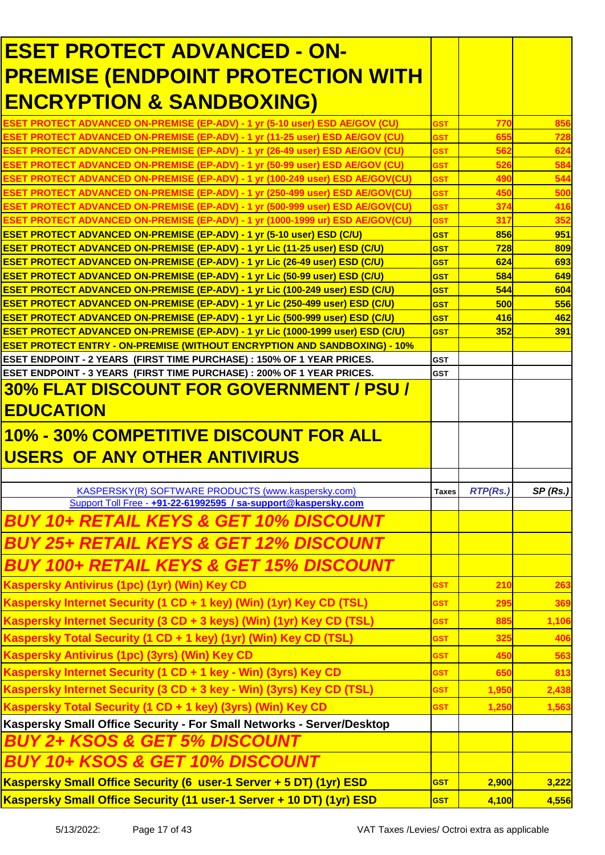| <b>ESET PROTECT ADVANCED - ON-</b>                                                                                                                                                      |                          |            |            |
|-----------------------------------------------------------------------------------------------------------------------------------------------------------------------------------------|--------------------------|------------|------------|
| <b>PREMISE (ENDPOINT PROTECTION WITH</b>                                                                                                                                                |                          |            |            |
| <b>ENCRYPTION &amp; SANDBOXING)</b>                                                                                                                                                     |                          |            |            |
|                                                                                                                                                                                         |                          |            |            |
| <b>ESET PROTECT ADVANCED ON-PREMISE (EP-ADV) - 1 yr (5-10 user) ESD AE/GOV (CU)</b><br><b>ESET PROTECT ADVANCED ON-PREMISE (EP-ADV) - 1 yr (11-25 user) ESD AE/GOV (CU)</b>             | <b>GST</b><br><b>GST</b> | 770<br>655 | 856<br>728 |
| <b>ESET PROTECT ADVANCED ON-PREMISE (EP-ADV) - 1 yr (26-49 user) ESD AE/GOV (CU)</b>                                                                                                    | GST                      | 562        | 624        |
| <b>ESET PROTECT ADVANCED ON-PREMISE (EP-ADV) - 1 yr (50-99 user) ESD AE/GOV (CU)</b>                                                                                                    | GST                      | 526        | 584        |
| <b>ESET PROTECT ADVANCED ON-PREMISE (EP-ADV) - 1 vr (100-249 user) ESD AE/GOV(CU)</b>                                                                                                   | <b>GST</b>               | 490        | 544        |
| <b>ESET PROTECT ADVANCED ON-PREMISE (EP-ADV) - 1 yr (250-499 user) ESD AE/GOV(CU)</b>                                                                                                   | <b>GST</b>               | 450        | 500        |
| <b>ESET PROTECT ADVANCED ON-PREMISE (EP-ADV) - 1 yr (500-999 user) ESD AE/GOV(CU)</b>                                                                                                   | GST                      | 374        | 416        |
| <b>ESET PROTECT ADVANCED ON-PREMISE (EP-ADV) - 1 yr (1000-1999 ur) ESD AE/GOV(CU)</b>                                                                                                   | <b>GST</b>               | 317        | 352        |
| <b>ESET PROTECT ADVANCED ON-PREMISE (EP-ADV) - 1 yr (5-10 user) ESD (C/U)</b>                                                                                                           | <b>GST</b>               | 856        | 951        |
| <b>ESET PROTECT ADVANCED ON-PREMISE (EP-ADV) - 1 yr Lic (11-25 user) ESD (C/U)</b><br><b>ESET PROTECT ADVANCED ON-PREMISE (EP-ADV) - 1 yr Lic (26-49 user) ESD (C/U)</b>                | <b>GST</b><br><b>GST</b> | 728<br>624 | 809<br>693 |
| <b>ESET PROTECT ADVANCED ON-PREMISE (EP-ADV) - 1 yr Lic (50-99 user) ESD (C/U)</b>                                                                                                      | <b>GST</b>               | 584        | 649        |
| <b>ESET PROTECT ADVANCED ON-PREMISE (EP-ADV) - 1 yr Lic (100-249 user) ESD (C/U)</b>                                                                                                    | <b>GST</b>               | 544        | 604        |
| <b>ESET PROTECT ADVANCED ON-PREMISE (EP-ADV) - 1 yr Lic (250-499 user) ESD (C/U)</b>                                                                                                    | <b>GST</b>               | 500        | 556        |
| <b>ESET PROTECT ADVANCED ON-PREMISE (EP-ADV) - 1 yr Lic (500-999 user) ESD (C/U)</b>                                                                                                    | <b>GST</b>               | 416        | 462        |
| <b>ESET PROTECT ADVANCED ON-PREMISE (EP-ADV) - 1 yr Lic (1000-1999 user) ESD (C/U)</b>                                                                                                  | <b>GST</b>               | 352        | 391        |
| <b>ESET PROTECT ENTRY - ON-PREMISE (WITHOUT ENCRYPTION AND SANDBOXING) - 10%</b>                                                                                                        |                          |            |            |
| <b>ESET ENDPOINT - 2 YEARS (FIRST TIME PURCHASE) : 150% OF 1 YEAR PRICES.</b>                                                                                                           | <b>GST</b>               |            |            |
| ESET ENDPOINT - 3 YEARS  (FIRST TIME PURCHASE) : 200% OF 1 YEAR PRICES.                                                                                                                 | <b>GST</b>               |            |            |
| 30% FLAT DISCOUNT FOR GOVERNMENT / PSU /                                                                                                                                                |                          |            |            |
| <b>EDUCATION</b>                                                                                                                                                                        |                          |            |            |
| 10% - 30% COMPETITIVE DISCOUNT FOR ALL                                                                                                                                                  |                          |            |            |
|                                                                                                                                                                                         |                          |            |            |
|                                                                                                                                                                                         |                          |            |            |
|                                                                                                                                                                                         |                          |            |            |
|                                                                                                                                                                                         |                          |            |            |
| KASPERSKY(R) SOFTWARE PRODUCTS (www.kaspersky.com)<br>Support Toll Free - +91-22-61992595 / sa-support@kaspersky.com                                                                    | <b>Taxes</b>             | RTP(Rs.)   | SP(Rs.)    |
| <b>BUY 10+ RETAIL KEYS &amp; GET 10% DISCOUNT</b>                                                                                                                                       |                          |            |            |
| <b>BUY 25+ RETAIL KEYS &amp; GET 12% DISCOUNT</b>                                                                                                                                       |                          |            |            |
| <b>BUY 100+ RETAIL KEYS &amp; GET 15% DISCOUNT</b>                                                                                                                                      |                          |            |            |
| USERS OF ANY OTHER ANTIVIRUS<br>Kaspersky Antivirus (1pc) (1yr) (Win) Key CD                                                                                                            | GST.                     | 210        | 263        |
|                                                                                                                                                                                         | <b>GST</b>               | 295        | 369        |
| Kaspersky Internet Security (1 CD + 1 key) (Win) (1yr) Key CD (TSL)<br>Kaspersky Internet Security (3 CD + 3 keys) (Win) (1yr) Key CD (TSL)                                             | <b>GST</b>               | 885        | 1,106      |
| Kaspersky Total Security (1 CD + 1 key) (1yr) (Win) Key CD (TSL)                                                                                                                        | <b>GST</b>               | 325        | 406        |
|                                                                                                                                                                                         | <b>GST</b>               | 450        | 563        |
|                                                                                                                                                                                         | <b>GST</b>               | 650        | 813        |
| Kaspersky Antivirus (1pc) (3yrs) (Win) Key CD<br>Kaspersky Internet Security (1 CD + 1 key - Win) (3yrs) Key CD<br>Kaspersky Internet Security (3 CD + 3 key - Win) (3yrs) Key CD (TSL) | <b>GST</b>               | 1,950      | 2,438      |
| Kaspersky Total Security (1 CD + 1 key) (3yrs) (Win) Key CD                                                                                                                             | <b>GST</b>               | 1,250      | 1,563      |
| Kaspersky Small Office Security - For Small Networks - Server/Desktop                                                                                                                   |                          |            |            |
| <b>BUY 2+ KSOS &amp; GET 5% DISCOUNT</b>                                                                                                                                                |                          |            |            |
| <b>BUY 10+ KSOS &amp; GET 10% DISCOUNT</b>                                                                                                                                              |                          |            |            |
| Kaspersky Small Office Security (6 user-1 Server + 5 DT) (1yr) ESD                                                                                                                      | <b>GST</b>               | 2,900      | 3,222      |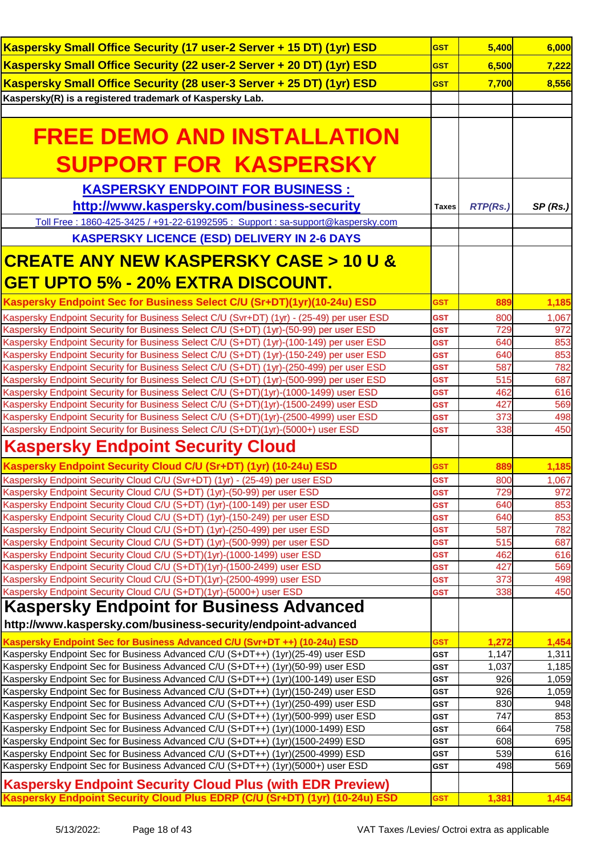| Kaspersky Small Office Security (17 user-2 Server + 15 DT) (1yr) ESD                                                                                             | <b>GST</b>               | 5,400           | 6,000      |
|------------------------------------------------------------------------------------------------------------------------------------------------------------------|--------------------------|-----------------|------------|
| Kaspersky Small Office Security (22 user-2 Server + 20 DT) (1yr) ESD                                                                                             | <b>GST</b>               | 6,500           | 7,222      |
| Kaspersky Small Office Security (28 user-3 Server + 25 DT) (1yr) ESD                                                                                             | <b>GST</b>               | 7,700           | 8,556      |
| Kaspersky(R) is a registered trademark of Kaspersky Lab.                                                                                                         |                          |                 |            |
|                                                                                                                                                                  |                          |                 |            |
|                                                                                                                                                                  |                          |                 |            |
| <b>FREE DEMO AND INSTALLATION</b>                                                                                                                                |                          |                 |            |
|                                                                                                                                                                  |                          |                 |            |
| <b>SUPPORT FOR KASPERSKY</b>                                                                                                                                     |                          |                 |            |
| <b>KASPERSKY ENDPOINT FOR BUSINESS :</b>                                                                                                                         |                          |                 |            |
| http://www.kaspersky.com/business-security                                                                                                                       | <b>Taxes</b>             | <b>RTP(Rs.)</b> | SP(Rs.)    |
| Toll Free: 1860-425-3425 / +91-22-61992595: Support: sa-support@kaspersky.com                                                                                    |                          |                 |            |
| <b>KASPERSKY LICENCE (ESD) DELIVERY IN 2-6 DAYS</b>                                                                                                              |                          |                 |            |
|                                                                                                                                                                  |                          |                 |            |
| <b>CREATE ANY NEW KASPERSKY CASE &gt; 10 U &amp;</b>                                                                                                             |                          |                 |            |
| <u>GET UPTO 5% - 20% EXTRA DISCOUNT.</u>                                                                                                                         |                          |                 |            |
| Kaspersky Endpoint Sec for Business Select C/U (Sr+DT)(1yr)(10-24u) ESD                                                                                          | <b>GST</b>               | 889             | 1,185      |
| Kaspersky Endpoint Security for Business Select C/U (Svr+DT) (1yr) - (25-49) per user ESD                                                                        | <b>GST</b>               | 800             | 1,067      |
| Kaspersky Endpoint Security for Business Select C/U (S+DT) (1yr)-(50-99) per user ESD                                                                            | <b>GST</b>               | 729             | 972        |
| Kaspersky Endpoint Security for Business Select C/U (S+DT) (1yr)-(100-149) per user ESD                                                                          | <b>GST</b>               | 640             | 853        |
| Kaspersky Endpoint Security for Business Select C/U (S+DT) (1yr)-(150-249) per user ESD                                                                          | <b>GST</b>               | 640             | 853        |
| Kaspersky Endpoint Security for Business Select C/U (S+DT) (1yr)-(250-499) per user ESD                                                                          | <b>GST</b>               | 587             | 782        |
| Kaspersky Endpoint Security for Business Select C/U (S+DT) (1yr)-(500-999) per user ESD                                                                          | <b>GST</b>               | 515             | 687        |
| Kaspersky Endpoint Security for Business Select C/U (S+DT)(1yr)-(1000-1499) user ESD                                                                             | <b>GST</b>               | 462             | 616        |
| Kaspersky Endpoint Security for Business Select C/U (S+DT)(1yr)-(1500-2499) user ESD                                                                             | <b>GST</b>               | 427             | 569        |
| Kaspersky Endpoint Security for Business Select C/U (S+DT)(1yr)-(2500-4999) user ESD                                                                             | <b>GST</b>               | 373             | 498        |
| Kaspersky Endpoint Security for Business Select C/U (S+DT)(1yr)-(5000+) user ESD                                                                                 | <b>GST</b>               | 338             | 450        |
| <b>Kaspersky Endpoint Security Cloud</b>                                                                                                                         |                          |                 |            |
| Kaspersky Endpoint Security Cloud C/U (Sr+DT) (1yr) (10-24u) ESD                                                                                                 | <b>GST</b>               | 889             | 1,185      |
| Kaspersky Endpoint Security Cloud C/U (Svr+DT) (1yr) - (25-49) per user ESD                                                                                      | <b>GST</b>               | 800             | 1,067      |
| Kaspersky Endpoint Security Cloud C/U (S+DT) (1yr)-(50-99) per user ESD                                                                                          | <b>GST</b>               | 729             | 972        |
| Kaspersky Endpoint Security Cloud C/U (S+DT) (1yr)-(100-149) per user ESD                                                                                        | GST                      | 640             | 853        |
| Kaspersky Endpoint Security Cloud C/U (S+DT) (1yr)-(150-249) per user ESD                                                                                        | GST                      | 640             | 853        |
| Kaspersky Endpoint Security Cloud C/U (S+DT) (1yr)-(250-499) per user ESD                                                                                        | <b>GST</b>               | 587             | 782        |
| Kaspersky Endpoint Security Cloud C/U (S+DT) (1yr)-(500-999) per user ESD                                                                                        | <b>GST</b>               | 515             | 687        |
| Kaspersky Endpoint Security Cloud C/U (S+DT)(1yr)-(1000-1499) user ESD                                                                                           | <b>GST</b>               | 462             | 616        |
| Kaspersky Endpoint Security Cloud C/U (S+DT)(1yr)-(1500-2499) user ESD                                                                                           | <b>GST</b>               | 427             | 569        |
| Kaspersky Endpoint Security Cloud C/U (S+DT)(1yr)-(2500-4999) user ESD                                                                                           | GST                      | 373             | 498        |
| Kaspersky Endpoint Security Cloud C/U (S+DT)(1yr)-(5000+) user ESD                                                                                               | <b>GST</b>               | 338             | 450        |
| <b>Kaspersky Endpoint for Business Advanced</b>                                                                                                                  |                          |                 |            |
| http://www.kaspersky.com/business-security/endpoint-advanced                                                                                                     |                          |                 |            |
| Kaspersky Endpoint Sec for Business Advanced C/U (Svr+DT++) (10-24u) ESD                                                                                         | <b>GST</b>               | 1,272           | 1,454      |
| Kaspersky Endpoint Sec for Business Advanced C/U (S+DT++) (1yr)(25-49) user ESD                                                                                  | GST                      | 1,147           | 1,311      |
| Kaspersky Endpoint Sec for Business Advanced C/U (S+DT++) (1yr)(50-99) user ESD                                                                                  | <b>GST</b>               | 1,037           | 1,185      |
| Kaspersky Endpoint Sec for Business Advanced C/U (S+DT++) (1yr)(100-149) user ESD                                                                                | <b>GST</b>               | 926             | 1,059      |
| Kaspersky Endpoint Sec for Business Advanced C/U (S+DT++) (1yr)(150-249) user ESD                                                                                | <b>GST</b>               | 926             | 1,059      |
| Kaspersky Endpoint Sec for Business Advanced C/U (S+DT++) (1yr)(250-499) user ESD                                                                                | <b>GST</b>               | 830             | 948        |
| Kaspersky Endpoint Sec for Business Advanced C/U (S+DT++) (1yr)(500-999) user ESD                                                                                | <b>GST</b>               | 747             | 853<br>758 |
| Kaspersky Endpoint Sec for Business Advanced C/U (S+DT++) (1yr)(1000-1499) ESD<br>Kaspersky Endpoint Sec for Business Advanced C/U (S+DT++) (1yr)(1500-2499) ESD | <b>GST</b><br><b>GST</b> | 664<br>608      | 695        |
| Kaspersky Endpoint Sec for Business Advanced C/U (S+DT++) (1yr)(2500-4999) ESD                                                                                   | <b>GST</b>               | 539             | 616        |
| Kaspersky Endpoint Sec for Business Advanced C/U (S+DT++) (1yr)(5000+) user ESD                                                                                  | <b>GST</b>               | 498             | 569        |
|                                                                                                                                                                  |                          |                 |            |
| <b>Kaspersky Endpoint Security Cloud Plus (with EDR Preview)</b><br>Kaspersky Endpoint Security Cloud Plus EDRP (C/U (Sr+DT) (1yr) (10-24u) ESD                  | <b>GST</b>               | 1,381           | 1,454      |
|                                                                                                                                                                  |                          |                 |            |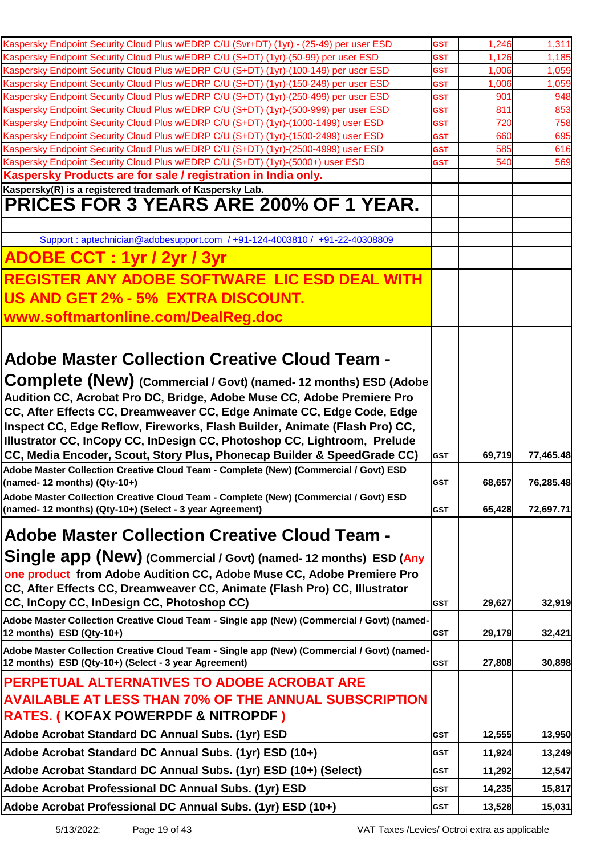| Kaspersky Endpoint Security Cloud Plus w/EDRP C/U (Svr+DT) (1yr) - (25-49) per user ESD                                                                                        | <b>GST</b>               | 1,246      | 1,311      |
|--------------------------------------------------------------------------------------------------------------------------------------------------------------------------------|--------------------------|------------|------------|
| Kaspersky Endpoint Security Cloud Plus w/EDRP C/U (S+DT) (1yr)-(50-99) per user ESD                                                                                            | GST                      | 1,126      | 1,185      |
| Kaspersky Endpoint Security Cloud Plus w/EDRP C/U (S+DT) (1yr)-(100-149) per user ESD                                                                                          | GST                      | 1,006      | 1,059      |
| Kaspersky Endpoint Security Cloud Plus w/EDRP C/U (S+DT) (1yr)-(150-249) per user ESD                                                                                          | <b>GST</b>               | 1,006      | 1,059      |
| Kaspersky Endpoint Security Cloud Plus w/EDRP C/U (S+DT) (1yr)-(250-499) per user ESD<br>Kaspersky Endpoint Security Cloud Plus w/EDRP C/U (S+DT) (1yr)-(500-999) per user ESD | <b>GST</b><br><b>GST</b> | 901<br>811 | 948<br>853 |
| Kaspersky Endpoint Security Cloud Plus w/EDRP C/U (S+DT) (1yr)-(1000-1499) user ESD                                                                                            | GST                      | 720        | 758        |
| Kaspersky Endpoint Security Cloud Plus w/EDRP C/U (S+DT) (1yr)-(1500-2499) user ESD                                                                                            | GST                      | 660        | 695        |
| Kaspersky Endpoint Security Cloud Plus w/EDRP C/U (S+DT) (1yr)-(2500-4999) user ESD                                                                                            | <b>GST</b>               | 585        | 616        |
| Kaspersky Endpoint Security Cloud Plus w/EDRP C/U (S+DT) (1yr)-(5000+) user ESD                                                                                                | <b>GST</b>               | 540        | 569        |
| Kaspersky Products are for sale / registration in India only.                                                                                                                  |                          |            |            |
| Kaspersky(R) is a registered trademark of Kaspersky Lab.<br><b>PRICES FOR 3 YEARS ARE 200% OF 1 YEAR.</b>                                                                      |                          |            |            |
|                                                                                                                                                                                |                          |            |            |
| Support: aptechnician@adobesupport.com /+91-124-4003810 / +91-22-40308809                                                                                                      |                          |            |            |
| <b>ADOBE CCT: 1yr / 2yr / 3yr</b>                                                                                                                                              |                          |            |            |
| <b>REGISTER ANY ADOBE SOFTWARE LIC ESD DEAL WITH</b>                                                                                                                           |                          |            |            |
| US AND GET 2% - 5% EXTRA DISCOUNT.                                                                                                                                             |                          |            |            |
| www.softmartonline.com/DealReg.doc                                                                                                                                             |                          |            |            |
|                                                                                                                                                                                |                          |            |            |
| <b>Adobe Master Collection Creative Cloud Team -</b>                                                                                                                           |                          |            |            |
| Complete (New) (Commercial / Govt) (named- 12 months) ESD (Adobe                                                                                                               |                          |            |            |
| Audition CC, Acrobat Pro DC, Bridge, Adobe Muse CC, Adobe Premiere Pro                                                                                                         |                          |            |            |
| CC, After Effects CC, Dreamweaver CC, Edge Animate CC, Edge Code, Edge                                                                                                         |                          |            |            |
| Inspect CC, Edge Reflow, Fireworks, Flash Builder, Animate (Flash Pro) CC,                                                                                                     |                          |            |            |
| Illustrator CC, InCopy CC, InDesign CC, Photoshop CC, Lightroom, Prelude                                                                                                       |                          |            |            |
| CC, Media Encoder, Scout, Story Plus, Phonecap Builder & SpeedGrade CC)                                                                                                        | <b>GST</b>               | 69,719     | 77,465.48  |
| Adobe Master Collection Creative Cloud Team - Complete (New) (Commercial / Govt) ESD<br>(named-12 months) (Qty-10+)                                                            | <b>GST</b>               | 68,657     | 76,285.48  |
| Adobe Master Collection Creative Cloud Team - Complete (New) (Commercial / Govt) ESD                                                                                           |                          |            |            |
| (named- 12 months) (Qty-10+) (Select - 3 year Agreement)                                                                                                                       | <b>GST</b>               | 65,428     | 72,697.71  |
| Adobe Master Collection Creative Cloud Team -                                                                                                                                  |                          |            |            |
| <b>Single app (New)</b> (Commercial / Govt) (named- 12 months) ESD (Any                                                                                                        |                          |            |            |
| one product from Adobe Audition CC, Adobe Muse CC, Adobe Premiere Pro                                                                                                          |                          |            |            |
| CC, After Effects CC, Dreamweaver CC, Animate (Flash Pro) CC, Illustrator                                                                                                      |                          |            |            |
| CC, InCopy CC, InDesign CC, Photoshop CC)                                                                                                                                      | <b>GST</b>               | 29,627     | 32,919     |
| Adobe Master Collection Creative Cloud Team - Single app (New) (Commercial / Govt) (named-                                                                                     |                          |            |            |
| 12 months) $ESD$ (Qty-10+)                                                                                                                                                     | GST                      | 29,179     | 32,421     |
| Adobe Master Collection Creative Cloud Team - Single app (New) (Commercial / Govt) (named-                                                                                     |                          |            |            |
| 12 months) ESD (Qty-10+) (Select - 3 year Agreement)                                                                                                                           | <b>GST</b>               | 27,808     | 30,898     |
| <b>PERPETUAL ALTERNATIVES TO ADOBE ACROBAT ARE</b>                                                                                                                             |                          |            |            |
| <b>AVAILABLE AT LESS THAN 70% OF THE ANNUAL SUBSCRIPTION</b>                                                                                                                   |                          |            |            |
| <b>RATES. ( KOFAX POWERPDF &amp; NITROPDF )</b>                                                                                                                                |                          |            |            |
| Adobe Acrobat Standard DC Annual Subs. (1yr) ESD                                                                                                                               | GST                      | 12,555     | 13,950     |
| Adobe Acrobat Standard DC Annual Subs. (1yr) ESD (10+)                                                                                                                         | GST                      | 11,924     | 13,249     |
| Adobe Acrobat Standard DC Annual Subs. (1yr) ESD (10+) (Select)                                                                                                                | GST                      | 11,292     | 12,547     |
| Adobe Acrobat Professional DC Annual Subs. (1yr) ESD                                                                                                                           | GST                      | 14,235     | 15,817     |
| Adobe Acrobat Professional DC Annual Subs. (1yr) ESD (10+)                                                                                                                     | <b>GST</b>               | 13,528     | 15,031     |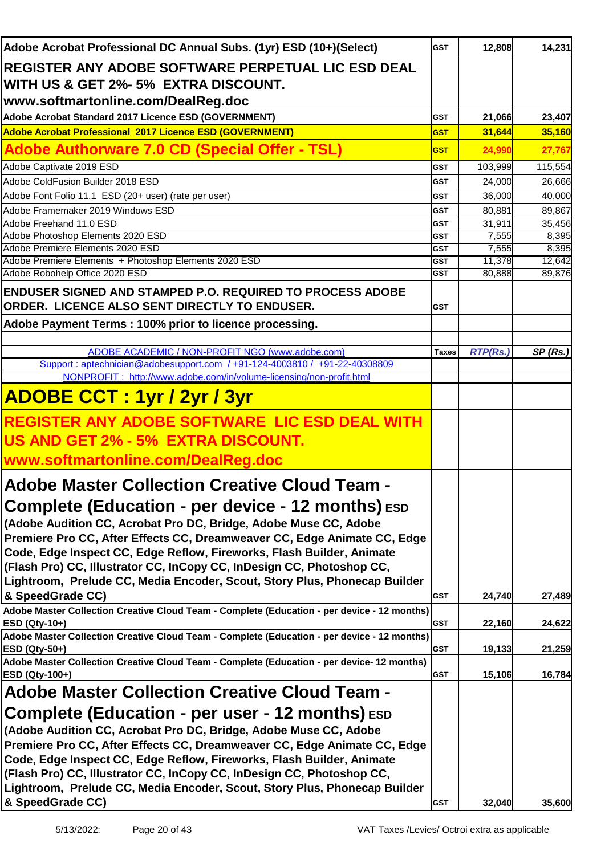| Adobe Acrobat Professional DC Annual Subs. (1yr) ESD (10+)(Select)                          | <b>GST</b>   | 12,808          | 14,231  |
|---------------------------------------------------------------------------------------------|--------------|-----------------|---------|
| REGISTER ANY ADOBE SOFTWARE PERPETUAL LIC ESD DEAL                                          |              |                 |         |
| WITH US & GET 2%- 5% EXTRA DISCOUNT.                                                        |              |                 |         |
|                                                                                             |              |                 |         |
| www.softmartonline.com/DealReg.doc                                                          |              |                 |         |
| Adobe Acrobat Standard 2017 Licence ESD (GOVERNMENT)                                        | <b>GST</b>   | 21,066          | 23,407  |
| Adobe Acrobat Professional 2017 Licence ESD (GOVERNMENT)                                    | <b>GST</b>   | 31,644          | 35,160  |
| <b>Adobe Authorware 7.0 CD (Special Offer - TSL)</b>                                        | <b>GST</b>   | 24,990          | 27,767  |
| Adobe Captivate 2019 ESD                                                                    | <b>GST</b>   | 103,999         | 115,554 |
| Adobe ColdFusion Builder 2018 ESD                                                           | <b>GST</b>   | 24,000          | 26,666  |
| Adobe Font Folio 11.1 ESD (20+ user) (rate per user)                                        | <b>GST</b>   | 36,000          | 40,000  |
| Adobe Framemaker 2019 Windows ESD                                                           | <b>GST</b>   | 80,881          | 89,867  |
| Adobe Freehand 11.0 ESD                                                                     | <b>GST</b>   | 31,911          | 35,456  |
| Adobe Photoshop Elements 2020 ESD                                                           | GST          | 7,555           | 8,395   |
| Adobe Premiere Elements 2020 ESD                                                            | <b>GST</b>   | 7,555           | 8,395   |
| Adobe Premiere Elements + Photoshop Elements 2020 ESD                                       | <b>GST</b>   | 11,378          | 12,642  |
| Adobe Robohelp Office 2020 ESD                                                              | <b>GST</b>   | 80,888          | 89,876  |
| <b>ENDUSER SIGNED AND STAMPED P.O. REQUIRED TO PROCESS ADOBE</b>                            |              |                 |         |
| ORDER. LICENCE ALSO SENT DIRECTLY TO ENDUSER.                                               | <b>GST</b>   |                 |         |
| Adobe Payment Terms: 100% prior to licence processing.                                      |              |                 |         |
|                                                                                             |              |                 |         |
| ADOBE ACADEMIC / NON-PROFIT NGO (www.adobe.com)                                             | <b>Taxes</b> | <b>RTP(Rs.)</b> | SP(Rs.) |
| Support: aptechnician@adobesupport.com /+91-124-4003810 / +91-22-40308809                   |              |                 |         |
| NONPROFIT: http://www.adobe.com/in/volume-licensing/non-profit.html                         |              |                 |         |
|                                                                                             |              |                 |         |
| <b>ADOBE CCT: 1yr / 2yr / 3yr</b>                                                           |              |                 |         |
| REGISTER ANY ADOBE SOFTWARE LIC ESD DEAL WITH                                               |              |                 |         |
| US AND GET 2% - 5% EXTRA DISCOUNT.                                                          |              |                 |         |
| www.softmartonline.com/DealReg.doc                                                          |              |                 |         |
|                                                                                             |              |                 |         |
| <b>Adobe Master Collection Creative Cloud Team -</b>                                        |              |                 |         |
| Complete (Education - per device - 12 months) ESD                                           |              |                 |         |
| (Adobe Audition CC, Acrobat Pro DC, Bridge, Adobe Muse CC, Adobe                            |              |                 |         |
| Premiere Pro CC, After Effects CC, Dreamweaver CC, Edge Animate CC, Edge                    |              |                 |         |
| Code, Edge Inspect CC, Edge Reflow, Fireworks, Flash Builder, Animate                       |              |                 |         |
| (Flash Pro) CC, Illustrator CC, InCopy CC, InDesign CC, Photoshop CC,                       |              |                 |         |
| Lightroom, Prelude CC, Media Encoder, Scout, Story Plus, Phonecap Builder                   |              |                 |         |
| & SpeedGrade CC)                                                                            | <b>GST</b>   | 24,740          | 27,489  |
| Adobe Master Collection Creative Cloud Team - Complete (Education - per device - 12 months) |              |                 |         |
| ESD (Qty-10+)                                                                               | <b>GST</b>   | 22,160          | 24,622  |
| Adobe Master Collection Creative Cloud Team - Complete (Education - per device - 12 months) |              |                 |         |
| <b>ESD (Qty-50+)</b>                                                                        | <b>GST</b>   | 19,133          | 21,259  |
| Adobe Master Collection Creative Cloud Team - Complete (Education - per device- 12 months)  |              |                 |         |
| ESD (Qty-100+)                                                                              | <b>GST</b>   | 15,106          | 16,784  |
| <b>Adobe Master Collection Creative Cloud Team -</b>                                        |              |                 |         |
| <b>Complete (Education - per user - 12 months)</b> ESD                                      |              |                 |         |
| (Adobe Audition CC, Acrobat Pro DC, Bridge, Adobe Muse CC, Adobe                            |              |                 |         |
| Premiere Pro CC, After Effects CC, Dreamweaver CC, Edge Animate CC, Edge                    |              |                 |         |
| Code, Edge Inspect CC, Edge Reflow, Fireworks, Flash Builder, Animate                       |              |                 |         |
| (Flash Pro) CC, Illustrator CC, InCopy CC, InDesign CC, Photoshop CC,                       |              |                 |         |
|                                                                                             |              |                 |         |
| Lightroom, Prelude CC, Media Encoder, Scout, Story Plus, Phonecap Builder                   |              |                 |         |
| & SpeedGrade CC)                                                                            | <b>GST</b>   | 32,040          | 35,600  |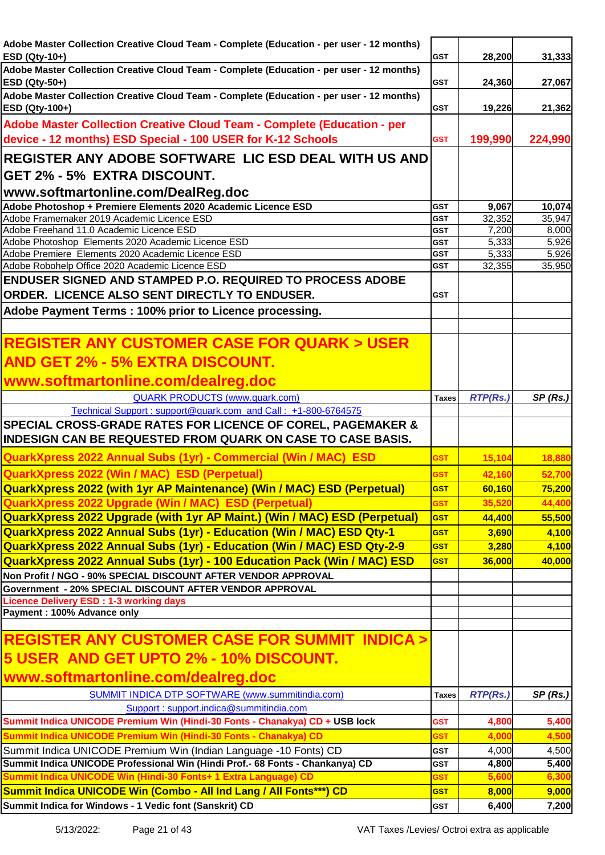| Adobe Master Collection Creative Cloud Team - Complete (Education - per user - 12 months)                                    |                          |                 |                |
|------------------------------------------------------------------------------------------------------------------------------|--------------------------|-----------------|----------------|
| ESD (Qty-10+)                                                                                                                | <b>GST</b>               | 28,200          | 31,333         |
| Adobe Master Collection Creative Cloud Team - Complete (Education - per user - 12 months)                                    |                          |                 |                |
| ESD (Qty-50+)                                                                                                                | <b>GST</b>               | 24,360          | 27,067         |
| Adobe Master Collection Creative Cloud Team - Complete (Education - per user - 12 months)                                    | <b>GST</b>               |                 |                |
| ESD (Qty-100+)                                                                                                               |                          | 19,226          | 21,362         |
| Adobe Master Collection Creative Cloud Team - Complete (Education - per                                                      |                          |                 |                |
| device - 12 months) ESD Special - 100 USER for K-12 Schools                                                                  | <b>GST</b>               | 199,990         | 224,990        |
| REGISTER ANY ADOBE SOFTWARE LIC ESD DEAL WITH US AND                                                                         |                          |                 |                |
| GET 2% - 5% EXTRA DISCOUNT.                                                                                                  |                          |                 |                |
|                                                                                                                              |                          |                 |                |
| www.softmartonline.com/DealReg.doc                                                                                           |                          |                 |                |
| Adobe Photoshop + Premiere Elements 2020 Academic Licence ESD                                                                | <b>GST</b>               | 9,067           | 10,074         |
| Adobe Framemaker 2019 Academic Licence ESD<br>Adobe Freehand 11.0 Academic Licence ESD                                       | <b>GST</b>               | 32,352          | 35,947         |
| Adobe Photoshop Elements 2020 Academic Licence ESD                                                                           | <b>GST</b><br><b>GST</b> | 7,200<br>5,333  | 8,000<br>5,926 |
| Adobe Premiere Elements 2020 Academic Licence ESD                                                                            | <b>GST</b>               | 5,333           | 5,926          |
| Adobe Robohelp Office 2020 Academic Licence ESD                                                                              | <b>GST</b>               | 32,355          | 35,950         |
| <b>ENDUSER SIGNED AND STAMPED P.O. REQUIRED TO PROCESS ADOBE</b>                                                             |                          |                 |                |
| ORDER. LICENCE ALSO SENT DIRECTLY TO ENDUSER.                                                                                | <b>GST</b>               |                 |                |
|                                                                                                                              |                          |                 |                |
| Adobe Payment Terms: 100% prior to Licence processing.                                                                       |                          |                 |                |
|                                                                                                                              |                          |                 |                |
| <b>REGISTER ANY CUSTOMER CASE FOR QUARK &gt; USER</b>                                                                        |                          |                 |                |
|                                                                                                                              |                          |                 |                |
| <b>AND GET 2% - 5% EXTRA DISCOUNT.</b>                                                                                       |                          |                 |                |
| www.softmartonline.com/dealreg.doc                                                                                           |                          |                 |                |
| <b>QUARK PRODUCTS (www.quark.com)</b>                                                                                        | <b>Taxes</b>             | <b>RTP(Rs.)</b> | SP(Rs.)        |
| Technical Support: support@quark.com and Call: +1-800-6764575                                                                |                          |                 |                |
| SPECIAL CROSS-GRADE RATES FOR LICENCE OF COREL, PAGEMAKER &                                                                  |                          |                 |                |
| INDESIGN CAN BE REQUESTED FROM QUARK ON CASE TO CASE BASIS.                                                                  |                          |                 |                |
|                                                                                                                              |                          |                 |                |
|                                                                                                                              |                          |                 |                |
| QuarkXpress 2022 Annual Subs (1yr) - Commercial (Win / MAC) ESD                                                              | <b>GST</b>               | 15,104          | 18,880         |
| QuarkXpress 2022 (Win / MAC) ESD (Perpetual)                                                                                 | <b>GST</b>               | 42,160          | 52,700         |
| <b>QuarkXpress 2022 (with 1yr AP Maintenance) (Win / MAC) ESD (Perpetual)</b>                                                | <b>GST</b>               | 60,160          | 75,200         |
| <b>QuarkXpress 2022 Upgrade (Win / MAC) ESD (Perpetual)</b>                                                                  | <b>GST</b>               | 35,520          | 44,400         |
|                                                                                                                              | <b>GST</b>               | 44,400          | 55,500         |
| QuarkXpress 2022 Upgrade (with 1yr AP Maint.) (Win / MAC) ESD (Perpetual)                                                    |                          |                 |                |
| <b>QuarkXpress 2022 Annual Subs (1yr) - Education (Win / MAC) ESD Qty-1</b>                                                  | <b>GST</b>               | 3,690           | 4,100          |
| <b>QuarkXpress 2022 Annual Subs (1yr) - Education (Win / MAC) ESD Qty-2-9</b>                                                | <b>GST</b>               | 3,280           | 4,100          |
| QuarkXpress 2022 Annual Subs (1yr) - 100 Education Pack (Win / MAC) ESD                                                      | <b>GST</b>               | 36,000          | 40,000         |
| Non Profit / NGO - 90% SPECIAL DISCOUNT AFTER VENDOR APPROVAL                                                                |                          |                 |                |
| Government - 20% SPECIAL DISCOUNT AFTER VENDOR APPROVAL                                                                      |                          |                 |                |
| <b>Licence Delivery ESD: 1-3 working days</b>                                                                                |                          |                 |                |
| Payment: 100% Advance only                                                                                                   |                          |                 |                |
|                                                                                                                              |                          |                 |                |
| <b>REGISTER ANY CUSTOMER CASE FOR SUMMIT INDICA &gt;</b>                                                                     |                          |                 |                |
| 5 USER AND GET UPTO 2% - 10% DISCOUNT.                                                                                       |                          |                 |                |
|                                                                                                                              |                          |                 |                |
| www.softmartonline.com/dealreg.doc                                                                                           |                          |                 |                |
| SUMMIT INDICA DTP SOFTWARE (www.summitindia.com)                                                                             | <b>Taxes</b>             | <b>RTP(Rs.)</b> | SP(Rs.)        |
| Support: support.indica@summitindia.com                                                                                      |                          |                 |                |
| Summit Indica UNICODE Premium Win (Hindi-30 Fonts - Chanakya) CD + USB lock                                                  | <b>GST</b>               | 4,800           | 5,400          |
| Summit Indica UNICODE Premium Win (Hindi-30 Fonts - Chanakya) CD                                                             | <b>GST</b>               | 4,000           | 4,500          |
| Summit Indica UNICODE Premium Win (Indian Language -10 Fonts) CD                                                             | <b>GST</b>               | 4,000           | 4,500          |
| Summit Indica UNICODE Professional Win (Hindi Prof.- 68 Fonts - Chankanya) CD                                                | <b>GST</b>               | 4,800           | 5,400          |
| Summit Indica UNICODE Win (Hindi-30 Fonts+ 1 Extra Language) CD                                                              | <b>GST</b>               | 5,600           | 6,300          |
| Summit Indica UNICODE Win (Combo - All Ind Lang / All Fonts***) CD<br>Summit Indica for Windows - 1 Vedic font (Sanskrit) CD | <b>GST</b><br><b>GST</b> | 8,000<br>6,400  | 9,000<br>7,200 |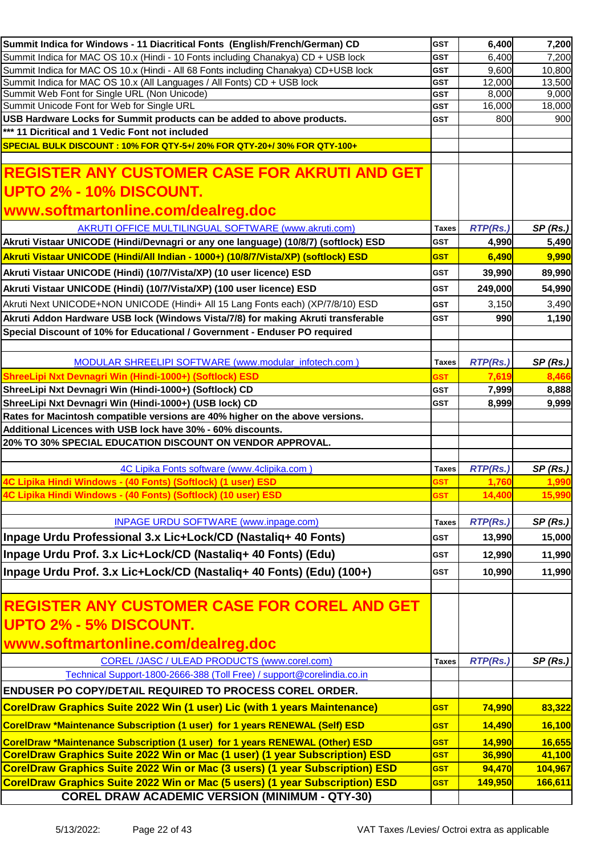| Summit Indica for Windows - 11 Diacritical Fonts (English/French/German) CD                | <b>GST</b>               | 6,400           | 7,200           |
|--------------------------------------------------------------------------------------------|--------------------------|-----------------|-----------------|
| Summit Indica for MAC OS 10.x (Hindi - 10 Fonts including Chanakya) CD + USB lock          | <b>GST</b>               | 6,400           | 7,200           |
| Summit Indica for MAC OS 10.x (Hindi - All 68 Fonts including Chanakya) CD+USB lock        | <b>GST</b>               | 9,600           | 10,800          |
| Summit Indica for MAC OS 10.x (All Languages / All Fonts) CD + USB lock                    | <b>GST</b>               | 12,000          | 13,500          |
| Summit Web Font for Single URL (Non Unicode)<br>Summit Unicode Font for Web for Single URL | <b>GST</b><br><b>GST</b> | 8,000<br>16,000 | 9,000<br>18,000 |
| USB Hardware Locks for Summit products can be added to above products.                     | <b>GST</b>               | 800             | 900             |
| *** 11 Dicritical and 1 Vedic Font not included                                            |                          |                 |                 |
| SPECIAL BULK DISCOUNT: 10% FOR QTY-5+/20% FOR QTY-20+/30% FOR QTY-100+                     |                          |                 |                 |
|                                                                                            |                          |                 |                 |
| <b>REGISTER ANY CUSTOMER CASE FOR AKRUTI AND GET</b>                                       |                          |                 |                 |
| UPTO 2% - 10% DISCOUNT.                                                                    |                          |                 |                 |
| www.softmartonline.com/dealreg.doc                                                         |                          |                 |                 |
| <b>AKRUTI OFFICE MULTILINGUAL SOFTWARE (www.akruti.com)</b>                                | <b>Taxes</b>             | <b>RTP(Rs.)</b> | SP(Rs.)         |
| Akruti Vistaar UNICODE (Hindi/Devnagri or any one language) (10/8/7) (softlock) ESD        | <b>GST</b>               | 4,990           | 5,490           |
| Akruti Vistaar UNICODE (Hindi/All Indian - 1000+) (10/8/7/Vista/XP) (softlock) ESD         | <b>GST</b>               | 6,490           | 9,990           |
| Akruti Vistaar UNICODE (Hindi) (10/7/Vista/XP) (10 user licence) ESD                       | <b>GST</b>               | 39,990          | 89,990          |
| Akruti Vistaar UNICODE (Hindi) (10/7/Vista/XP) (100 user licence) ESD                      | <b>GST</b>               | 249,000         | 54,990          |
| Akruti Next UNICODE+NON UNICODE (Hindi+ All 15 Lang Fonts each) (XP/7/8/10) ESD            | <b>GST</b>               | 3,150           | 3,490           |
| Akruti Addon Hardware USB lock (Windows Vista/7/8) for making Akruti transferable          | <b>GST</b>               | 990             | 1,190           |
| Special Discount of 10% for Educational / Government - Enduser PO required                 |                          |                 |                 |
|                                                                                            |                          |                 |                 |
| MODULAR SHREELIPI SOFTWARE (www.modular_infotech.com)                                      | <b>Taxes</b>             | <b>RTP(Rs.)</b> | SP(Rs.)         |
| ShreeLipi Nxt Devnagri Win (Hindi-1000+) (Softlock) ESD                                    | <b>GST</b>               | 7,619           | 8,466           |
| ShreeLipi Nxt Devnagri Win (Hindi-1000+) (Softlock) CD                                     | <b>GST</b>               | 7,999           | 8,888           |
| ShreeLipi Nxt Devnagri Win (Hindi-1000+) (USB lock) CD                                     | <b>GST</b>               | 8,999           | 9,999           |
| Rates for Macintosh compatible versions are 40% higher on the above versions.              |                          |                 |                 |
| Additional Licences with USB lock have 30% - 60% discounts.                                |                          |                 |                 |
| 20% TO 30% SPECIAL EDUCATION DISCOUNT ON VENDOR APPROVAL.                                  |                          |                 |                 |
|                                                                                            |                          |                 |                 |
| 4C Lipika Fonts software (www.4clipika.com)                                                | <b>Taxes</b>             | <b>RTP(Rs.)</b> | SP(Rs.)         |
| 4C Lipika Hindi Windows - (40 Fonts) (Softlock) (1 user) ESD                               | <b>GST</b>               | 1,760           | 1,990           |
| 4C Lipika Hindi Windows - (40 Fonts) (Softlock) (10 user) ESD                              | 35 I                     | 14,400          | 15,990          |
| <b>INPAGE URDU SOFTWARE (www.inpage.com)</b>                                               | <b>Taxes</b>             | RTP(Rs.)        | SP(Rs.)         |
| Inpage Urdu Professional 3.x Lic+Lock/CD (Nastaliq+ 40 Fonts)                              | <b>GST</b>               | 13,990          | 15,000          |
| Inpage Urdu Prof. 3.x Lic+Lock/CD (Nastaliq+ 40 Fonts) (Edu)                               | <b>GST</b>               | 12,990          | 11,990          |
| Inpage Urdu Prof. 3.x Lic+Lock/CD (Nastaliq+ 40 Fonts) (Edu) (100+)                        | <b>GST</b>               | 10,990          | 11,990          |
|                                                                                            |                          |                 |                 |
| <b>REGISTER ANY CUSTOMER CASE FOR COREL AND GET</b>                                        |                          |                 |                 |
| UPTO 2% - 5% DISCOUNT.                                                                     |                          |                 |                 |
| www.softmartonline.com/dealreg.doc                                                         |                          |                 |                 |
| <b>COREL /JASC / ULEAD PRODUCTS (www.corel.com)</b>                                        | <b>Taxes</b>             | <b>RTP(Rs.)</b> | SP(Rs.)         |
| Technical Support-1800-2666-388 (Toll Free) / support@corelindia.co.in                     |                          |                 |                 |
| <b>ENDUSER PO COPY/DETAIL REQUIRED TO PROCESS COREL ORDER.</b>                             |                          |                 |                 |
| CorelDraw Graphics Suite 2022 Win (1 user) Lic (with 1 years Maintenance)                  | <b>GST</b>               | 74,990          | 83,322          |
|                                                                                            |                          |                 |                 |
| CorelDraw *Maintenance Subscription (1 user) for 1 years RENEWAL (Self) ESD                | <b>GST</b>               | 14,490          | 16,100          |
| CorelDraw *Maintenance Subscription (1 user) for 1 years RENEWAL (Other) ESD               | <b>GST</b>               | 14,990          | 16,655          |
| CorelDraw Graphics Suite 2022 Win or Mac (1 user) (1 year Subscription) ESD                | <b>GST</b>               | 36,990          | 41,100          |
| <b>CorelDraw Graphics Suite 2022 Win or Mac (3 users) (1 year Subscription) ESD</b>        | <b>GST</b>               | 94,470          | 104,967         |
| CorelDraw Graphics Suite 2022 Win or Mac (5 users) (1 year Subscription) ESD               | <b>GST</b>               | 149,950         | 166,611         |
| <b>COREL DRAW ACADEMIC VERSION (MINIMUM - QTY-30)</b>                                      |                          |                 |                 |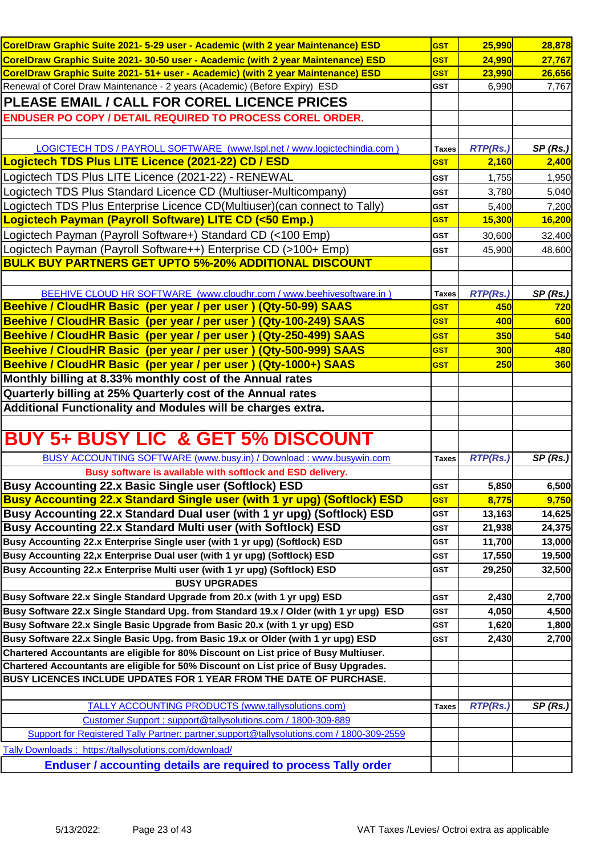| CorelDraw Graphic Suite 2021- 5-29 user - Academic (with 2 year Maintenance) ESD          | <b>GST</b>   | 25,990          | 28,878     |
|-------------------------------------------------------------------------------------------|--------------|-----------------|------------|
| CorelDraw Graphic Suite 2021- 30-50 user - Academic (with 2 year Maintenance) ESD         | <b>GST</b>   | 24,990          | 27,767     |
| CorelDraw Graphic Suite 2021- 51+ user - Academic) (with 2 year Maintenance) ESD          | <b>GST</b>   | 23,990          | 26,656     |
| Renewal of Corel Draw Maintenance - 2 years (Academic) (Before Expiry) ESD                | <b>GST</b>   | 6,990           | 7,767      |
| PLEASE EMAIL / CALL FOR COREL LICENCE PRICES                                              |              |                 |            |
| <b>ENDUSER PO COPY / DETAIL REQUIRED TO PROCESS COREL ORDER.</b>                          |              |                 |            |
|                                                                                           |              |                 |            |
| LOGICTECH TDS / PAYROLL SOFTWARE (www.lspl.net / www.logictechindia.com)                  | <b>Taxes</b> | <b>RTP(Rs.)</b> | SP(Rs.)    |
| Logictech TDS Plus LITE Licence (2021-22) CD / ESD                                        | <b>GST</b>   | 2,160           | 2,400      |
|                                                                                           |              |                 |            |
| Logictech TDS Plus LITE Licence (2021-22) - RENEWAL                                       | <b>GST</b>   | 1,755           | 1,950      |
| Logictech TDS Plus Standard Licence CD (Multiuser-Multicompany)                           | <b>GST</b>   | 3,780           | 5,040      |
| Logictech TDS Plus Enterprise Licence CD(Multiuser) (can connect to Tally)                | <b>GST</b>   | 5,400           | 7,200      |
| Logictech Payman (Payroll Software) LITE CD (<50 Emp.)                                    | <b>GST</b>   | 15,300          | 16,200     |
| Logictech Payman (Payroll Software+) Standard CD (<100 Emp)                               | <b>GST</b>   | 30,600          | 32,400     |
| Logictech Payman (Payroll Software++) Enterprise CD (>100+ Emp)                           | <b>GST</b>   | 45,900          | 48,600     |
| <b>BULK BUY PARTNERS GET UPTO 5%-20% ADDITIONAL DISCOUNT</b>                              |              |                 |            |
|                                                                                           |              |                 |            |
| BEEHIVE CLOUD HR SOFTWARE (www.cloudhr.com / www.beehivesoftware.in)                      | <b>Taxes</b> | <b>RTP(Rs.)</b> | SP(Rs.)    |
| Beehive / CloudHR Basic (per year / per user ) (Qty-50-99) SAAS                           | <b>GST</b>   | 450             | <b>720</b> |
| Beehive / CloudHR Basic (per year / per user) (Qty-100-249) SAAS                          | <b>GST</b>   | 400             | 600        |
| Beehive / CloudHR Basic (per year / per user) (Qty-250-499) SAAS                          | <b>GST</b>   | 350             | 540        |
| Beehive / CloudHR Basic (per year / per user) (Qty-500-999) SAAS                          | <b>GST</b>   | 300             | 480        |
| Beehive / CloudHR Basic (per year / per user ) (Qty-1000+) SAAS                           | <b>GST</b>   | 250             | 360        |
| Monthly billing at 8.33% monthly cost of the Annual rates                                 |              |                 |            |
| Quarterly billing at 25% Quarterly cost of the Annual rates                               |              |                 |            |
| Additional Functionality and Modules will be charges extra.                               |              |                 |            |
|                                                                                           |              |                 |            |
|                                                                                           |              |                 |            |
| <b>BUY 5+ BUSY LIC &amp; GET 5% DISCOUNT</b>                                              |              |                 |            |
| BUSY ACCOUNTING SOFTWARE (www.busy.in) / Download : www.busywin.com                       | <b>Taxes</b> | <b>RTP(Rs.)</b> | SP(Rs.)    |
| Busy software is available with softlock and ESD delivery.                                |              |                 |            |
| Busy Accounting 22.x Basic Single user (Softlock) ESD                                     | <b>GST</b>   | 5,850           | 6,500      |
| <b>Busy Accounting 22.x Standard Single user (with 1 yr upg) (Softlock) ESD</b>           | <b>GST</b>   | 8,775           | 9,750      |
| Busy Accounting 22.x Standard Dual user (with 1 yr upg) (Softlock) ESD                    | <b>GST</b>   | 13,163          | 14,625     |
| Busy Accounting 22.x Standard Multi user (with Softlock) ESD                              | <b>GST</b>   | 21,938          | 24,375     |
| Busy Accounting 22.x Enterprise Single user (with 1 yr upg) (Softlock) ESD                | <b>GST</b>   | 11,700          | 13,000     |
| Busy Accounting 22,x Enterprise Dual user (with 1 yr upg) (Softlock) ESD                  | <b>GST</b>   | 17,550          | 19,500     |
| Busy Accounting 22.x Enterprise Multi user (with 1 yr upg) (Softlock) ESD                 | <b>GST</b>   | 29,250          | 32,500     |
| <b>BUSY UPGRADES</b>                                                                      |              |                 |            |
| Busy Software 22.x Single Standard Upgrade from 20.x (with 1 yr upg) ESD                  | <b>GST</b>   | 2,430           | 2,700      |
| Busy Software 22.x Single Standard Upg. from Standard 19.x / Older (with 1 yr upg) ESD    | <b>GST</b>   | 4,050           | 4,500      |
| Busy Software 22.x Single Basic Upgrade from Basic 20.x (with 1 yr upg) ESD               | <b>GST</b>   | 1,620           | 1,800      |
| Busy Software 22.x Single Basic Upg. from Basic 19.x or Older (with 1 yr upg) ESD         | <b>GST</b>   | 2,430           | 2,700      |
| Chartered Accountants are eligible for 80% Discount on List price of Busy Multiuser.      |              |                 |            |
| Chartered Accountants are eligible for 50% Discount on List price of Busy Upgrades.       |              |                 |            |
| BUSY LICENCES INCLUDE UPDATES FOR 1 YEAR FROM THE DATE OF PURCHASE.                       |              |                 |            |
|                                                                                           |              |                 |            |
| <b>TALLY ACCOUNTING PRODUCTS (www.tallysolutions.com)</b>                                 | <b>Taxes</b> | <b>RTP(Rs.)</b> | SP(Rs.)    |
| Customer Support: support@tallysolutions.com / 1800-309-889                               |              |                 |            |
| Support for Registered Tally Partner: partner, support@tallysolutions.com / 1800-309-2559 |              |                 |            |
| Tally Downloads: https://tallysolutions.com/download/                                     |              |                 |            |
| <b>Enduser / accounting details are required to process Tally order</b>                   |              |                 |            |
|                                                                                           |              |                 |            |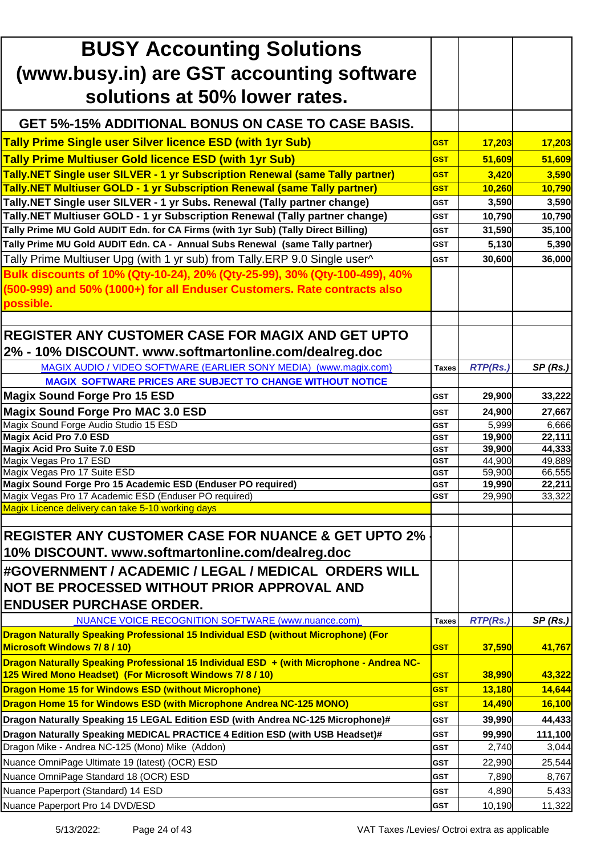| <b>BUSY Accounting Solutions</b>                                                         |                          |                  |                  |
|------------------------------------------------------------------------------------------|--------------------------|------------------|------------------|
| (www.busy.in) are GST accounting software                                                |                          |                  |                  |
| solutions at 50% lower rates.                                                            |                          |                  |                  |
|                                                                                          |                          |                  |                  |
| <b>GET 5%-15% ADDITIONAL BONUS ON CASE TO CASE BASIS.</b>                                |                          |                  |                  |
| <b>Tally Prime Single user Silver licence ESD (with 1yr Sub)</b>                         | <b>GST</b>               | 17,203           | 17,203           |
| <b>Tally Prime Multiuser Gold licence ESD (with 1yr Sub)</b>                             | <b>GST</b>               | 51,609           | 51,609           |
| <b>Tally.NET Single user SILVER - 1 yr Subscription Renewal (same Tally partner)</b>     | <b>GST</b>               | 3,420            | 3,590            |
| <b>Tally.NET Multiuser GOLD - 1 yr Subscription Renewal (same Tally partner)</b>         | <b>GST</b>               | 10,260           | 10,790           |
| Tally.NET Single user SILVER - 1 yr Subs. Renewal (Tally partner change)                 | <b>GST</b>               | 3,590            | 3,590            |
| Tally.NET Multiuser GOLD - 1 yr Subscription Renewal (Tally partner change)              | <b>GST</b>               | 10,790           | 10,790           |
| Tally Prime MU Gold AUDIT Edn. for CA Firms (with 1yr Sub) (Tally Direct Billing)        | <b>GST</b>               | 31,590           | 35,100           |
| Tally Prime MU Gold AUDIT Edn. CA - Annual Subs Renewal (same Tally partner)             | <b>GST</b>               | 5,130            | 5,390            |
| Tally Prime Multiuser Upg (with 1 yr sub) from Tally.ERP 9.0 Single user^                | <b>GST</b>               | 30,600           | 36,000           |
| Bulk discounts of 10% (Qty-10-24), 20% (Qty-25-99), 30% (Qty-100-499), 40%               |                          |                  |                  |
| (500-999) and 50% (1000+) for all Enduser Customers. Rate contracts also                 |                          |                  |                  |
| possible.                                                                                |                          |                  |                  |
|                                                                                          |                          |                  |                  |
| <b>REGISTER ANY CUSTOMER CASE FOR MAGIX AND GET UPTO</b>                                 |                          |                  |                  |
| 2% - 10% DISCOUNT. www.softmartonline.com/dealreg.doc                                    |                          |                  |                  |
|                                                                                          |                          |                  |                  |
| MAGIX AUDIO / VIDEO SOFTWARE (EARLIER SONY MEDIA) (www.magix.com)                        | <b>Taxes</b>             | <b>RTP(Rs.)</b>  | SP(Rs.)          |
| <b>MAGIX SOFTWARE PRICES ARE SUBJECT TO CHANGE WITHOUT NOTICE</b>                        |                          |                  |                  |
| <b>Magix Sound Forge Pro 15 ESD</b>                                                      | GST                      | 29,900           | 33,222           |
| <b>Magix Sound Forge Pro MAC 3.0 ESD</b>                                                 | <b>GST</b>               | 24,900           | 27,667           |
| Magix Sound Forge Audio Studio 15 ESD                                                    | <b>GST</b>               | 5,999            | 6,666            |
| <b>Magix Acid Pro 7.0 ESD</b><br><b>Magix Acid Pro Suite 7.0 ESD</b>                     | <b>GST</b><br><b>GST</b> | 19,900<br>39,900 | 22,111<br>44,333 |
| Magix Vegas Pro 17 ESD                                                                   | <b>GST</b>               | 44,900           | 49,889           |
| Magix Vegas Pro 17 Suite ESD                                                             | <b>GST</b>               | 59,900           | 66,555           |
| Magix Sound Forge Pro 15 Academic ESD (Enduser PO required)                              | <b>GST</b>               | 19,990           | 22,211           |
| Magix Vegas Pro 17 Academic ESD (Enduser PO required)                                    | <b>GST</b>               | 29,990           | 33,322           |
| Magix Licence delivery can take 5-10 working days                                        |                          |                  |                  |
| <b>IREGISTER ANY CUSTOMER CASE FOR NUANCE &amp; GET UPTO 2%</b>                          |                          |                  |                  |
|                                                                                          |                          |                  |                  |
| 10% DISCOUNT. www.softmartonline.com/dealreg.doc                                         |                          |                  |                  |
| #GOVERNMENT / ACADEMIC / LEGAL / MEDICAL ORDERS WILL                                     |                          |                  |                  |
| NOT BE PROCESSED WITHOUT PRIOR APPROVAL AND                                              |                          |                  |                  |
| <b>ENDUSER PURCHASE ORDER.</b>                                                           |                          |                  |                  |
| <b>NUANCE VOICE RECOGNITION SOFTWARE (www.nuance.com)</b>                                | <b>Taxes</b>             | <b>RTP(Rs.)</b>  | SP(Rs.)          |
| Dragon Naturally Speaking Professional 15 Individual ESD (without Microphone) (For       |                          |                  |                  |
| <b>Microsoft Windows 7/8/10)</b>                                                         | <b>GST</b>               | 37,590           | 41,767           |
| Dragon Naturally Speaking Professional 15 Individual ESD + (with Microphone - Andrea NC- |                          |                  |                  |
| 125 Wired Mono Headset) (For Microsoft Windows 7/8/10)                                   | <b>GST</b>               | 38,990           | 43,322           |
| <b>Dragon Home 15 for Windows ESD (without Microphone)</b>                               | <b>GST</b>               | 13,180           | 14,644           |
| Dragon Home 15 for Windows ESD (with Microphone Andrea NC-125 MONO)                      | <b>GST</b>               | 14,490           | 16,100           |
| Dragon Naturally Speaking 15 LEGAL Edition ESD (with Andrea NC-125 Microphone)#          | <b>GST</b>               | 39,990           | 44,433           |
| Dragon Naturally Speaking MEDICAL PRACTICE 4 Edition ESD (with USB Headset)#             | <b>GST</b>               | 99,990           | 111,100          |
| Dragon Mike - Andrea NC-125 (Mono) Mike (Addon)                                          | <b>GST</b>               | 2,740            | 3,044            |
| Nuance OmniPage Ultimate 19 (latest) (OCR) ESD                                           | <b>GST</b>               | 22,990           | 25,544           |
| Nuance OmniPage Standard 18 (OCR) ESD                                                    | <b>GST</b>               | 7,890            | 8,767            |
| Nuance Paperport (Standard) 14 ESD                                                       | <b>GST</b>               | 4,890            | 5,433            |
| Nuance Paperport Pro 14 DVD/ESD                                                          | <b>GST</b>               | 10,190           | 11,322           |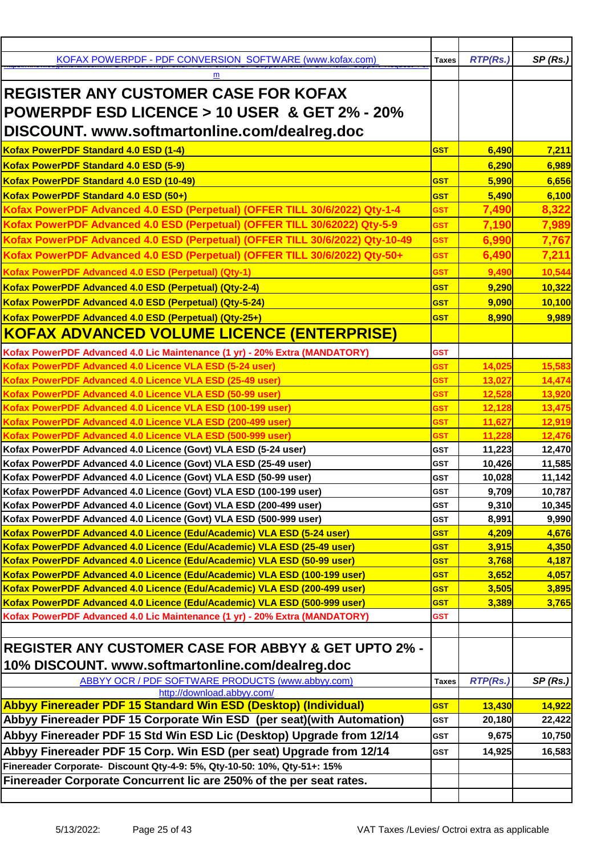| KOFAX POWERPDF - PDF CONVERSION SOFTWARE (www.kofax.com)                                                                 | <b>Taxes</b> | <b>RTP(Rs.)</b>  | SP(Rs.)          |
|--------------------------------------------------------------------------------------------------------------------------|--------------|------------------|------------------|
| m                                                                                                                        |              |                  |                  |
| <b>REGISTER ANY CUSTOMER CASE FOR KOFAX</b>                                                                              |              |                  |                  |
|                                                                                                                          |              |                  |                  |
| <b>POWERPDF ESD LICENCE &gt; 10 USER &amp; GET 2% - 20%</b>                                                              |              |                  |                  |
| DISCOUNT. www.softmartonline.com/dealreg.doc                                                                             |              |                  |                  |
| Kofax PowerPDF Standard 4.0 ESD (1-4)                                                                                    | <b>GST</b>   | 6,490            | 7,211            |
| Kofax PowerPDF Standard 4.0 ESD (5-9)                                                                                    |              | 6,290            | 6,989            |
| Kofax PowerPDF Standard 4.0 ESD (10-49)                                                                                  | <b>GST</b>   | 5,990            | 6,656            |
| Kofax PowerPDF Standard 4.0 ESD (50+)                                                                                    | <b>GST</b>   | 5,490            | 6,100            |
| Kofax PowerPDF Advanced 4.0 ESD (Perpetual) (OFFER TILL 30/6/2022) Qty-1-4                                               | <b>GST</b>   | 7,490            | 8,322            |
| Kofax PowerPDF Advanced 4.0 ESD (Perpetual) (OFFER TILL 30/62022) Qty-5-9                                                | <b>GST</b>   | 7,190            | 7,989            |
| Kofax PowerPDF Advanced 4.0 ESD (Perpetual) (OFFER TILL 30/6/2022) Qty-10-49                                             | <b>GST</b>   | 6,990            | 7,767            |
| Kofax PowerPDF Advanced 4.0 ESD (Perpetual) (OFFER TILL 30/6/2022) Qty-50+                                               | <b>GST</b>   | 6,490            | 7,211            |
| Kofax PowerPDF Advanced 4.0 ESD (Perpetual) (Qty-1)                                                                      | <b>GST</b>   | 9,490            | 10,544           |
| Kofax PowerPDF Advanced 4.0 ESD (Perpetual) (Qty-2-4)                                                                    | <b>GST</b>   | 9,290            | 10,322           |
| Kofax PowerPDF Advanced 4.0 ESD (Perpetual) (Qty-5-24)                                                                   | <b>GST</b>   | 9,090            | 10,100           |
| Kofax PowerPDF Advanced 4.0 ESD (Perpetual) (Qty-25+)                                                                    |              |                  |                  |
|                                                                                                                          | <b>GST</b>   | 8,990            | 9,989            |
| <b>KOFAX ADVANCED VOLUME LICENCE (ENTERPRISE)</b>                                                                        |              |                  |                  |
| Kofax PowerPDF Advanced 4.0 Lic Maintenance (1 yr) - 20% Extra (MANDATORY)                                               | <b>GST</b>   |                  |                  |
| Kofax PowerPDF Advanced 4.0 Licence VLA ESD (5-24 user)                                                                  | GST          | 14,025           | 15,583           |
| Kofax PowerPDF Advanced 4.0 Licence VLA ESD (25-49 user)                                                                 | <b>GST</b>   | 13,027           | 14,474           |
| Kofax PowerPDF Advanced 4.0 Licence VLA ESD (50-99 user)                                                                 | <b>GST</b>   | 12,528           | 13,920           |
| Kofax PowerPDF Advanced 4.0 Licence VLA ESD (100-199 user)                                                               | GST          | 12,128           | 13,475           |
| Kofax PowerPDF Advanced 4.0 Licence VLA ESD (200-499 user)<br>Kofax PowerPDF Advanced 4.0 Licence VLA ESD (500-999 user) | GST<br>GST   | 11,627<br>11,228 | 12,919<br>12,476 |
| Kofax PowerPDF Advanced 4.0 Licence (Govt) VLA ESD (5-24 user)                                                           | <b>GST</b>   | 11,223           | 12,470           |
| Kofax PowerPDF Advanced 4.0 Licence (Govt) VLA ESD (25-49 user)                                                          | <b>GST</b>   | 10,426           | 11,585           |
| Kofax PowerPDF Advanced 4.0 Licence (Govt) VLA ESD (50-99 user)                                                          | <b>GST</b>   | 10,028           | 11,142           |
| Kofax PowerPDF Advanced 4.0 Licence (Govt) VLA ESD (100-199 user)                                                        | <b>GST</b>   | 9,709            | 10,787           |
| Kofax PowerPDF Advanced 4.0 Licence (Govt) VLA ESD (200-499 user)                                                        | <b>GST</b>   | 9,310            | 10,345           |
| Kofax PowerPDF Advanced 4.0 Licence (Govt) VLA ESD (500-999 user)                                                        | <b>GST</b>   | 8,991            | 9,990            |
| Kofax PowerPDF Advanced 4.0 Licence (Edu/Academic) VLA ESD (5-24 user)                                                   | <b>GST</b>   | 4,209            | 4,676            |
| Kofax PowerPDF Advanced 4.0 Licence (Edu/Academic) VLA ESD (25-49 user)                                                  | <b>GST</b>   | 3,915            | 4,350            |
| Kofax PowerPDF Advanced 4.0 Licence (Edu/Academic) VLA ESD (50-99 user)                                                  | GST          | 3,768            | 4,187            |
| Kofax PowerPDF Advanced 4.0 Licence (Edu/Academic) VLA ESD (100-199 user)                                                | <b>GST</b>   | 3,652            | 4,057            |
| Kofax PowerPDF Advanced 4.0 Licence (Edu/Academic) VLA ESD (200-499 user)                                                | <b>GST</b>   | 3,505            | 3,895            |
| Kofax PowerPDF Advanced 4.0 Licence (Edu/Academic) VLA ESD (500-999 user)                                                | <b>GST</b>   | 3,389            | 3,765            |
| Kofax PowerPDF Advanced 4.0 Lic Maintenance (1 yr) - 20% Extra (MANDATORY)                                               | GST          |                  |                  |
|                                                                                                                          |              |                  |                  |
| <b>REGISTER ANY CUSTOMER CASE FOR ABBYY &amp; GET UPTO 2% -</b>                                                          |              |                  |                  |
| 10% DISCOUNT. www.softmartonline.com/dealreg.doc                                                                         |              |                  |                  |
| ABBYY OCR / PDF SOFTWARE PRODUCTS (www.abbyy.com)                                                                        | <b>Taxes</b> | <b>RTP(Rs.)</b>  | SP(Rs.)          |
| http://download.abbyy.com/                                                                                               |              |                  |                  |
| Abbyy Finereader PDF 15 Standard Win ESD (Desktop) (Individual)                                                          | <b>GST</b>   | 13,430           | 14,922           |
| Abbyy Finereader PDF 15 Corporate Win ESD (per seat)(with Automation)                                                    | <b>GST</b>   | 20,180           | 22,422           |
| Abbyy Finereader PDF 15 Std Win ESD Lic (Desktop) Upgrade from 12/14                                                     | <b>GST</b>   | 9,675            | 10,750           |
| Abbyy Finereader PDF 15 Corp. Win ESD (per seat) Upgrade from 12/14                                                      | <b>GST</b>   | 14,925           | 16,583           |
| Finereader Corporate- Discount Qty-4-9: 5%, Qty-10-50: 10%, Qty-51+: 15%                                                 |              |                  |                  |
| Finereader Corporate Concurrent lic are 250% of the per seat rates.                                                      |              |                  |                  |
|                                                                                                                          |              |                  |                  |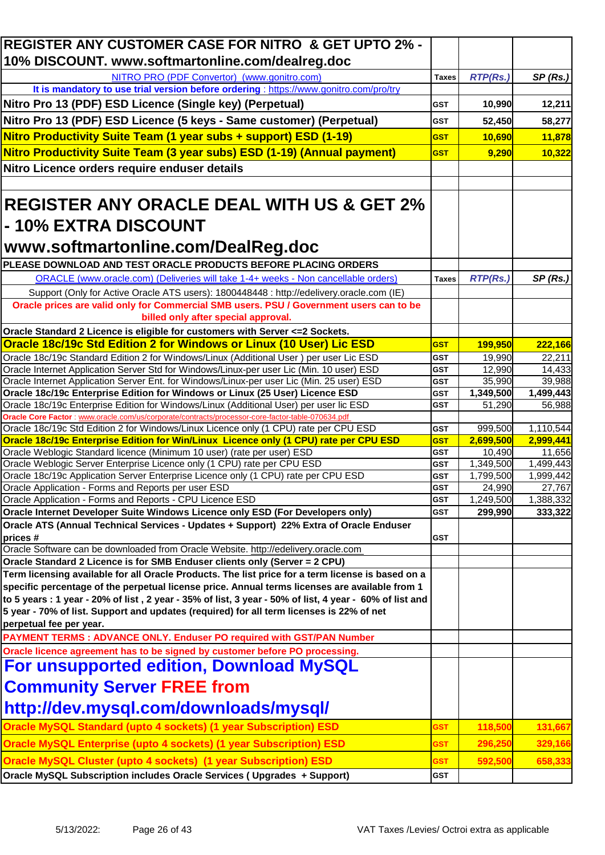| REGISTER ANY CUSTOMER CASE FOR NITRO & GET UPTO 2% -                                                                                                                                                |                          |                     |                     |
|-----------------------------------------------------------------------------------------------------------------------------------------------------------------------------------------------------|--------------------------|---------------------|---------------------|
| 10% DISCOUNT. www.softmartonline.com/dealreg.doc                                                                                                                                                    |                          |                     |                     |
| NITRO PRO (PDF Convertor) (www.gonitro.com)                                                                                                                                                         | <b>Taxes</b>             | <b>RTP(Rs.)</b>     | SP(Rs.)             |
| It is mandatory to use trial version before ordering : https://www.gonitro.com/pro/try                                                                                                              |                          |                     |                     |
| Nitro Pro 13 (PDF) ESD Licence (Single key) (Perpetual)                                                                                                                                             | <b>GST</b>               | 10,990              | 12,211              |
| Nitro Pro 13 (PDF) ESD Licence (5 keys - Same customer) (Perpetual)                                                                                                                                 | <b>GST</b>               | 52,450              | 58,277              |
| Nitro Productivity Suite Team (1 year subs + support) ESD (1-19)                                                                                                                                    | <b>GST</b>               | 10,690              | 11,878              |
| Nitro Productivity Suite Team (3 year subs) ESD (1-19) (Annual payment)                                                                                                                             | <b>GST</b>               | 9,290               | 10,322              |
| Nitro Licence orders require enduser details                                                                                                                                                        |                          |                     |                     |
|                                                                                                                                                                                                     |                          |                     |                     |
| <b>REGISTER ANY ORACLE DEAL WITH US &amp; GET 2%</b><br>- 10% EXTRA DISCOUNT                                                                                                                        |                          |                     |                     |
| www.softmartonline.com/DealReg.doc                                                                                                                                                                  |                          |                     |                     |
| PLEASE DOWNLOAD AND TEST ORACLE PRODUCTS BEFORE PLACING ORDERS                                                                                                                                      |                          |                     |                     |
| ORACLE (www.oracle.com) (Deliveries will take 1-4+ weeks - Non cancellable orders)                                                                                                                  | <b>Taxes</b>             | <b>RTP(Rs.)</b>     | SP(Rs.)             |
| Support (Only for Active Oracle ATS users): 1800448448 : http://edelivery.oracle.com (IE)                                                                                                           |                          |                     |                     |
| Oracle prices are valid only for Commercial SMB users. PSU / Government users can to be<br>billed only after special approval.                                                                      |                          |                     |                     |
| Oracle Standard 2 Licence is eligible for customers with Server <= 2 Sockets.                                                                                                                       |                          |                     |                     |
| Oracle 18c/19c Std Edition 2 for Windows or Linux (10 User) Lic ESD                                                                                                                                 | <b>GST</b>               | <b>199,950</b>      | 222,166             |
| Oracle 18c/19c Standard Edition 2 for Windows/Linux (Additional User) per user Lic ESD                                                                                                              | GST                      | 19,990              | 22,211              |
| Oracle Internet Application Server Std for Windows/Linux-per user Lic (Min. 10 user) ESD                                                                                                            | GST                      | 12,990              | 14,433              |
| Oracle Internet Application Server Ent. for Windows/Linux-per user Lic (Min. 25 user) ESD                                                                                                           | <b>GST</b>               | 35,990              | 39,988              |
| Oracle 18c/19c Enterprise Edition for Windows or Linux (25 User) Licence ESD                                                                                                                        | <b>GST</b>               | 1,349,500           | 1,499,443           |
| Oracle 18c/19c Enterprise Edition for Windows/Linux (Additional User) per user lic ESD                                                                                                              | <b>GST</b>               | 51,290              | 56,988              |
| Oracle Core Factor : www.oracle.com/us/corporate/contracts/processor-core-factor-table-070634.pdf<br>Oracle 18c/19c Std Edition 2 for Windows/Linux Licence only (1 CPU) rate per CPU ESD           | <b>GST</b>               | 999,500             | 1,110,544           |
| Oracle 18c/19c Enterprise Edition for Win/Linux Licence only (1 CPU) rate per CPU ESD                                                                                                               | <b>GST</b>               | 2,699,500           | 2,999,441           |
| Oracle Weblogic Standard licence (Minimum 10 user) (rate per user) ESD                                                                                                                              | GST                      | 10,490              | 11,656              |
| Oracle Weblogic Server Enterprise Licence only (1 CPU) rate per CPU ESD                                                                                                                             | <b>GST</b>               | 1,349,500           | 1,499,443           |
| Oracle 18c/19c Application Server Enterprise Licence only (1 CPU) rate per CPU ESD                                                                                                                  | <b>GST</b>               | 1,799,500           | 1,999,442           |
| Oracle Application - Forms and Reports per user ESD<br>Oracle Application - Forms and Reports - CPU Licence ESD                                                                                     | <b>GST</b><br><b>GST</b> | 24,990<br>1,249,500 | 27,767<br>1,388,332 |
| Oracle Internet Developer Suite Windows Licence only ESD (For Developers only)                                                                                                                      | <b>GST</b>               | 299,990             | 333,322             |
| Oracle ATS (Annual Technical Services - Updates + Support) 22% Extra of Oracle Enduser                                                                                                              |                          |                     |                     |
| prices#                                                                                                                                                                                             | GST                      |                     |                     |
| Oracle Software can be downloaded from Oracle Website. http://edelivery.oracle.com                                                                                                                  |                          |                     |                     |
| Oracle Standard 2 Licence is for SMB Enduser clients only (Server = 2 CPU)                                                                                                                          |                          |                     |                     |
| Term licensing available for all Oracle Products. The list price for a term license is based on a<br>specific percentage of the perpetual license price. Annual terms licenses are available from 1 |                          |                     |                     |
| to 5 years : 1 year - 20% of list, 2 year - 35% of list, 3 year - 50% of list, 4 year - 60% of list and<br>5 year - 70% of list. Support and updates (required) for all term licenses is 22% of net |                          |                     |                     |
| perpetual fee per year.                                                                                                                                                                             |                          |                     |                     |
| PAYMENT TERMS : ADVANCE ONLY. Enduser PO required with GST/PAN Number                                                                                                                               |                          |                     |                     |
| Oracle licence agreement has to be signed by customer before PO processing.                                                                                                                         |                          |                     |                     |
| For unsupported edition, Download MySQL                                                                                                                                                             |                          |                     |                     |
| <b>Community Server FREE from</b>                                                                                                                                                                   |                          |                     |                     |
| http://dev.mysql.com/downloads/mysql/                                                                                                                                                               |                          |                     |                     |
| <b>Oracle MySQL Standard (upto 4 sockets) (1 year Subscription) ESD</b>                                                                                                                             | <b>GST</b>               | 118,500             | 131,667             |
| <b>Oracle MySQL Enterprise (upto 4 sockets) (1 year Subscription) ESD</b>                                                                                                                           | <b>GST</b>               | 296,250             | 329,166             |
| Oracle MySQL Cluster (upto 4 sockets) (1 year Subscription) ESD                                                                                                                                     | <b>GST</b>               | 592,500             | 658,333             |
| Oracle MySQL Subscription includes Oracle Services ( Upgrades + Support)                                                                                                                            | <b>GST</b>               |                     |                     |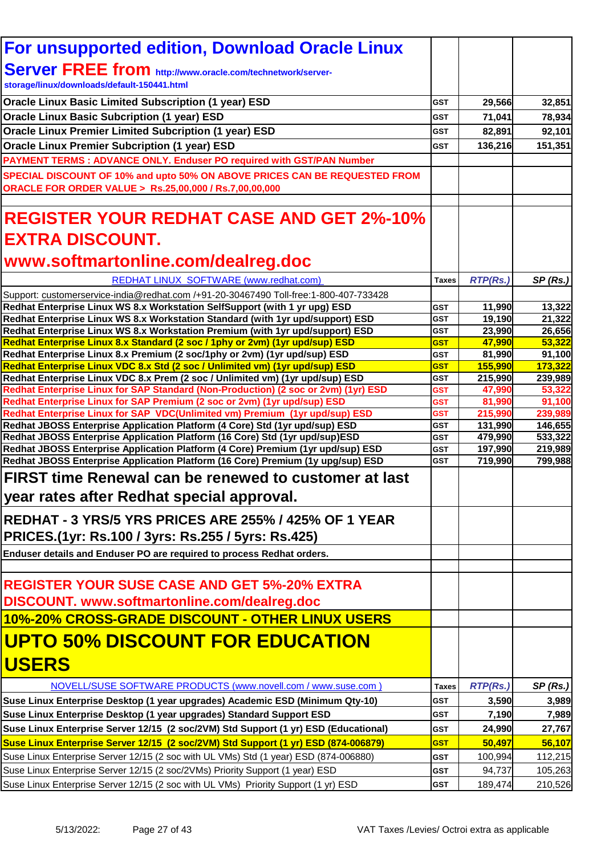| <b>For unsupported edition, Download Oracle Linux</b>                                                                                                               |                          |                   |                   |
|---------------------------------------------------------------------------------------------------------------------------------------------------------------------|--------------------------|-------------------|-------------------|
| <b>Server FREE from http://www.oracle.com/technetwork/server-</b>                                                                                                   |                          |                   |                   |
| storage/linux/downloads/default-150441.html                                                                                                                         |                          |                   |                   |
| <b>Oracle Linux Basic Limited Subscription (1 year) ESD</b>                                                                                                         | <b>GST</b>               |                   | 32,851            |
|                                                                                                                                                                     |                          | 29,566            |                   |
| <b>Oracle Linux Basic Subcription (1 year) ESD</b>                                                                                                                  | GST                      | 71,041            | 78,934            |
| <b>Oracle Linux Premier Limited Subcription (1 year) ESD</b>                                                                                                        | <b>GST</b>               | 82,891            | 92,101            |
| <b>Oracle Linux Premier Subcription (1 year) ESD</b>                                                                                                                | <b>GST</b>               | 136,216           | 151,351           |
| PAYMENT TERMS : ADVANCE ONLY. Enduser PO required with GST/PAN Number                                                                                               |                          |                   |                   |
| SPECIAL DISCOUNT OF 10% and upto 50% ON ABOVE PRICES CAN BE REQUESTED FROM                                                                                          |                          |                   |                   |
| ORACLE FOR ORDER VALUE > Rs.25,00,000 / Rs.7,00,00,000                                                                                                              |                          |                   |                   |
| <b>REGISTER YOUR REDHAT CASE AND GET 2%-10%</b>                                                                                                                     |                          |                   |                   |
| <b>EXTRA DISCOUNT.</b>                                                                                                                                              |                          |                   |                   |
| www.softmartonline.com/dealreg.doc                                                                                                                                  |                          |                   |                   |
| REDHAT LINUX SOFTWARE (www.redhat.com)                                                                                                                              | <b>Taxes</b>             | <b>RTP(Rs.)</b>   | SP(Rs.)           |
| Support: customerservice-india@redhat.com /+91-20-30467490 Toll-free:1-800-407-733428                                                                               |                          |                   |                   |
| Redhat Enterprise Linux WS 8.x Workstation SelfSupport (with 1 yr upg) ESD                                                                                          | <b>GST</b>               | 11,990            | 13,322            |
| Redhat Enterprise Linux WS 8.x Workstation Standard (with 1yr upd/support) ESD                                                                                      | <b>GST</b>               | 19,190            | 21,322            |
| Redhat Enterprise Linux WS 8.x Workstation Premium (with 1yr upd/support) ESD                                                                                       | GST                      | 23,990            | 26,656            |
| Redhat Enterprise Linux 8.x Standard (2 soc / 1phy or 2vm) (1yr upd/sup) ESD                                                                                        | <b>GST</b>               | 47,990            | 53,322            |
| Redhat Enterprise Linux 8.x Premium (2 soc/1phy or 2vm) (1yr upd/sup) ESD                                                                                           | <b>GST</b>               | 81,990            | 91,100            |
| Redhat Enterprise Linux VDC 8.x Std (2 soc / Unlimited vm) (1yr upd/sup) ESD                                                                                        | <b>GST</b>               | 155,990           | 173,322           |
| Redhat Enterprise Linux VDC 8.x Prem (2 soc / Unlimited vm) (1yr upd/sup) ESD<br>Redhat Enterprise Linux for SAP Standard (Non-Production) (2 soc or 2vm) (1yr) ESD | <b>GST</b><br><b>GST</b> | 215,990<br>47,990 | 239,989<br>53,322 |
| Redhat Enterprise Linux for SAP Premium (2 soc or 2vm) (1yr upd/sup) ESD                                                                                            | <b>GST</b>               | 81,990            | 91,100            |
| Redhat Enterprise Linux for SAP VDC(Unlimited vm) Premium (1yr upd/sup) ESD                                                                                         | <b>GST</b>               | 215,990           | 239,989           |
| Redhat JBOSS Enterprise Application Platform (4 Core) Std (1yr upd/sup) ESD                                                                                         | <b>GST</b>               | 131,990           | 146,655           |
| Redhat JBOSS Enterprise Application Platform (16 Core) Std (1yr upd/sup)ESD                                                                                         | <b>GST</b>               | 479,990           | 533,322           |
| Redhat JBOSS Enterprise Application Platform (4 Core) Premium (1yr upd/sup) ESD                                                                                     | <b>GST</b>               | 197,990           | 219,989           |
| Redhat JBOSS Enterprise Application Platform (16 Core) Premium (1y upg/sup) ESD                                                                                     | <b>GST</b>               | 719,990           | 799,988           |
| <b>FIRST time Renewal can be renewed to customer at last</b>                                                                                                        |                          |                   |                   |
| year rates after Redhat special approval.                                                                                                                           |                          |                   |                   |
| REDHAT - 3 YRS/5 YRS PRICES ARE 255% / 425% OF 1 YEAR                                                                                                               |                          |                   |                   |
| PRICES.(1yr: Rs.100 / 3yrs: Rs.255 / 5yrs: Rs.425)                                                                                                                  |                          |                   |                   |
|                                                                                                                                                                     |                          |                   |                   |
| Enduser details and Enduser PO are required to process Redhat orders.                                                                                               |                          |                   |                   |
| <b>REGISTER YOUR SUSE CASE AND GET 5%-20% EXTRA</b>                                                                                                                 |                          |                   |                   |
| DISCOUNT. www.softmartonline.com/dealreg.doc                                                                                                                        |                          |                   |                   |
| 10%-20% CROSS-GRADE DISCOUNT - OTHER LINUX USERS                                                                                                                    |                          |                   |                   |
| <b>UPTO 50% DISCOUNT FOR EDUCATION</b>                                                                                                                              |                          |                   |                   |
|                                                                                                                                                                     |                          |                   |                   |
| <b>USERS</b>                                                                                                                                                        |                          |                   |                   |
| NOVELL/SUSE SOFTWARE PRODUCTS (www.novell.com / www.suse.com)                                                                                                       | <b>Taxes</b>             | <b>RTP(Rs.)</b>   | SP(Rs.)           |
| Suse Linux Enterprise Desktop (1 year upgrades) Academic ESD (Minimum Qty-10)                                                                                       | <b>GST</b>               | 3,590             | 3,989             |
| Suse Linux Enterprise Desktop (1 year upgrades) Standard Support ESD                                                                                                | GST                      | 7,190             | 7,989             |
| Suse Linux Enterprise Server 12/15 (2 soc/2VM) Std Support (1 yr) ESD (Educational)                                                                                 | <b>GST</b>               | 24,990            | 27,767            |
| Suse Linux Enterprise Server 12/15 (2 soc/2VM) Std Support (1 yr) ESD (874-006879)                                                                                  | <b>GST</b>               | 50,497            | 56,107            |
| Suse Linux Enterprise Server 12/15 (2 soc with UL VMs) Std (1 year) ESD (874-006880)                                                                                | <b>GST</b>               | 100,994           | 112,215           |
| Suse Linux Enterprise Server 12/15 (2 soc/2VMs) Priority Support (1 year) ESD                                                                                       | <b>GST</b>               | 94,737            | 105,263           |
| Suse Linux Enterprise Server 12/15 (2 soc with UL VMs) Priority Support (1 yr) ESD                                                                                  | <b>GST</b>               | 189,474           | 210,526           |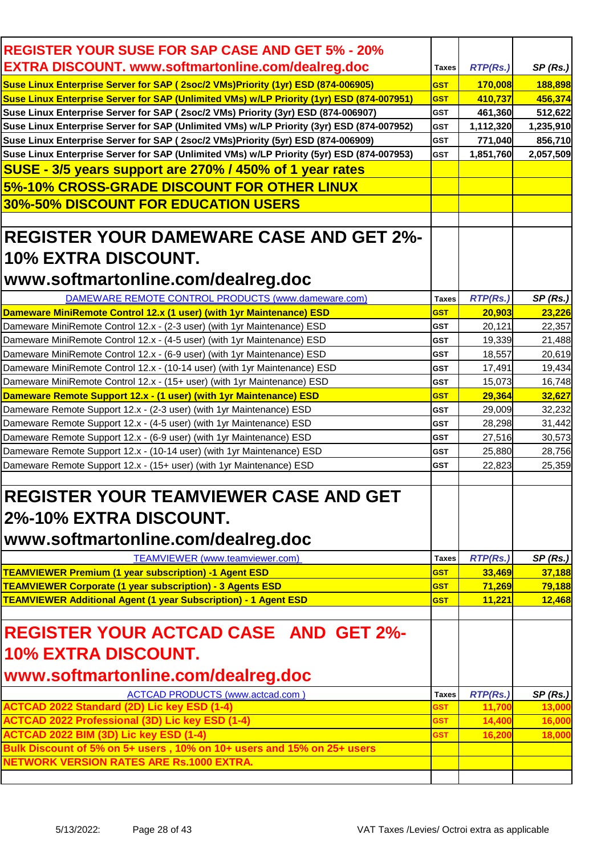| <b>REGISTER YOUR SUSE FOR SAP CASE AND GET 5% - 20%</b>                                   |              |                 |           |
|-------------------------------------------------------------------------------------------|--------------|-----------------|-----------|
| <b>EXTRA DISCOUNT. www.softmartonline.com/dealreg.doc</b>                                 | <b>Taxes</b> | RTP(Rs.)        | SP(Rs.)   |
| Suse Linux Enterprise Server for SAP (2soc/2 VMs)Priority (1yr) ESD (874-006905)          | <b>GST</b>   | 170,008         | 188,898   |
| Suse Linux Enterprise Server for SAP (Unlimited VMs) w/LP Priority (1yr) ESD (874-007951) | <b>GST</b>   | 410,737         | 456,374   |
| Suse Linux Enterprise Server for SAP (2soc/2 VMs) Priority (3yr) ESD (874-006907)         | <b>GST</b>   | 461,360         | 512,622   |
| Suse Linux Enterprise Server for SAP (Unlimited VMs) w/LP Priority (3yr) ESD (874-007952) | <b>GST</b>   | 1,112,320       | 1,235,910 |
| Suse Linux Enterprise Server for SAP (2soc/2 VMs)Priority (5yr) ESD (874-006909)          | <b>GST</b>   | 771,040         | 856,710   |
| Suse Linux Enterprise Server for SAP (Unlimited VMs) w/LP Priority (5yr) ESD (874-007953) | <b>GST</b>   | 1,851,760       | 2,057,509 |
| SUSE - 3/5 years support are 270% / 450% of 1 year rates                                  |              |                 |           |
| 5%-10% CROSS-GRADE DISCOUNT FOR OTHER LINUX                                               |              |                 |           |
| <b>30%-50% DISCOUNT FOR EDUCATION USERS</b>                                               |              |                 |           |
|                                                                                           |              |                 |           |
| <b>REGISTER YOUR DAMEWARE CASE AND GET 2%-</b>                                            |              |                 |           |
| 10% EXTRA DISCOUNT.                                                                       |              |                 |           |
|                                                                                           |              |                 |           |
| www.softmartonline.com/dealreg.doc                                                        |              |                 |           |
| DAMEWARE REMOTE CONTROL PRODUCTS (www.dameware.com)                                       | <b>Taxes</b> | <b>RTP(Rs.)</b> | SP(Rs.)   |
| Dameware MiniRemote Control 12.x (1 user) (with 1yr Maintenance) ESD                      | <b>GST</b>   | 20,903          | 23,226    |
| Dameware MiniRemote Control 12.x - (2-3 user) (with 1yr Maintenance) ESD                  | <b>GST</b>   | 20,121          | 22,357    |
| Dameware MiniRemote Control 12.x - (4-5 user) (with 1yr Maintenance) ESD                  | <b>GST</b>   | 19,339          | 21,488    |
| Dameware MiniRemote Control 12.x - (6-9 user) (with 1yr Maintenance) ESD                  | <b>GST</b>   | 18,557          | 20,619    |
| Dameware MiniRemote Control 12.x - (10-14 user) (with 1yr Maintenance) ESD                | <b>GST</b>   | 17,491          | 19,434    |
| Dameware MiniRemote Control 12.x - (15+ user) (with 1yr Maintenance) ESD                  | <b>GST</b>   | 15,073          | 16,748    |
| Dameware Remote Support 12.x - (1 user) (with 1yr Maintenance) ESD                        | <b>GST</b>   | 29,364          | 32,627    |
| Dameware Remote Support 12.x - (2-3 user) (with 1yr Maintenance) ESD                      | <b>GST</b>   | 29,009          | 32,232    |
| Dameware Remote Support 12.x - (4-5 user) (with 1yr Maintenance) ESD                      | <b>GST</b>   | 28,298          | 31,442    |
| Dameware Remote Support 12.x - (6-9 user) (with 1yr Maintenance) ESD                      | <b>GST</b>   | 27,516          | 30,573    |
| Dameware Remote Support 12.x - (10-14 user) (with 1yr Maintenance) ESD                    | <b>GST</b>   | 25,880          | 28,756    |
| Dameware Remote Support 12.x - (15+ user) (with 1yr Maintenance) ESD                      | <b>GST</b>   | 22,823          | 25,359    |
|                                                                                           |              |                 |           |
| <b>REGISTER YOUR TEAMVIEWER CASE AND GET</b>                                              |              |                 |           |
| 2%-10% EXTRA DISCOUNT.                                                                    |              |                 |           |
|                                                                                           |              |                 |           |
| www.softmartonline.com/dealreg.doc                                                        |              |                 |           |
| TEAMVIEWER (www.teamviewer.com)                                                           | <b>Taxes</b> | <b>RTP(Rs.)</b> | SP(Rs.)   |
| <b>TEAMVIEWER Premium (1 year subscription) -1 Agent ESD</b>                              | <b>GST</b>   | 33,469          | 37,188    |
| <b>TEAMVIEWER Corporate (1 year subscription) - 3 Agents ESD</b>                          | <b>GST</b>   | 71,269          | 79,188    |
| <b>TEAMVIEWER Additional Agent (1 year Subscription) - 1 Agent ESD</b>                    | <b>GST</b>   | 11,221          | 12,468    |
|                                                                                           |              |                 |           |
| <b>REGISTER YOUR ACTCAD CASE AND GET 2%-</b>                                              |              |                 |           |
| 10% EXTRA DISCOUNT.                                                                       |              |                 |           |
|                                                                                           |              |                 |           |
| www.softmartonline.com/dealreg.doc                                                        |              |                 |           |
| <b>ACTCAD PRODUCTS (www.actcad.com)</b>                                                   | <b>Taxes</b> | <b>RTP(Rs.)</b> | SP(Rs.)   |
| <b>ACTCAD 2022 Standard (2D) Lic key ESD (1-4)</b>                                        | GST          | 11,700          | 13,000    |
| <b>ACTCAD 2022 Professional (3D) Lic key ESD (1-4)</b>                                    | GST          | 14,400          | 16,000    |
| ACTCAD 2022 BIM (3D) Lic key ESD (1-4)                                                    | <b>GST</b>   | 16,200          | 18,000    |
| Bulk Discount of 5% on 5+ users, 10% on 10+ users and 15% on 25+ users                    |              |                 |           |
| <b>NETWORK VERSION RATES ARE Rs.1000 EXTRA.</b>                                           |              |                 |           |
|                                                                                           |              |                 |           |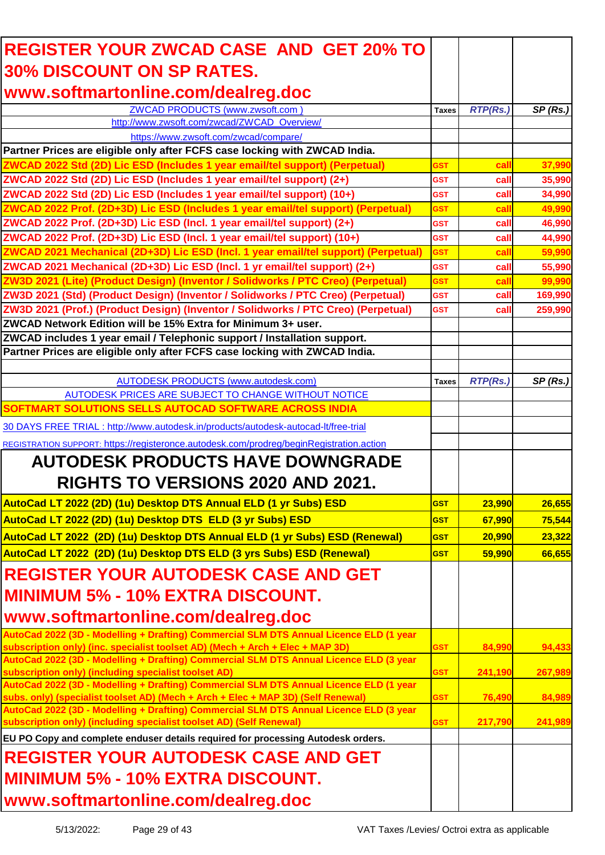| <b>REGISTER YOUR ZWCAD CASE AND GET 20% TO</b>                                                                                                                          |              |                 |         |
|-------------------------------------------------------------------------------------------------------------------------------------------------------------------------|--------------|-----------------|---------|
| <b>30% DISCOUNT ON SP RATES.</b>                                                                                                                                        |              |                 |         |
| www.softmartonline.com/dealreg.doc                                                                                                                                      |              |                 |         |
| ZWCAD PRODUCTS (www.zwsoft.com)                                                                                                                                         |              |                 |         |
| http://www.zwsoft.com/zwcad/ZWCAD_Overview/                                                                                                                             | <b>Taxes</b> | <b>RTP(Rs.)</b> | SP(Rs.) |
| https://www.zwsoft.com/zwcad/compare/                                                                                                                                   |              |                 |         |
| Partner Prices are eligible only after FCFS case locking with ZWCAD India.                                                                                              |              |                 |         |
| ZWCAD 2022 Std (2D) Lic ESD (Includes 1 year email/tel support) (Perpetual)                                                                                             | GST          | cal             | 37,990  |
| ZWCAD 2022 Std (2D) Lic ESD (Includes 1 year email/tel support) (2+)                                                                                                    | <b>GST</b>   | call            | 35,990  |
| ZWCAD 2022 Std (2D) Lic ESD (Includes 1 year email/tel support) (10+)                                                                                                   | <b>GST</b>   | call            | 34,990  |
| ZWCAD 2022 Prof. (2D+3D) Lic ESD (Includes 1 year email/tel support) (Perpetual)                                                                                        | <b>GST</b>   | cal             | 49,990  |
| ZWCAD 2022 Prof. (2D+3D) Lic ESD (Incl. 1 year email/tel support) (2+)                                                                                                  | <b>GST</b>   | call            | 46,990  |
| ZWCAD 2022 Prof. (2D+3D) Lic ESD (Incl. 1 year email/tel support) (10+)                                                                                                 | <b>GST</b>   | call            | 44,990  |
| ZWCAD 2021 Mechanical (2D+3D) Lic ESD (Incl. 1 year email/tel support) (Perpetual)                                                                                      | <b>GST</b>   | cal             | 59,990  |
| ZWCAD 2021 Mechanical (2D+3D) Lic ESD (Incl. 1 yr email/tel support) (2+)                                                                                               | <b>GST</b>   | call            | 55,990  |
| ZW3D 2021 (Lite) (Product Design) (Inventor / Solidworks / PTC Creo) (Perpetual)                                                                                        | GST          | cal             | 99,990  |
| ZW3D 2021 (Std) (Product Design) (Inventor / Solidworks / PTC Creo) (Perpetual)                                                                                         | <b>GST</b>   | call            | 169,990 |
| ZW3D 2021 (Prof.) (Product Design) (Inventor / Solidworks / PTC Creo) (Perpetual)                                                                                       | <b>GST</b>   | call            | 259,990 |
| ZWCAD Network Edition will be 15% Extra for Minimum 3+ user.                                                                                                            |              |                 |         |
| ZWCAD includes 1 year email / Telephonic support / Installation support.                                                                                                |              |                 |         |
| Partner Prices are eligible only after FCFS case locking with ZWCAD India.                                                                                              |              |                 |         |
|                                                                                                                                                                         |              |                 |         |
| <b>AUTODESK PRODUCTS (www.autodesk.com)</b>                                                                                                                             | <b>Taxes</b> | <b>RTP(Rs.)</b> | SP(Rs.) |
| AUTODESK PRICES ARE SUBJECT TO CHANGE WITHOUT NOTICE                                                                                                                    |              |                 |         |
| SOFTMART SOLUTIONS SELLS AUTOCAD SOFTWARE ACROSS INDIA                                                                                                                  |              |                 |         |
| 30 DAYS FREE TRIAL : http://www.autodesk.in/products/autodesk-autocad-lt/free-trial                                                                                     |              |                 |         |
| REGISTRATION SUPPORT: https://registeronce.autodesk.com/prodreg/beginRegistration.action                                                                                |              |                 |         |
| <b>AUTODESK PRODUCTS HAVE DOWNGRADE</b>                                                                                                                                 |              |                 |         |
| <b>RIGHTS TO VERSIONS 2020 AND 2021.</b>                                                                                                                                |              |                 |         |
| AutoCad LT 2022 (2D) (1u) Desktop DTS Annual ELD (1 yr Subs) ESD                                                                                                        | <b>GST</b>   | 23,990          | 26,655  |
| AutoCad LT 2022 (2D) (1u) Desktop DTS ELD (3 yr Subs) ESD                                                                                                               | <b>GST</b>   | 67,990          | 75,544  |
| AutoCad LT 2022 (2D) (1u) Desktop DTS Annual ELD (1 yr Subs) ESD (Renewal)                                                                                              | <b>GST</b>   | 20,990          | 23,322  |
|                                                                                                                                                                         |              |                 |         |
| AutoCad LT 2022 (2D) (1u) Desktop DTS ELD (3 yrs Subs) ESD (Renewal)                                                                                                    | <b>GST</b>   | 59,990          | 66,655  |
| <b>IREGISTER YOUR AUTODESK CASE AND GET</b>                                                                                                                             |              |                 |         |
| <b>MINIMUM 5% - 10% EXTRA DISCOUNT.</b>                                                                                                                                 |              |                 |         |
| www.softmartonline.com/dealreg.doc                                                                                                                                      |              |                 |         |
|                                                                                                                                                                         |              |                 |         |
| AutoCad 2022 (3D - Modelling + Drafting) Commercial SLM DTS Annual Licence ELD (1 year<br>subscription only) (inc. specialist toolset AD) (Mech + Arch + Elec + MAP 3D) | <b>GST</b>   | 84,990          | 94,433  |
| AutoCad 2022 (3D - Modelling + Drafting) Commercial SLM DTS Annual Licence ELD (3 year                                                                                  |              |                 |         |
| subscription only) (including specialist toolset AD)                                                                                                                    | <b>GST</b>   | 241,190         | 267,989 |
| AutoCad 2022 (3D - Modelling + Drafting) Commercial SLM DTS Annual Licence ELD (1 year                                                                                  |              |                 |         |
| subs. only) (specialist toolset AD) (Mech + Arch + Elec + MAP 3D) (Self Renewal)                                                                                        | <b>GST</b>   | 76,490          | 84,989  |
| AutoCad 2022 (3D - Modelling + Drafting) Commercial SLM DTS Annual Licence ELD (3 year<br>subscription only) (including specialist toolset AD) (Self Renewal)           | <b>GST</b>   | 217,790         | 241,989 |
|                                                                                                                                                                         |              |                 |         |
| EU PO Copy and complete enduser details required for processing Autodesk orders.                                                                                        |              |                 |         |
| <b>IREGISTER YOUR AUTODESK CASE AND GET</b>                                                                                                                             |              |                 |         |
| <b>IMINIMUM 5% - 10% EXTRA DISCOUNT.</b>                                                                                                                                |              |                 |         |
| www.softmartonline.com/dealreg.doc                                                                                                                                      |              |                 |         |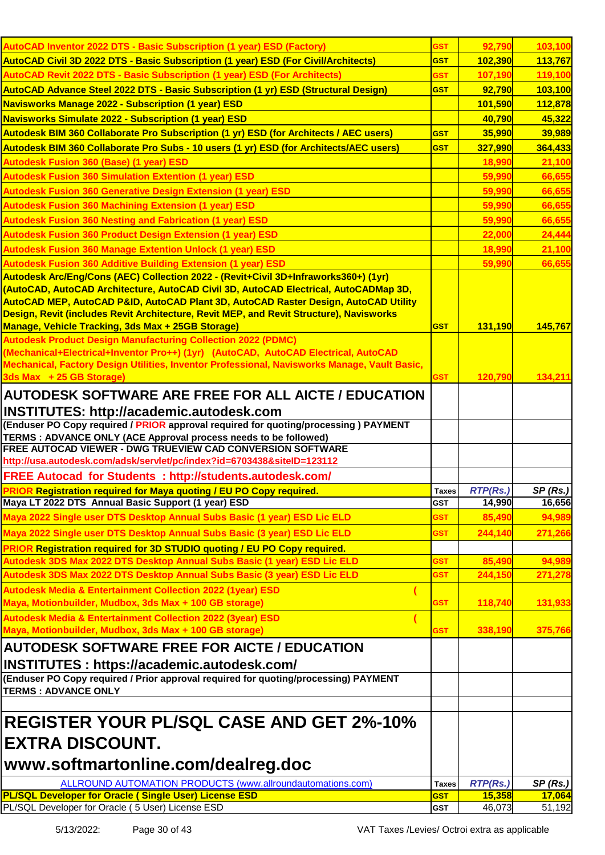| AutoCAD Inventor 2022 DTS - Basic Subscription (1 year) ESD (Factory)                                                                                                                                                                                                                                                                                                                                                                                                                            | <b>GST</b>   | 92,790          | 103,100 |
|--------------------------------------------------------------------------------------------------------------------------------------------------------------------------------------------------------------------------------------------------------------------------------------------------------------------------------------------------------------------------------------------------------------------------------------------------------------------------------------------------|--------------|-----------------|---------|
| AutoCAD Civil 3D 2022 DTS - Basic Subscription (1 year) ESD (For Civil/Architects)                                                                                                                                                                                                                                                                                                                                                                                                               | <b>GST</b>   | 102,390         | 113,767 |
| AutoCAD Revit 2022 DTS - Basic Subscription (1 year) ESD (For Architects)                                                                                                                                                                                                                                                                                                                                                                                                                        | GST          | 107,190         | 119,100 |
| AutoCAD Advance Steel 2022 DTS - Basic Subscription (1 yr) ESD (Structural Design)                                                                                                                                                                                                                                                                                                                                                                                                               | <b>GST</b>   | 92,790          | 103,100 |
| Navisworks Manage 2022 - Subscription (1 year) ESD                                                                                                                                                                                                                                                                                                                                                                                                                                               |              | 101,590         | 112,878 |
| Navisworks Simulate 2022 - Subscription (1 year) ESD                                                                                                                                                                                                                                                                                                                                                                                                                                             |              | 40,790          | 45,322  |
| Autodesk BIM 360 Collaborate Pro Subscription (1 yr) ESD (for Architects / AEC users)                                                                                                                                                                                                                                                                                                                                                                                                            | <b>GST</b>   | 35,990          | 39,989  |
| Autodesk BIM 360 Collaborate Pro Subs - 10 users (1 yr) ESD (for Architects/AEC users)                                                                                                                                                                                                                                                                                                                                                                                                           | <b>GST</b>   | 327,990         | 364,433 |
| <b>Autodesk Fusion 360 (Base) (1 year) ESD</b>                                                                                                                                                                                                                                                                                                                                                                                                                                                   |              | 18,990          | 21,100  |
| <b>Autodesk Fusion 360 Simulation Extention (1 year) ESD</b>                                                                                                                                                                                                                                                                                                                                                                                                                                     |              | 59,990          | 66,655  |
| <b>Autodesk Fusion 360 Generative Design Extension (1 year) ESD</b>                                                                                                                                                                                                                                                                                                                                                                                                                              |              | 59,990          | 66,655  |
| <b>Autodesk Fusion 360 Machining Extension (1 year) ESD</b>                                                                                                                                                                                                                                                                                                                                                                                                                                      |              | 59,990          | 66,655  |
| <b>Autodesk Fusion 360 Nesting and Fabrication (1 year) ESD</b>                                                                                                                                                                                                                                                                                                                                                                                                                                  |              | 59,990          | 66,655  |
| <b>Autodesk Fusion 360 Product Design Extension (1 year) ESD</b>                                                                                                                                                                                                                                                                                                                                                                                                                                 |              | 22,000          | 24,444  |
| <b>Autodesk Fusion 360 Manage Extention Unlock (1 year) ESD</b>                                                                                                                                                                                                                                                                                                                                                                                                                                  |              | 18,990          | 21,100  |
| <b>Autodesk Fusion 360 Additive Building Extension (1 year) ESD</b>                                                                                                                                                                                                                                                                                                                                                                                                                              |              | 59,990          | 66,655  |
| Autodesk Arc/Eng/Cons (AEC) Collection 2022 - (Revit+Civil 3D+Infraworks360+) (1yr)<br>(AutoCAD, AutoCAD Architecture, AutoCAD Civil 3D, AutoCAD Electrical, AutoCADMap 3D,<br>AutoCAD MEP, AutoCAD P&ID, AutoCAD Plant 3D, AutoCAD Raster Design, AutoCAD Utility<br>Design, Revit (includes Revit Architecture, Revit MEP, and Revit Structure), Navisworks<br><b>Manage, Vehicle Tracking, 3ds Max + 25GB Storage)</b><br><b>Autodesk Product Design Manufacturing Collection 2022 (PDMC)</b> | <b>GST</b>   | 131,190         | 145,767 |
| (Mechanical+Electrical+Inventor Pro++) (1yr) (AutoCAD, AutoCAD Electrical, AutoCAD<br>Mechanical, Factory Design Utilities, Inventor Professional, Navisworks Manage, Vault Basic,<br>3ds Max + 25 GB Storage)                                                                                                                                                                                                                                                                                   | <b>GST</b>   | 120,790         | 134,211 |
| <b>AUTODESK SOFTWARE ARE FREE FOR ALL AICTE / EDUCATION</b>                                                                                                                                                                                                                                                                                                                                                                                                                                      |              |                 |         |
| INSTITUTES: http://academic.autodesk.com                                                                                                                                                                                                                                                                                                                                                                                                                                                         |              |                 |         |
| (Enduser PO Copy required / PRIOR approval required for quoting/processing) PAYMENT                                                                                                                                                                                                                                                                                                                                                                                                              |              |                 |         |
| TERMS : ADVANCE ONLY (ACE Approval process needs to be followed)<br><b>FREE AUTOCAD VIEWER - DWG TRUEVIEW CAD CONVERSION SOFTWARE</b><br>http://usa.autodesk.com/adsk/servlet/pc/index?id=6703438&siteID=123112                                                                                                                                                                                                                                                                                  |              |                 |         |
| <b>FREE Autocad for Students : http://students.autodesk.com/</b>                                                                                                                                                                                                                                                                                                                                                                                                                                 |              |                 |         |
| <b>PRIOR Registration required for Maya quoting / EU PO Copy required.</b>                                                                                                                                                                                                                                                                                                                                                                                                                       | <b>Taxes</b> | <b>RTP(Rs.)</b> | SP(Rs.) |
| Maya LT 2022 DTS Annual Basic Support (1 year) ESD                                                                                                                                                                                                                                                                                                                                                                                                                                               | <b>GST</b>   | 14,990          | 16,656  |
| Maya 2022 Single user DTS Desktop Annual Subs Basic (1 year) ESD Lic ELD                                                                                                                                                                                                                                                                                                                                                                                                                         | <b>GST</b>   | 85,490          | 94,989  |
| Maya 2022 Single user DTS Desktop Annual Subs Basic (3 year) ESD Lic ELD                                                                                                                                                                                                                                                                                                                                                                                                                         | <b>GST</b>   | 244,140         | 271,266 |
| PRIOR Registration required for 3D STUDIO quoting / EU PO Copy required.                                                                                                                                                                                                                                                                                                                                                                                                                         |              |                 |         |
| Autodesk 3DS Max 2022 DTS Desktop Annual Subs Basic (1 year) ESD Lic ELD                                                                                                                                                                                                                                                                                                                                                                                                                         | <b>GST</b>   | 85,490          | 94,989  |
| Autodesk 3DS Max 2022 DTS Desktop Annual Subs Basic (3 year) ESD Lic ELD                                                                                                                                                                                                                                                                                                                                                                                                                         | <b>GST</b>   | 244,150         | 271,278 |
| <b>Autodesk Media &amp; Entertainment Collection 2022 (1year) ESD</b>                                                                                                                                                                                                                                                                                                                                                                                                                            |              |                 |         |
| Maya, Motionbuilder, Mudbox, 3ds Max + 100 GB storage)                                                                                                                                                                                                                                                                                                                                                                                                                                           | <b>GST</b>   | 118,740         | 131,933 |
| <b>Autodesk Media &amp; Entertainment Collection 2022 (3year) ESD</b>                                                                                                                                                                                                                                                                                                                                                                                                                            |              |                 |         |
| Maya, Motionbuilder, Mudbox, 3ds Max + 100 GB storage)                                                                                                                                                                                                                                                                                                                                                                                                                                           | GST          | 338,190         | 375,766 |
| <b>AUTODESK SOFTWARE FREE FOR AICTE / EDUCATION</b>                                                                                                                                                                                                                                                                                                                                                                                                                                              |              |                 |         |
| INSTITUTES: https://academic.autodesk.com/                                                                                                                                                                                                                                                                                                                                                                                                                                                       |              |                 |         |
| (Enduser PO Copy required / Prior approval required for quoting/processing) PAYMENT                                                                                                                                                                                                                                                                                                                                                                                                              |              |                 |         |
| <b>TERMS: ADVANCE ONLY</b>                                                                                                                                                                                                                                                                                                                                                                                                                                                                       |              |                 |         |
|                                                                                                                                                                                                                                                                                                                                                                                                                                                                                                  |              |                 |         |
| <b>REGISTER YOUR PL/SQL CASE AND GET 2%-10%</b><br><b>IEXTRA DISCOUNT.</b>                                                                                                                                                                                                                                                                                                                                                                                                                       |              |                 |         |
| www.softmartonline.com/dealreg.doc                                                                                                                                                                                                                                                                                                                                                                                                                                                               |              |                 |         |
| ALLROUND AUTOMATION PRODUCTS (www.allroundautomations.com)                                                                                                                                                                                                                                                                                                                                                                                                                                       | <b>Taxes</b> | <b>RTP(Rs.)</b> | SP(Rs.) |
| PL/SQL Developer for Oracle (Single User) License ESD                                                                                                                                                                                                                                                                                                                                                                                                                                            | <b>GST</b>   | 15,358          | 17,064  |
| PL/SQL Developer for Oracle (5 User) License ESD                                                                                                                                                                                                                                                                                                                                                                                                                                                 | <b>GST</b>   | 46,073          | 51,192  |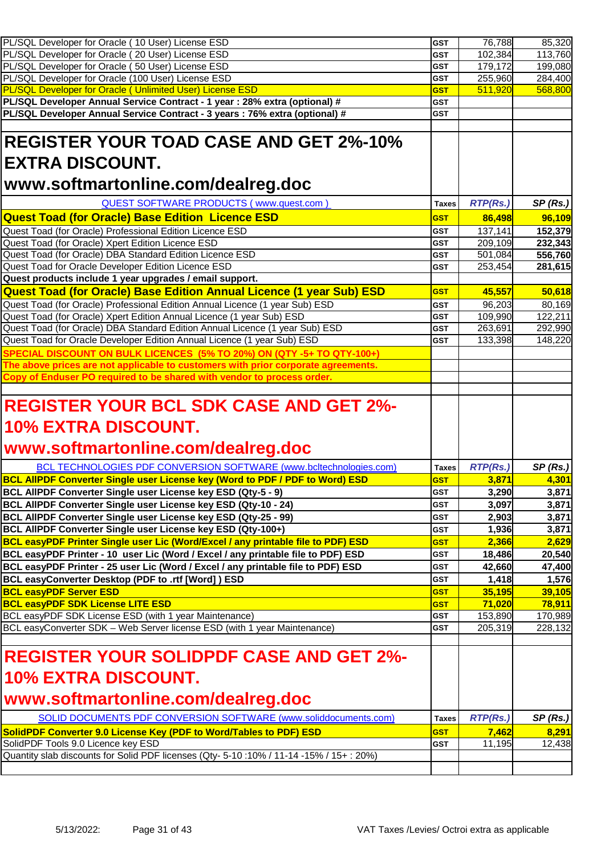| PL/SQL Developer for Oracle (10 User) License ESD                                                                                                                                   | <b>GST</b>   | 76,788              | 85,320  |
|-------------------------------------------------------------------------------------------------------------------------------------------------------------------------------------|--------------|---------------------|---------|
| PL/SQL Developer for Oracle (20 User) License ESD                                                                                                                                   | <b>GST</b>   | 102,384             | 113,760 |
| PL/SQL Developer for Oracle (50 User) License ESD                                                                                                                                   | <b>GST</b>   | 179,172             | 199,080 |
| PL/SQL Developer for Oracle (100 User) License ESD                                                                                                                                  | <b>GST</b>   | 255,960             | 284,400 |
| <b>PL/SQL Developer for Oracle ( Unlimited User) License ESD</b>                                                                                                                    | <b>GST</b>   | 511,920             | 568,800 |
| PL/SQL Developer Annual Service Contract - 1 year: 28% extra (optional) #                                                                                                           | <b>GST</b>   |                     |         |
| PL/SQL Developer Annual Service Contract - 3 years : 76% extra (optional) #                                                                                                         | <b>GST</b>   |                     |         |
|                                                                                                                                                                                     |              |                     |         |
| <b>REGISTER YOUR TOAD CASE AND GET 2%-10%</b>                                                                                                                                       |              |                     |         |
| <b> EXTRA DISCOUNT.</b>                                                                                                                                                             |              |                     |         |
|                                                                                                                                                                                     |              |                     |         |
| www.softmartonline.com/dealreg.doc                                                                                                                                                  |              |                     |         |
| QUEST SOFTWARE PRODUCTS (www.quest.com)                                                                                                                                             | <b>Taxes</b> | RTP(Rs.)            | SP(Rs.) |
| <b>Quest Toad (for Oracle) Base Edition Licence ESD</b>                                                                                                                             | <b>GST</b>   | 86,498              | 96,109  |
|                                                                                                                                                                                     |              |                     |         |
| Quest Toad (for Oracle) Professional Edition Licence ESD                                                                                                                            | <b>GST</b>   | 137,141             | 152,379 |
| Quest Toad (for Oracle) Xpert Edition Licence ESD                                                                                                                                   | <b>GST</b>   | 209,109             | 232,343 |
| Quest Toad (for Oracle) DBA Standard Edition Licence ESD                                                                                                                            | <b>GST</b>   | 501,084             | 556,760 |
| Quest Toad for Oracle Developer Edition Licence ESD                                                                                                                                 | <b>GST</b>   | 253,454             | 281,615 |
| Quest products include 1 year upgrades / email support.                                                                                                                             |              |                     |         |
| <b>Quest Toad (for Oracle) Base Edition Annual Licence (1 year Sub) ESD</b>                                                                                                         | <b>GST</b>   | 45,557              | 50,618  |
| Quest Toad (for Oracle) Professional Edition Annual Licence (1 year Sub) ESD                                                                                                        | GST          | $\overline{96,}203$ | 80,169  |
| Quest Toad (for Oracle) Xpert Edition Annual Licence (1 year Sub) ESD                                                                                                               | <b>GST</b>   | 109,990             | 122,211 |
| Quest Toad (for Oracle) DBA Standard Edition Annual Licence (1 year Sub) ESD                                                                                                        | <b>GST</b>   | 263,691             | 292,990 |
| Quest Toad for Oracle Developer Edition Annual Licence (1 year Sub) ESD                                                                                                             | <b>GST</b>   | 133,398             | 148,220 |
| SPECIAL DISCOUNT ON BULK LICENCES (5% TO 20%) ON (QTY -5+ TO QTY-100+)                                                                                                              |              |                     |         |
| The above prices are not applicable to customers with prior corporate agreements.                                                                                                   |              |                     |         |
| Copy of Enduser PO required to be shared with vendor to process order.                                                                                                              |              |                     |         |
|                                                                                                                                                                                     |              |                     |         |
|                                                                                                                                                                                     |              |                     |         |
|                                                                                                                                                                                     |              |                     |         |
| <b>REGISTER YOUR BCL SDK CASE AND GET 2%-</b>                                                                                                                                       |              |                     |         |
|                                                                                                                                                                                     |              |                     |         |
| 10% EXTRA DISCOUNT.                                                                                                                                                                 |              |                     |         |
| www.softmartonline.com/dealreg.doc                                                                                                                                                  |              |                     |         |
|                                                                                                                                                                                     |              |                     |         |
| BCL TECHNOLOGIES PDF CONVERSION SOFTWARE (www.bcltechnologies.com)                                                                                                                  | <b>Taxes</b> | <b>RTP(Rs.)</b>     | SP(Rs.) |
| <b>BCL AIIPDF Converter Single user License key (Word to PDF / PDF to Word) ESD</b>                                                                                                 | <b>GST</b>   | 3,871               | 4,301   |
| BCL AllPDF Converter Single user License key ESD (Qty-5 - 9)                                                                                                                        | <b>GST</b>   | 3,290               | 3,871   |
| BCL AllPDF Converter Single user License key ESD (Qty-10 - 24)                                                                                                                      | <b>GST</b>   | 3,097               | 3,871   |
| BCL AllPDF Converter Single user License key ESD (Qty-25 - 99)                                                                                                                      | GST          | 2,903               | 3,871   |
| BCL AIIPDF Converter Single user License key ESD (Qty-100+)                                                                                                                         | <b>GST</b>   | 1,936               | 3,871   |
| BCL easyPDF Printer Single user Lic (Word/Excel / any printable file to PDF) ESD                                                                                                    | <b>GST</b>   | 2,366               | 2,629   |
| BCL easyPDF Printer - 10 user Lic (Word / Excel / any printable file to PDF) ESD                                                                                                    | <b>GST</b>   | 18,486              | 20,540  |
| BCL easyPDF Printer - 25 user Lic (Word / Excel / any printable file to PDF) ESD                                                                                                    | <b>GST</b>   | 42,660              | 47,400  |
| BCL easyConverter Desktop (PDF to .rtf [Word]) ESD                                                                                                                                  | <b>GST</b>   | 1,418               | 1,576   |
| <b>BCL easyPDF Server ESD</b>                                                                                                                                                       | <b>GST</b>   | 35,195              | 39,105  |
|                                                                                                                                                                                     | <b>GST</b>   | 71,020              | 78,911  |
| <b>BCL easyPDF SDK License LITE ESD</b>                                                                                                                                             | GST          |                     |         |
|                                                                                                                                                                                     | <b>GST</b>   | 153,890             | 170,989 |
|                                                                                                                                                                                     |              | 205,319             | 228,132 |
|                                                                                                                                                                                     |              |                     |         |
| BCL easyPDF SDK License ESD (with 1 year Maintenance)<br>BCL easyConverter SDK - Web Server license ESD (with 1 year Maintenance)<br><b>REGISTER YOUR SOLIDPDF CASE AND GET 2%-</b> |              |                     |         |
|                                                                                                                                                                                     |              |                     |         |
| 10% EXTRA DISCOUNT.                                                                                                                                                                 |              |                     |         |
| www.softmartonline.com/dealreg.doc                                                                                                                                                  |              |                     |         |
| SOLID DOCUMENTS PDF CONVERSION SOFTWARE (www.soliddocuments.com)                                                                                                                    | <b>Taxes</b> | <b>RTP(Rs.)</b>     |         |
|                                                                                                                                                                                     |              |                     | SP(Rs.) |
| SolidPDF Converter 9.0 License Key (PDF to Word/Tables to PDF) ESD                                                                                                                  | <b>GST</b>   | 7,462               | 8,291   |
| SolidPDF Tools 9.0 Licence key ESD                                                                                                                                                  | <b>GST</b>   | 11,195              | 12,438  |
| Quantity slab discounts for Solid PDF licenses (Qty- 5-10:10% / 11-14 -15% / 15+: 20%)                                                                                              |              |                     |         |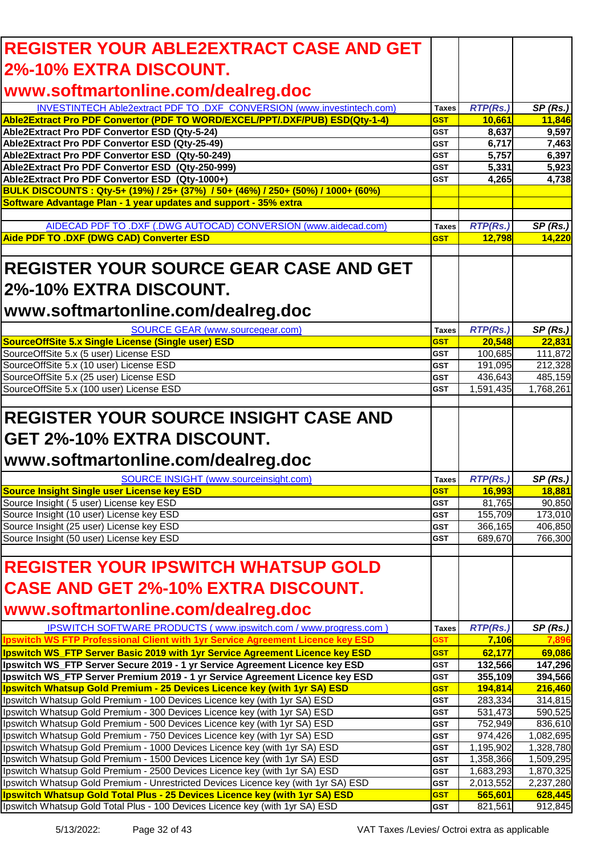| <b>REGISTER YOUR ABLE2EXTRACT CASE AND GET</b>                                                                                                                    |                          |                           |                      |
|-------------------------------------------------------------------------------------------------------------------------------------------------------------------|--------------------------|---------------------------|----------------------|
| 2%-10% EXTRA DISCOUNT.                                                                                                                                            |                          |                           |                      |
| www.softmartonline.com/dealreg.doc                                                                                                                                |                          |                           |                      |
|                                                                                                                                                                   |                          |                           |                      |
| INVESTINTECH Able2extract PDF TO .DXF CONVERSION (www.investintech.com)<br>Able2Extract Pro PDF Convertor (PDF TO WORD/EXCEL/PPT/.DXF/PUB) ESD(Qty-1-4)           | Taxes<br><b>GST</b>      | <b>RTP(Rs.)</b><br>10,661 | SP(Rs.)<br>11,846    |
| Able2Extract Pro PDF Convertor ESD (Qty-5-24)                                                                                                                     | <b>GST</b>               | 8,637                     | 9,597                |
| Able2Extract Pro PDF Convertor ESD (Qty-25-49)                                                                                                                    | GST                      | 6,717                     | 7,463                |
| Able2Extract Pro PDF Convertor ESD (Qty-50-249)                                                                                                                   | <b>GST</b>               | 5,757                     | 6,397                |
| Able2Extract Pro PDF Convertor ESD (Qty-250-999)                                                                                                                  | GST                      | 5,331                     | 5,923                |
| Able2Extract Pro PDF Convertor ESD (Qty-1000+)                                                                                                                    | <b>GST</b>               | 4,265                     | 4,738                |
| BULK DISCOUNTS: Qty-5+ (19%) / 25+ (37%) / 50+ (46%) / 250+ (50%) / 1000+ (60%)<br>Software Advantage Plan - 1 year updates and support - 35% extra               |                          |                           |                      |
|                                                                                                                                                                   |                          |                           |                      |
| AIDECAD PDF TO .DXF (.DWG AUTOCAD) CONVERSION (www.aidecad.com)                                                                                                   | <b>Taxes</b>             | <b>RTP(Rs.)</b>           | SP(Rs.)              |
| Aide PDF TO .DXF (DWG CAD) Converter ESD                                                                                                                          | <b>GST</b>               | 12,798                    | 14,220               |
|                                                                                                                                                                   |                          |                           |                      |
| <b>REGISTER YOUR SOURCE GEAR CASE AND GET</b>                                                                                                                     |                          |                           |                      |
|                                                                                                                                                                   |                          |                           |                      |
| 2%-10% EXTRA DISCOUNT.                                                                                                                                            |                          |                           |                      |
| www.softmartonline.com/dealreg.doc                                                                                                                                |                          |                           |                      |
|                                                                                                                                                                   |                          |                           |                      |
| SOURCE GEAR (www.sourcegear.com)                                                                                                                                  | <b>Taxes</b>             | <b>RTP(Rs.)</b>           | SP(Rs.)              |
| SourceOffSite 5.x Single License (Single user) ESD<br>SourceOffSite 5.x (5 user) License ESD                                                                      | <b>GST</b><br><b>GST</b> | 20,548<br>100,685         | 22,831<br>111,872    |
| SourceOffSite 5.x (10 user) License ESD                                                                                                                           | <b>GST</b>               | 191,095                   | 212,328              |
| SourceOffSite 5.x (25 user) License ESD                                                                                                                           | GST                      | 436,643                   | 485,159              |
| SourceOffSite 5.x (100 user) License ESD                                                                                                                          | <b>GST</b>               | 1,591,435                 | 1,768,261            |
|                                                                                                                                                                   |                          |                           |                      |
| <b>REGISTER YOUR SOURCE INSIGHT CASE AND</b>                                                                                                                      |                          |                           |                      |
|                                                                                                                                                                   |                          |                           |                      |
| GET 2%-10% EXTRA DISCOUNT.                                                                                                                                        |                          |                           |                      |
|                                                                                                                                                                   |                          |                           |                      |
|                                                                                                                                                                   |                          |                           |                      |
|                                                                                                                                                                   |                          |                           |                      |
| SOURCE INSIGHT (www.sourceinsight.com)                                                                                                                            | Taxes                    | <b>RTP(Rs.)</b>           | SP(Rs.)              |
| www.softmartonline.com/dealreg.doc<br>Source Insight Single user License key ESD                                                                                  | <b>GST</b><br><b>GST</b> | 16,993                    | 18,881               |
| Source Insight (5 user) License key ESD<br>Source Insight (10 user) License key ESD                                                                               | GST                      | 81,765<br>155,709         | 90,850<br>173,010    |
| Source Insight (25 user) License key ESD                                                                                                                          | <b>GST</b>               | 366,165                   | 406,850              |
|                                                                                                                                                                   | <b>GST</b>               | 689,670                   | 766,300              |
| Source Insight (50 user) License key ESD                                                                                                                          |                          |                           |                      |
| <b>REGISTER YOUR IPSWITCH WHATSUP GOLD</b>                                                                                                                        |                          |                           |                      |
|                                                                                                                                                                   |                          |                           |                      |
| <b>CASE AND GET 2%-10% EXTRA DISCOUNT.</b>                                                                                                                        |                          |                           |                      |
|                                                                                                                                                                   |                          |                           |                      |
| www.softmartonline.com/dealreg.doc                                                                                                                                |                          |                           |                      |
| IPSWITCH SOFTWARE PRODUCTS (www.ipswitch.com / www.progress.com)<br><b>Ipswitch WS FTP Professional Client with 1yr Service Agreement Licence key ESD</b>         | <b>Taxes</b><br>GST      | <b>RTP(Rs.)</b><br>7,106  | SP(Rs.)<br>7.896     |
| Ipswitch WS_FTP Server Basic 2019 with 1yr Service Agreement Licence key ESD                                                                                      | <b>GST</b>               | 62,177                    | 69,086               |
| Ipswitch WS_FTP Server Secure 2019 - 1 yr Service Agreement Licence key ESD                                                                                       | <b>GST</b>               | 132,566                   | 147,296              |
| Ipswitch WS_FTP Server Premium 2019 - 1 yr Service Agreement Licence key ESD                                                                                      | <b>GST</b>               | 355,109                   | 394,566              |
|                                                                                                                                                                   | <b>GST</b>               | 194,814                   | 216,460              |
| Ipswitch Whatsup Gold Premium - 25 Devices Licence key (with 1yr SA) ESD<br>Ipswitch Whatsup Gold Premium - 100 Devices Licence key (with 1yr SA) ESD             | GST                      | 283,334                   | 314,815              |
| Ipswitch Whatsup Gold Premium - 300 Devices Licence key (with 1yr SA) ESD                                                                                         | GST<br><b>GST</b>        | 531,473                   | 590,525              |
| Ipswitch Whatsup Gold Premium - 500 Devices Licence key (with 1yr SA) ESD<br>Ipswitch Whatsup Gold Premium - 750 Devices Licence key (with 1yr SA) ESD            | <b>GST</b>               | 752,949<br>974,426        | 836,610<br>1,082,695 |
| Ipswitch Whatsup Gold Premium - 1000 Devices Licence key (with 1yr SA) ESD                                                                                        | <b>GST</b>               | 1,195,902                 | 1,328,780            |
| Ipswitch Whatsup Gold Premium - 1500 Devices Licence key (with 1yr SA) ESD                                                                                        | <b>GST</b>               | 1,358,366                 | 1,509,295            |
| Ipswitch Whatsup Gold Premium - 2500 Devices Licence key (with 1yr SA) ESD                                                                                        | <b>GST</b>               | 1,683,293                 | 1,870,325            |
| Ipswitch Whatsup Gold Premium - Unrestricted Devices Licence key (with 1yr SA) ESD<br>Ipswitch Whatsup Gold Total Plus - 25 Devices Licence key (with 1yr SA) ESD | <b>GST</b><br><b>GST</b> | 2,013,552<br>565,601      | 2,237,280<br>628,445 |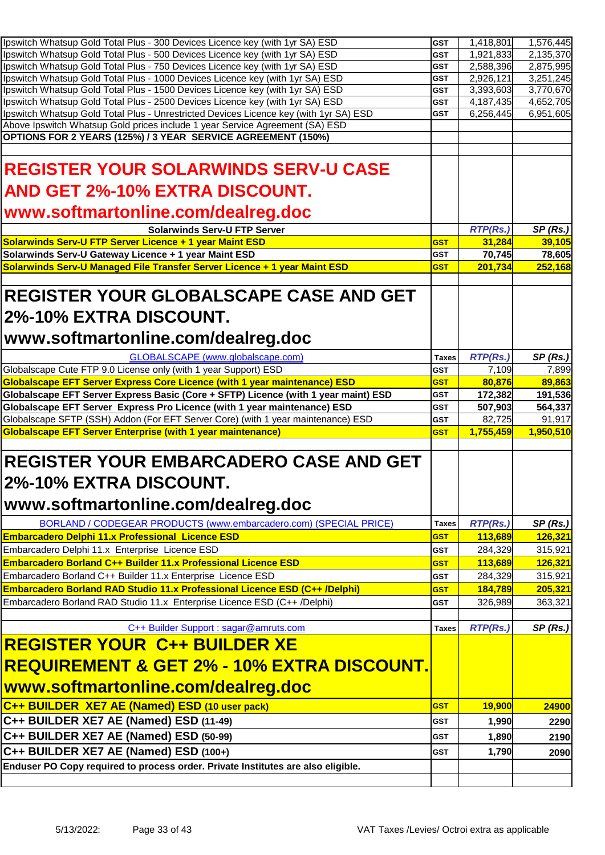| Ipswitch Whatsup Gold Total Plus - 300 Devices Licence key (with 1yr SA) ESD                                                                                                                                                                                                                                                                                                                                                               | <b>GST</b>               | 1,418,801              | 1,576,445              |
|--------------------------------------------------------------------------------------------------------------------------------------------------------------------------------------------------------------------------------------------------------------------------------------------------------------------------------------------------------------------------------------------------------------------------------------------|--------------------------|------------------------|------------------------|
| Ipswitch Whatsup Gold Total Plus - 500 Devices Licence key (with 1yr SA) ESD                                                                                                                                                                                                                                                                                                                                                               | <b>GST</b>               | 1,921,833              | 2,135,370              |
| Ipswitch Whatsup Gold Total Plus - 750 Devices Licence key (with 1yr SA) ESD                                                                                                                                                                                                                                                                                                                                                               | <b>GST</b>               | 2,588,396              | 2,875,995              |
| Ipswitch Whatsup Gold Total Plus - 1000 Devices Licence key (with 1yr SA) ESD<br>Ipswitch Whatsup Gold Total Plus - 1500 Devices Licence key (with 1yr SA) ESD                                                                                                                                                                                                                                                                             | <b>GST</b>               | 2,926,121              | 3,251,245              |
| Ipswitch Whatsup Gold Total Plus - 2500 Devices Licence key (with 1yr SA) ESD                                                                                                                                                                                                                                                                                                                                                              | <b>GST</b><br><b>GST</b> | 3,393,603<br>4,187,435 | 3,770,670<br>4,652,705 |
| Ipswitch Whatsup Gold Total Plus - Unrestricted Devices Licence key (with 1yr SA) ESD                                                                                                                                                                                                                                                                                                                                                      | <b>GST</b>               | 6,256,445              | 6,951,605              |
| Above Ipswitch Whatsup Gold prices include 1 year Service Agreement (SA) ESD                                                                                                                                                                                                                                                                                                                                                               |                          |                        |                        |
| OPTIONS FOR 2 YEARS (125%) / 3 YEAR SERVICE AGREEMENT (150%)                                                                                                                                                                                                                                                                                                                                                                               |                          |                        |                        |
|                                                                                                                                                                                                                                                                                                                                                                                                                                            |                          |                        |                        |
| <b>REGISTER YOUR SOLARWINDS SERV-U CASE</b>                                                                                                                                                                                                                                                                                                                                                                                                |                          |                        |                        |
| AND GET 2%-10% EXTRA DISCOUNT.                                                                                                                                                                                                                                                                                                                                                                                                             |                          |                        |                        |
| www.softmartonline.com/dealreg.doc                                                                                                                                                                                                                                                                                                                                                                                                         |                          |                        |                        |
| <b>Solarwinds Serv-U FTP Server</b>                                                                                                                                                                                                                                                                                                                                                                                                        |                          | <b>RTP(Rs.)</b>        | SP(Rs.)                |
| Solarwinds Serv-U FTP Server Licence + 1 year Maint ESD                                                                                                                                                                                                                                                                                                                                                                                    | <b>GST</b>               | 31,284                 | 39,105                 |
| Solarwinds Serv-U Gateway Licence + 1 year Maint ESD                                                                                                                                                                                                                                                                                                                                                                                       | <b>GST</b>               | 70,745                 | 78,605                 |
| Solarwinds Serv-U Managed File Transfer Server Licence + 1 year Maint ESD                                                                                                                                                                                                                                                                                                                                                                  | <b>GST</b>               | 201,734                | 252,168                |
| <b>REGISTER YOUR GLOBALSCAPE CASE AND GET</b><br>l2%-10% EXTRA DISCOUNT.<br> www.softmartonline.com/dealreg.doc                                                                                                                                                                                                                                                                                                                            |                          |                        |                        |
| GLOBALSCAPE (www.globalscape.com)                                                                                                                                                                                                                                                                                                                                                                                                          | <b>Taxes</b>             | RTP(Rs.)               | SP(Rs.)                |
| Globalscape Cute FTP 9.0 License only (with 1 year Support) ESD                                                                                                                                                                                                                                                                                                                                                                            | <b>GST</b>               | 7,109                  | 7,899                  |
| Globalscape EFT Server Express Core Licence (with 1 year maintenance) ESD                                                                                                                                                                                                                                                                                                                                                                  | <b>GST</b>               | 80,876                 | 89,863                 |
| Globalscape EFT Server Express Basic (Core + SFTP) Licence (with 1 year maint) ESD                                                                                                                                                                                                                                                                                                                                                         | <b>GST</b>               | 172,382                | 191,536                |
|                                                                                                                                                                                                                                                                                                                                                                                                                                            |                          |                        |                        |
| Globalscape EFT Server Express Pro Licence (with 1 year maintenance) ESD                                                                                                                                                                                                                                                                                                                                                                   | <b>GST</b>               | 507,903                | 564,337                |
| Globalscape SFTP (SSH) Addon (For EFT Server Core) (with 1 year maintenance) ESD                                                                                                                                                                                                                                                                                                                                                           | <b>GST</b>               | 82,725                 | 91,917                 |
| <b>Globalscape EFT Server Enterprise (with 1 year maintenance)</b>                                                                                                                                                                                                                                                                                                                                                                         | <b>GST</b>               | 1,755,459              | 1,950,510              |
| <b>REGISTER YOUR EMBARCADERO CASE AND GET</b><br>2%-10% EXTRA DISCOUNT.<br>www.softmartonline.com/dealreg.doc                                                                                                                                                                                                                                                                                                                              |                          |                        |                        |
| BORLAND / CODEGEAR PRODUCTS (www.embarcadero.com) (SPECIAL PRICE)                                                                                                                                                                                                                                                                                                                                                                          | <b>Taxes</b>             | <b>RTP(Rs.)</b>        | SP(Rs.)                |
| <b>Embarcadero Delphi 11.x Professional Licence ESD</b>                                                                                                                                                                                                                                                                                                                                                                                    | <b>GST</b>               | 113,689                | 126,321                |
| Embarcadero Delphi 11.x Enterprise Licence ESD                                                                                                                                                                                                                                                                                                                                                                                             | <b>GST</b>               | 284,329                | 315,921                |
| Embarcadero Borland C++ Builder 11.x Professional Licence ESD                                                                                                                                                                                                                                                                                                                                                                              | <b>GST</b>               | 113,689                | 126,321                |
| Embarcadero Borland C++ Builder 11.x Enterprise Licence ESD                                                                                                                                                                                                                                                                                                                                                                                | <b>GST</b>               | 284,329                | 315,921                |
|                                                                                                                                                                                                                                                                                                                                                                                                                                            | <b>GST</b>               | 184,789                | 205,321                |
|                                                                                                                                                                                                                                                                                                                                                                                                                                            | <b>GST</b>               | 326,989                | 363,321                |
|                                                                                                                                                                                                                                                                                                                                                                                                                                            |                          |                        |                        |
| C++ Builder Support : sagar@amruts.com                                                                                                                                                                                                                                                                                                                                                                                                     | <b>Taxes</b>             | <b>RTP(Rs.)</b>        | SP(Rs.)                |
|                                                                                                                                                                                                                                                                                                                                                                                                                                            |                          |                        |                        |
|                                                                                                                                                                                                                                                                                                                                                                                                                                            |                          |                        |                        |
|                                                                                                                                                                                                                                                                                                                                                                                                                                            |                          |                        |                        |
|                                                                                                                                                                                                                                                                                                                                                                                                                                            | <b>GST</b>               | <b>19,900</b>          | 24900                  |
|                                                                                                                                                                                                                                                                                                                                                                                                                                            | <b>GST</b>               | 1,990                  | 2290                   |
|                                                                                                                                                                                                                                                                                                                                                                                                                                            | <b>GST</b>               |                        |                        |
| Embarcadero Borland RAD Studio 11.x Professional Licence ESD (C++ /Delphi)<br>Embarcadero Borland RAD Studio 11.x Enterprise Licence ESD (C++ /Delphi)<br><b>REGISTER YOUR C++ BUILDER XE</b><br><u> REQUIREMENT &amp; GET 2% - 10% EXTRA DISCOUNT.</u><br><u> www.softmartonline.com/dealreg.doc</u><br>C++ BUILDER XE7 AE (Named) ESD (10 user pack)<br>C++ BUILDER XE7 AE (Named) ESD (11-49)<br>C++ BUILDER XE7 AE (Named) ESD (50-99) |                          | 1,890                  | 2190                   |
| C++ BUILDER XE7 AE (Named) ESD (100+)<br>Enduser PO Copy required to process order. Private Institutes are also eligible.                                                                                                                                                                                                                                                                                                                  | <b>GST</b>               | 1,790                  | 2090                   |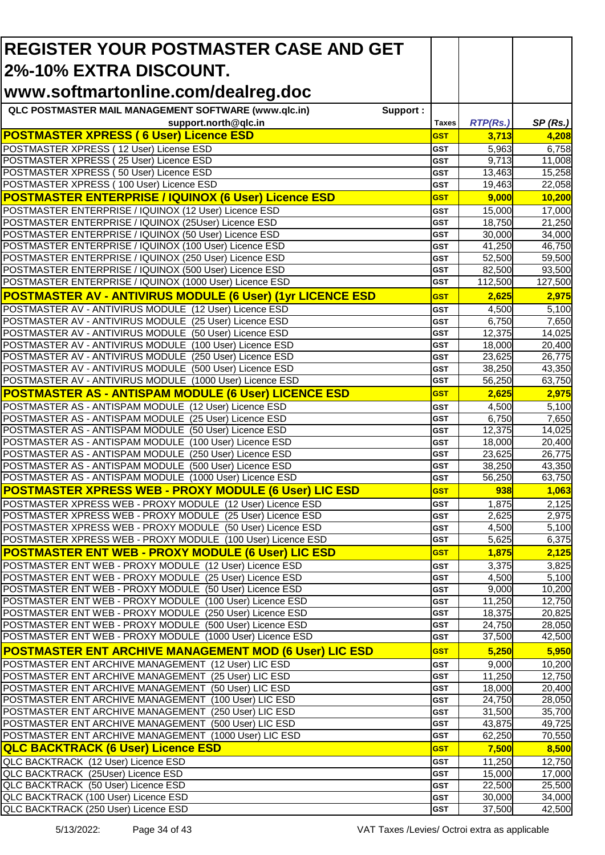| <b>REGISTER YOUR POSTMASTER CASE AND GET</b>                                                                      |                   |                  |                  |
|-------------------------------------------------------------------------------------------------------------------|-------------------|------------------|------------------|
| 2%-10% EXTRA DISCOUNT.                                                                                            |                   |                  |                  |
| www.softmartonline.com/dealreg.doc                                                                                |                   |                  |                  |
| QLC POSTMASTER MAIL MANAGEMENT SOFTWARE (www.qlc.in)<br>Support:                                                  |                   |                  |                  |
| support.north@qlc.in                                                                                              | <b>Taxes</b>      | <b>RTP(Rs.)</b>  | SP(Rs.)          |
| <b>POSTMASTER XPRESS (6 User) Licence ESD</b>                                                                     | <b>GST</b>        | 3,713            | 4,208            |
| POSTMASTER XPRESS (12 User) License ESD                                                                           | <b>GST</b>        | 5,963            | 6,758            |
| POSTMASTER XPRESS (25 User) Licence ESD                                                                           | GST               | 9,713            | 11,008           |
| POSTMASTER XPRESS (50 User) Licence ESD                                                                           | GST               | 13,463           | 15,258           |
| POSTMASTER XPRESS (100 User) Licence ESD                                                                          | <b>GST</b>        | 19,463           | 22,058           |
| <b>POSTMASTER ENTERPRISE / IQUINOX (6 User) Licence ESD</b>                                                       | <b>GST</b>        | 9,000            | 10,200           |
| POSTMASTER ENTERPRISE / IQUINOX (12 User) Licence ESD                                                             | <b>GST</b>        | 15,000           | 17,000           |
| POSTMASTER ENTERPRISE / IQUINOX (25User) Licence ESD                                                              | <b>GST</b>        | 18,750           | 21,250           |
| POSTMASTER ENTERPRISE / IQUINOX (50 User) Licence ESD<br>POSTMASTER ENTERPRISE / IQUINOX (100 User) Licence ESD   | <b>GST</b><br>GST | 30,000<br>41,250 | 34,000<br>46,750 |
| POSTMASTER ENTERPRISE / IQUINOX (250 User) Licence ESD                                                            | <b>GST</b>        | 52,500           | 59,500           |
| POSTMASTER ENTERPRISE / IQUINOX (500 User) Licence ESD                                                            | GST               | 82,500           | 93,500           |
| POSTMASTER ENTERPRISE / IQUINOX (1000 User) Licence ESD                                                           | <b>GST</b>        | 112,500          | 127,500          |
| <b>POSTMASTER AV - ANTIVIRUS MODULE (6 User) (1yr LICENCE ESD</b>                                                 | <b>GST</b>        | 2,625            | 2,975            |
| POSTMASTER AV - ANTIVIRUS MODULE (12 User) Licence ESD                                                            | <b>GST</b>        | 4,500            | 5,100            |
| POSTMASTER AV - ANTIVIRUS MODULE (25 User) Licence ESD                                                            | <b>GST</b>        | 6,750            | 7,650            |
| POSTMASTER AV - ANTIVIRUS MODULE (50 User) Licence ESD                                                            | <b>GST</b>        | 12,375           | 14,025           |
| POSTMASTER AV - ANTIVIRUS MODULE (100 User) Licence ESD                                                           | <b>GST</b>        | 18,000           | 20,400           |
| POSTMASTER AV - ANTIVIRUS MODULE (250 User) Licence ESD                                                           | <b>GST</b>        | 23,625           | 26,775           |
| POSTMASTER AV - ANTIVIRUS MODULE (500 User) Licence ESD                                                           | <b>GST</b>        | 38,250           | 43,350           |
| POSTMASTER AV - ANTIVIRUS MODULE (1000 User) Licence ESD                                                          | GST               | 56,250           | 63,750           |
| <b>POSTMASTER AS - ANTISPAM MODULE (6 User) LICENCE ESD</b>                                                       | <b>GST</b>        | 2,625            | 2,975            |
| POSTMASTER AS - ANTISPAM MODULE (12 User) Licence ESD                                                             | <b>GST</b>        | 4,500            | 5,100            |
| POSTMASTER AS - ANTISPAM MODULE (25 User) Licence ESD                                                             | <b>GST</b>        | 6,750            | 7,650            |
| POSTMASTER AS - ANTISPAM MODULE (50 User) Licence ESD                                                             | <b>GST</b>        | 12,375           | 14,025           |
| POSTMASTER AS - ANTISPAM MODULE (100 User) Licence ESD                                                            | <b>GST</b>        | 18,000           | 20,400           |
| POSTMASTER AS - ANTISPAM MODULE (250 User) Licence ESD                                                            | <b>GST</b>        | 23,625           | 26,775           |
| POSTMASTER AS - ANTISPAM MODULE (500 User) Licence ESD<br>POSTMASTER AS - ANTISPAM MODULE (1000 User) Licence ESD | <b>GST</b><br>GST | 38,250<br>56,250 | 43,350<br>63,750 |
| POSTMASTER XPRESS WEB - PROXY MODULE (6 User) LIC ESD                                                             | <b>GST</b>        | 938              | 1,063            |
| POSTMASTER XPRESS WEB - PROXY MODULE (12 User) Licence ESD                                                        | <b>GST</b>        | 1,875            | 2,125            |
| POSTMASTER XPRESS WEB - PROXY MODULE (25 User) Licence ESD                                                        | <b>GST</b>        | 2,625            | 2,975            |
| POSTMASTER XPRESS WEB - PROXY MODULE (50 User) Licence ESD                                                        | <b>GST</b>        | 4,500            | 5,100            |
| POSTMASTER XPRESS WEB - PROXY MODULE (100 User) Licence ESD                                                       | <b>GST</b>        | 5,625            | 6,375            |
| <b>POSTMASTER ENT WEB - PROXY MODULE (6 User) LIC ESD</b>                                                         | <b>GST</b>        | 1,875            | 2,125            |
| POSTMASTER ENT WEB - PROXY MODULE (12 User) Licence ESD                                                           | <b>GST</b>        | 3,375            | 3,825            |
| POSTMASTER ENT WEB - PROXY MODULE (25 User) Licence ESD                                                           | <b>GST</b>        | 4,500            | 5,100            |
| POSTMASTER ENT WEB - PROXY MODULE (50 User) Licence ESD                                                           | <b>GST</b>        | 9,000            | 10,200           |
| POSTMASTER ENT WEB - PROXY MODULE (100 User) Licence ESD                                                          | <b>GST</b>        | 11,250           | 12,750           |
| POSTMASTER ENT WEB - PROXY MODULE (250 User) Licence ESD                                                          | <b>GST</b>        | 18,375           | 20,825           |
| POSTMASTER ENT WEB - PROXY MODULE (500 User) Licence ESD                                                          | <b>GST</b>        | 24,750           | 28,050           |
| POSTMASTER ENT WEB - PROXY MODULE (1000 User) Licence ESD                                                         | <b>GST</b>        | 37,500           | 42,500           |
| <b>POSTMASTER ENT ARCHIVE MANAGEMENT MOD (6 User) LIC ESD</b>                                                     | <b>GST</b>        | 5,250            | 5,950            |
| POSTMASTER ENT ARCHIVE MANAGEMENT (12 User) LIC ESD                                                               | <b>GST</b>        | 9,000            | 10,200           |
| POSTMASTER ENT ARCHIVE MANAGEMENT (25 User) LIC ESD<br>POSTMASTER ENT ARCHIVE MANAGEMENT (50 User) LIC ESD        | <b>GST</b>        | 11,250<br>18,000 | 12,750           |
| POSTMASTER ENT ARCHIVE MANAGEMENT (100 User) LIC ESD                                                              | <b>GST</b><br>GST | 24,750           | 20,400<br>28,050 |
| POSTMASTER ENT ARCHIVE MANAGEMENT (250 User) LIC ESD                                                              | GST               | 31,500           | 35,700           |
| POSTMASTER ENT ARCHIVE MANAGEMENT (500 User) LIC ESD                                                              | <b>GST</b>        | 43,875           | 49,725           |
| POSTMASTER ENT ARCHIVE MANAGEMENT (1000 User) LIC ESD                                                             | <b>GST</b>        | 62,250           | 70,550           |
| <b>QLC BACKTRACK (6 User) Licence ESD</b>                                                                         | <b>GST</b>        | 7,500            | 8,500            |
| QLC BACKTRACK (12 User) Licence ESD                                                                               | <b>GST</b>        | 11,250           | 12,750           |
| QLC BACKTRACK (25User) Licence ESD                                                                                | <b>GST</b>        | 15,000           | 17,000           |
| QLC BACKTRACK (50 User) Licence ESD                                                                               | <b>GST</b>        | 22,500           | 25,500           |
| QLC BACKTRACK (100 User) Licence ESD                                                                              | <b>GST</b>        | 30,000           | 34,000           |
| QLC BACKTRACK (250 User) Licence ESD                                                                              | <b>GST</b>        | 37,500           | 42,500           |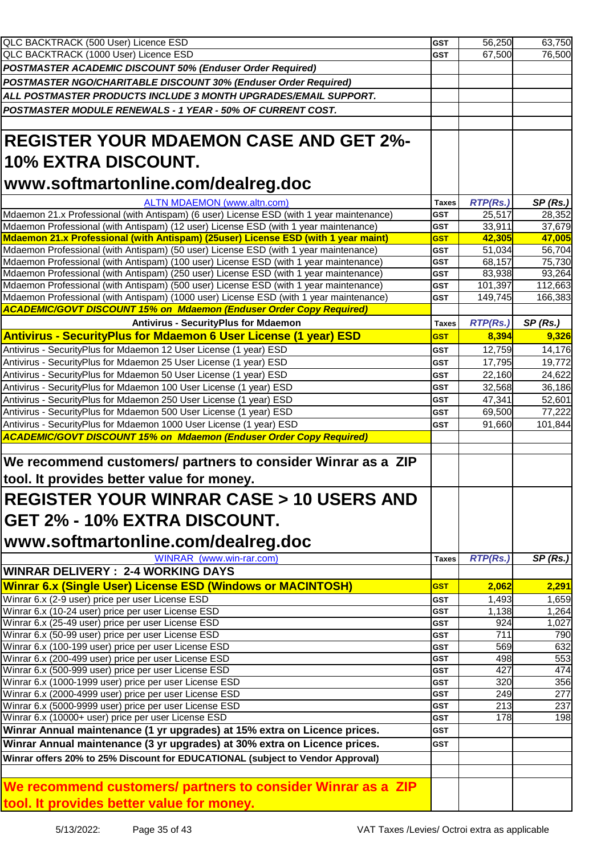| QLC BACKTRACK (500 User) Licence ESD                                                                                                                                                                                                                                                                                                                      | <b>GST</b>               | 56,250          | 63,750             |
|-----------------------------------------------------------------------------------------------------------------------------------------------------------------------------------------------------------------------------------------------------------------------------------------------------------------------------------------------------------|--------------------------|-----------------|--------------------|
| QLC BACKTRACK (1000 User) Licence ESD                                                                                                                                                                                                                                                                                                                     | <b>GST</b>               | 67,500          | 76,500             |
| POSTMASTER ACADEMIC DISCOUNT 50% (Enduser Order Required)                                                                                                                                                                                                                                                                                                 |                          |                 |                    |
| POSTMASTER NGO/CHARITABLE DISCOUNT 30% (Enduser Order Required)                                                                                                                                                                                                                                                                                           |                          |                 |                    |
| ALL POSTMASTER PRODUCTS INCLUDE 3 MONTH UPGRADES/EMAIL SUPPORT.                                                                                                                                                                                                                                                                                           |                          |                 |                    |
| POSTMASTER MODULE RENEWALS - 1 YEAR - 50% OF CURRENT COST.                                                                                                                                                                                                                                                                                                |                          |                 |                    |
|                                                                                                                                                                                                                                                                                                                                                           |                          |                 |                    |
|                                                                                                                                                                                                                                                                                                                                                           |                          |                 |                    |
| <b>REGISTER YOUR MDAEMON CASE AND GET 2%-</b><br>10% EXTRA DISCOUNT.                                                                                                                                                                                                                                                                                      |                          |                 |                    |
| www.softmartonline.com/dealreg.doc                                                                                                                                                                                                                                                                                                                        |                          |                 |                    |
| <b>ALTN MDAEMON (www.altn.com)</b>                                                                                                                                                                                                                                                                                                                        | <b>Taxes</b>             | <b>RTP(Rs.)</b> | SP(Rs.)            |
| Mdaemon 21.x Professional (with Antispam) (6 user) License ESD (with 1 year maintenance)                                                                                                                                                                                                                                                                  | <b>GST</b>               | 25,517          | 28,352             |
| Mdaemon Professional (with Antispam) (12 user) License ESD (with 1 year maintenance)                                                                                                                                                                                                                                                                      | <b>GST</b>               | 33,911          | 37,679             |
| Mdaemon 21.x Professional (with Antispam) (25user) License ESD (with 1 year maint)                                                                                                                                                                                                                                                                        | <b>GST</b>               | 42,305          | 47,005             |
| Mdaemon Professional (with Antispam) (50 user) License ESD (with 1 year maintenance)                                                                                                                                                                                                                                                                      | <b>GST</b>               | 51,034          | 56,704             |
| Mdaemon Professional (with Antispam) (100 user) License ESD (with 1 year maintenance)                                                                                                                                                                                                                                                                     | <b>GST</b>               | 68,157          | 75,730             |
| Mdaemon Professional (with Antispam) (250 user) License ESD (with 1 year maintenance)                                                                                                                                                                                                                                                                     | <b>GST</b>               | 83,938          | 93,264             |
| Mdaemon Professional (with Antispam) (500 user) License ESD (with 1 year maintenance)                                                                                                                                                                                                                                                                     | <b>GST</b>               | 101,397         | 112,663            |
| Mdaemon Professional (with Antispam) (1000 user) License ESD (with 1 year maintenance)                                                                                                                                                                                                                                                                    | <b>GST</b>               | 149,745         | 166,383            |
| <b>ACADEMIC/GOVT DISCOUNT 15% on Mdaemon (Enduser Order Copy Required)</b>                                                                                                                                                                                                                                                                                |                          |                 |                    |
| <b>Antivirus - SecurityPlus for Mdaemon</b>                                                                                                                                                                                                                                                                                                               | <b>Taxes</b>             | <b>RTP(Rs.)</b> | SP(Rs.)            |
| <b>Antivirus - SecurityPlus for Mdaemon 6 User License (1 year) ESD</b>                                                                                                                                                                                                                                                                                   | <b>GST</b>               | 8,394           | 9,326              |
| Antivirus - SecurityPlus for Mdaemon 12 User License (1 year) ESD                                                                                                                                                                                                                                                                                         | <b>GST</b>               | 12,759          | 14,176             |
| Antivirus - SecurityPlus for Mdaemon 25 User License (1 year) ESD                                                                                                                                                                                                                                                                                         | <b>GST</b>               | 17,795          | 19,772             |
| Antivirus - SecurityPlus for Mdaemon 50 User License (1 year) ESD                                                                                                                                                                                                                                                                                         | <b>GST</b>               | 22,160          | 24,622             |
| Antivirus - SecurityPlus for Mdaemon 100 User License (1 year) ESD                                                                                                                                                                                                                                                                                        | <b>GST</b>               | 32,568          | 36,186             |
| Antivirus - SecurityPlus for Mdaemon 250 User License (1 year) ESD                                                                                                                                                                                                                                                                                        | <b>GST</b>               | 47,341          | 52,601             |
| Antivirus - SecurityPlus for Mdaemon 500 User License (1 year) ESD                                                                                                                                                                                                                                                                                        | <b>GST</b>               | 69,500          | 77,222             |
| Antivirus - SecurityPlus for Mdaemon 1000 User License (1 year) ESD                                                                                                                                                                                                                                                                                       | <b>GST</b>               | 91,660          | 101,844            |
| <b>ACADEMIC/GOVT DISCOUNT 15% on Mdaemon (Enduser Order Copy Required)</b>                                                                                                                                                                                                                                                                                |                          |                 |                    |
| We recommend customers/ partners to consider Winrar as a ZIP                                                                                                                                                                                                                                                                                              |                          |                 |                    |
| tool. It provides better value for money.                                                                                                                                                                                                                                                                                                                 |                          |                 |                    |
| <b>IREGISTER YOUR WINRAR CASE &gt; 10 USERS AND</b>                                                                                                                                                                                                                                                                                                       |                          |                 |                    |
| <b>IGET 2% - 10% EXTRA DISCOUNT.</b>                                                                                                                                                                                                                                                                                                                      |                          |                 |                    |
| www.softmartonline.com/dealreg.doc                                                                                                                                                                                                                                                                                                                        |                          |                 |                    |
| WINRAR (www.win-rar.com)<br><b>WINRAR DELIVERY : 2-4 WORKING DAYS</b>                                                                                                                                                                                                                                                                                     | <b>Taxes</b>             | <b>RTP(Rs.)</b> | SP(Rs.)            |
|                                                                                                                                                                                                                                                                                                                                                           |                          |                 |                    |
| Winrar 6.x (Single User) License ESD (Windows or MACINTOSH)                                                                                                                                                                                                                                                                                               | <b>GST</b>               | 2,062           | 2,291              |
| Winrar 6.x (2-9 user) price per user License ESD                                                                                                                                                                                                                                                                                                          | <b>GST</b>               | 1,493           | $\overline{1,659}$ |
| Winrar 6.x (10-24 user) price per user License ESD                                                                                                                                                                                                                                                                                                        | <b>GST</b>               | 1,138           | 1,264              |
| Winrar 6.x (25-49 user) price per user License ESD<br>Winrar 6.x (50-99 user) price per user License ESD                                                                                                                                                                                                                                                  | <b>GST</b><br><b>GST</b> | 924<br>711      | 1,027<br>790       |
| Winrar 6.x (100-199 user) price per user License ESD                                                                                                                                                                                                                                                                                                      | <b>GST</b>               | 569             | 632                |
| Winrar 6.x (200-499 user) price per user License ESD                                                                                                                                                                                                                                                                                                      | <b>GST</b>               | 498             | 553                |
| Winrar 6.x (500-999 user) price per user License ESD                                                                                                                                                                                                                                                                                                      | <b>GST</b>               | 427             | 474                |
| Winrar 6.x (1000-1999 user) price per user License ESD                                                                                                                                                                                                                                                                                                    | <b>GST</b>               | 320             | 356                |
| Winrar 6.x (2000-4999 user) price per user License ESD                                                                                                                                                                                                                                                                                                    |                          |                 | 277                |
|                                                                                                                                                                                                                                                                                                                                                           | <b>GST</b>               | 249             |                    |
|                                                                                                                                                                                                                                                                                                                                                           | <b>GST</b>               | 213             | 237                |
|                                                                                                                                                                                                                                                                                                                                                           | <b>GST</b>               | 178             | 198                |
|                                                                                                                                                                                                                                                                                                                                                           | <b>GST</b>               |                 |                    |
|                                                                                                                                                                                                                                                                                                                                                           | <b>GST</b>               |                 |                    |
|                                                                                                                                                                                                                                                                                                                                                           |                          |                 |                    |
| Winrar 6.x (5000-9999 user) price per user License ESD<br>Winrar 6.x (10000+ user) price per user License ESD<br>Winrar Annual maintenance (1 yr upgrades) at 15% extra on Licence prices.<br>Winrar Annual maintenance (3 yr upgrades) at 30% extra on Licence prices.<br>Winrar offers 20% to 25% Discount for EDUCATIONAL (subject to Vendor Approval) |                          |                 |                    |
| We recommend customers/ partners to consider Winrar as a ZIP<br>tool. It provides better value for money.                                                                                                                                                                                                                                                 |                          |                 |                    |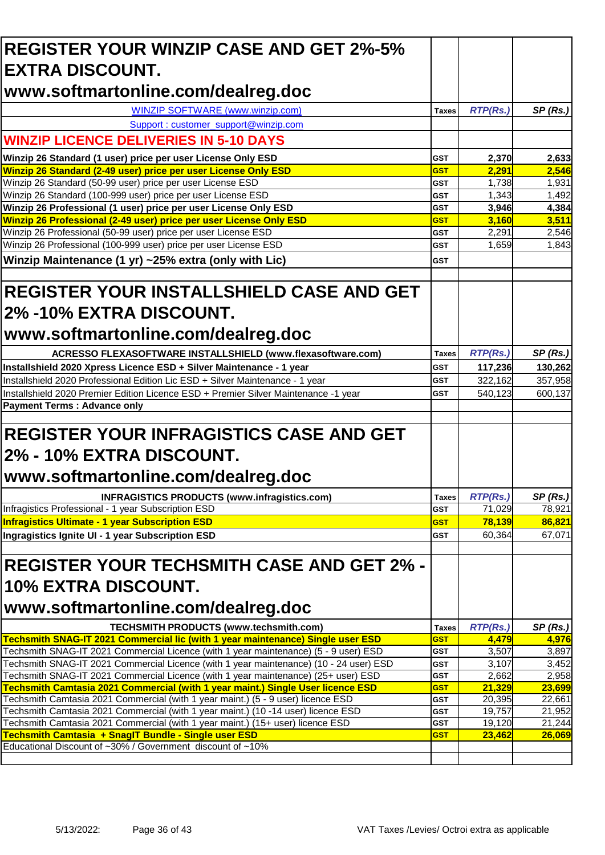| <b>REGISTER YOUR WINZIP CASE AND GET 2%-5%</b>                                                                                                                                 |                            |                  |                  |
|--------------------------------------------------------------------------------------------------------------------------------------------------------------------------------|----------------------------|------------------|------------------|
| <b>IEXTRA DISCOUNT.</b>                                                                                                                                                        |                            |                  |                  |
| www.softmartonline.com/dealreg.doc                                                                                                                                             |                            |                  |                  |
| WINZIP SOFTWARE (www.winzip.com)                                                                                                                                               | <b>Taxes</b>               | <b>RTP(Rs.)</b>  | SP(Rs.)          |
| Support : customer_support@winzip.com                                                                                                                                          |                            |                  |                  |
| <b>WINZIP LICENCE DELIVERIES IN 5-10 DAYS</b>                                                                                                                                  |                            |                  |                  |
|                                                                                                                                                                                |                            |                  |                  |
| Winzip 26 Standard (1 user) price per user License Only ESD                                                                                                                    | <b>GST</b>                 | 2,370            | 2,633            |
| Winzip 26 Standard (2-49 user) price per user License Only ESD<br>Winzip 26 Standard (50-99 user) price per user License ESD                                                   | <b>GST</b><br><b>GST</b>   | 2,291<br>1,738   | 2,546<br>1,931   |
| Winzip 26 Standard (100-999 user) price per user License ESD                                                                                                                   | <b>GST</b>                 | 1,343            | 1,492            |
| Winzip 26 Professional (1 user) price per user License Only ESD                                                                                                                | <b>GST</b>                 | 3,946            | 4,384            |
| Winzip 26 Professional (2-49 user) price per user License Only ESD                                                                                                             | <b>GST</b>                 | 3,160            | 3,511            |
| Winzip 26 Professional (50-99 user) price per user License ESD                                                                                                                 | <b>GST</b>                 | 2,291            | 2,546            |
| Winzip 26 Professional (100-999 user) price per user License ESD                                                                                                               | <b>GST</b>                 | 1,659            | 1,843            |
| Winzip Maintenance (1 yr) ~25% extra (only with Lic)                                                                                                                           | <b>GST</b>                 |                  |                  |
| <b>REGISTER YOUR INSTALLSHIELD CASE AND GET</b>                                                                                                                                |                            |                  |                  |
| 2% -10% EXTRA DISCOUNT.                                                                                                                                                        |                            |                  |                  |
| www.softmartonline.com/dealreg.doc                                                                                                                                             |                            |                  |                  |
| ACRESSO FLEXASOFTWARE INSTALLSHIELD (www.flexasoftware.com)                                                                                                                    | <b>Taxes</b>               | <b>RTP(Rs.)</b>  | SP(Rs.)          |
| Installshield 2020 Xpress Licence ESD + Silver Maintenance - 1 year                                                                                                            | <b>GST</b>                 | 117,236          | 130,262          |
| Installshield 2020 Professional Edition Lic ESD + Silver Maintenance - 1 year                                                                                                  | <b>GST</b>                 | 322,162          | 357,958          |
| Installshield 2020 Premier Edition Licence ESD + Premier Silver Maintenance -1 year                                                                                            | <b>GST</b>                 | 540,123          | 600,137          |
| <b>Payment Terms: Advance only</b>                                                                                                                                             |                            |                  |                  |
| <b>REGISTER YOUR INFRAGISTICS CASE AND GET</b>                                                                                                                                 |                            |                  |                  |
| 2% - 10% EXTRA DISCOUNT.                                                                                                                                                       |                            |                  |                  |
| www.softmartonline.com/dealreg.doc                                                                                                                                             |                            |                  |                  |
|                                                                                                                                                                                |                            |                  |                  |
| <b>INFRAGISTICS PRODUCTS (www.infragistics.com)</b>                                                                                                                            | <b>Taxes</b><br><b>GST</b> | <b>RTP(Rs.)</b>  | SP(Rs.)          |
| Infragistics Professional - 1 year Subscription ESD<br><b>Infragistics Ultimate - 1 year Subscription ESD</b>                                                                  | <b>GST</b>                 | 71,029<br>78,139 | 78,921<br>86,821 |
| Ingragistics Ignite UI - 1 year Subscription ESD                                                                                                                               | <b>GST</b>                 | 60,364           | 67,071           |
|                                                                                                                                                                                |                            |                  |                  |
| <b>REGISTER YOUR TECHSMITH CASE AND GET 2% -</b>                                                                                                                               |                            |                  |                  |
|                                                                                                                                                                                |                            |                  |                  |
| 10% EXTRA DISCOUNT.                                                                                                                                                            |                            |                  |                  |
| www.softmartonline.com/dealreg.doc                                                                                                                                             |                            |                  |                  |
| <b>TECHSMITH PRODUCTS (www.techsmith.com)</b>                                                                                                                                  | <b>Taxes</b>               | <b>RTP(Rs.)</b>  | SP(Rs.)          |
| Techsmith SNAG-IT 2021 Commercial lic (with 1 year maintenance) Single user ESD                                                                                                | <b>GST</b>                 | 4,479            | 4,976            |
| Techsmith SNAG-IT 2021 Commercial Licence (with 1 year maintenance) (5 - 9 user) ESD<br>Techsmith SNAG-IT 2021 Commercial Licence (with 1 year maintenance) (10 - 24 user) ESD | <b>GST</b>                 | 3,507            | 3,897            |
| Techsmith SNAG-IT 2021 Commercial Licence (with 1 year maintenance) (25+ user) ESD                                                                                             | <b>GST</b><br><b>GST</b>   | 3,107<br>2,662   | 3,452<br>2,958   |
| <b>Techsmith Camtasia 2021 Commercial (with 1 year maint.) Single User licence ESD</b>                                                                                         | <b>GST</b>                 | 21,329           | 23,699           |
| Techsmith Camtasia 2021 Commercial (with 1 year maint.) (5 - 9 user) licence ESD                                                                                               | <b>GST</b>                 | 20,395           | 22,661           |
| Techsmith Camtasia 2021 Commercial (with 1 year maint.) (10 -14 user) licence ESD                                                                                              | <b>GST</b>                 | 19,757           | 21,952           |
| Techsmith Camtasia 2021 Commercial (with 1 year maint.) (15+ user) licence ESD                                                                                                 | <b>GST</b>                 | 19,120           | 21,244           |
| Techsmith Camtasia + SnagIT Bundle - Single user ESD<br>Educational Discount of ~30% / Government discount of ~10%                                                             | <b>GST</b>                 | 23,462           | 26,069           |
|                                                                                                                                                                                |                            |                  |                  |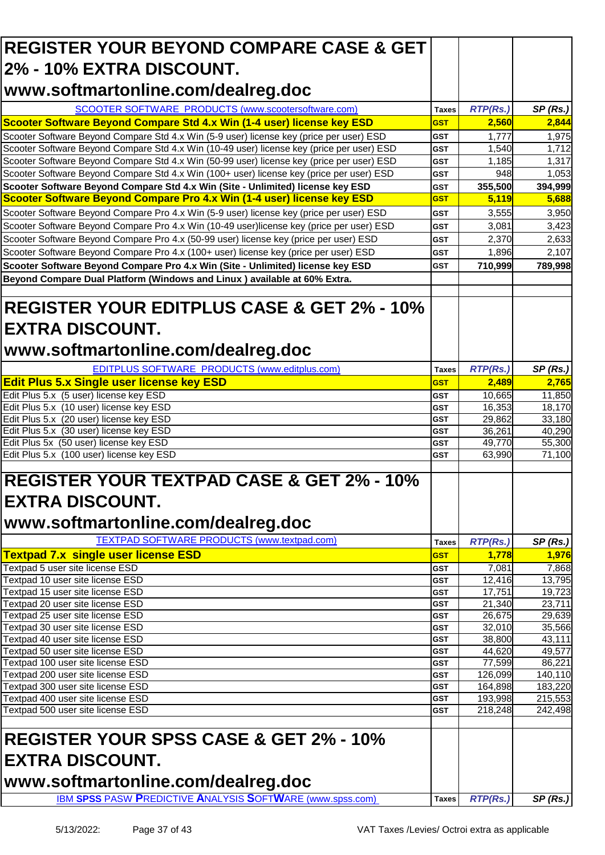| <b>REGISTER YOUR BEYOND COMPARE CASE &amp; GET</b>                                                                                                                                     |                            |                   |                   |
|----------------------------------------------------------------------------------------------------------------------------------------------------------------------------------------|----------------------------|-------------------|-------------------|
| <b>2% - 10% EXTRA DISCOUNT.</b>                                                                                                                                                        |                            |                   |                   |
|                                                                                                                                                                                        |                            |                   |                   |
| www.softmartonline.com/dealreg.doc                                                                                                                                                     |                            |                   |                   |
| SCOOTER SOFTWARE PRODUCTS (www.scootersoftware.com)                                                                                                                                    | Taxes                      | RTP(Rs.)          | SP(Rs.)           |
| Scooter Software Beyond Compare Std 4.x Win (1-4 user) license key ESD                                                                                                                 | <b>GST</b>                 | 2,560             | 2,844             |
| Scooter Software Beyond Compare Std 4.x Win (5-9 user) license key (price per user) ESD                                                                                                | <b>GST</b>                 | 1,777             | 1,975             |
| Scooter Software Beyond Compare Std 4.x Win (10-49 user) license key (price per user) ESD<br>Scooter Software Beyond Compare Std 4.x Win (50-99 user) license key (price per user) ESD | <b>GST</b><br><b>GST</b>   | 1,540<br>1,185    | 1,712<br>1,317    |
| Scooter Software Beyond Compare Std 4.x Win (100+ user) license key (price per user) ESD                                                                                               | <b>GST</b>                 | 948               | 1,053             |
| Scooter Software Beyond Compare Std 4.x Win (Site - Unlimited) license key ESD                                                                                                         | <b>GST</b>                 | 355,500           | 394,999           |
| Scooter Software Beyond Compare Pro 4.x Win (1-4 user) license key ESD                                                                                                                 | <b>GST</b>                 | 5,119             | 5,688             |
| Scooter Software Beyond Compare Pro 4.x Win (5-9 user) license key (price per user) ESD                                                                                                | <b>GST</b>                 | 3,555             | 3,950             |
| Scooter Software Beyond Compare Pro 4.x Win (10-49 user)license key (price per user) ESD                                                                                               | <b>GST</b>                 | 3,081             | 3,423             |
| Scooter Software Beyond Compare Pro 4.x (50-99 user) license key (price per user) ESD                                                                                                  | <b>GST</b>                 | 2,370             | 2,633             |
| Scooter Software Beyond Compare Pro 4.x (100+ user) license key (price per user) ESD                                                                                                   | <b>GST</b>                 | 1,896             | 2,107             |
| Scooter Software Beyond Compare Pro 4.x Win (Site - Unlimited) license key ESD                                                                                                         | <b>GST</b>                 | 710,999           | 789,998           |
| Beyond Compare Dual Platform (Windows and Linux) available at 60% Extra.                                                                                                               |                            |                   |                   |
|                                                                                                                                                                                        |                            |                   |                   |
| <b>REGISTER YOUR EDITPLUS CASE &amp; GET 2% - 10%</b>                                                                                                                                  |                            |                   |                   |
|                                                                                                                                                                                        |                            |                   |                   |
| <b>EXTRA DISCOUNT.</b>                                                                                                                                                                 |                            |                   |                   |
| www.softmartonline.com/dealreg.doc                                                                                                                                                     |                            |                   |                   |
|                                                                                                                                                                                        |                            |                   |                   |
| <b>EDITPLUS SOFTWARE PRODUCTS (www.editplus.com)</b>                                                                                                                                   | <b>Taxes</b>               | <b>RTP(Rs.)</b>   | SP(Rs.)           |
| <b>Edit Plus 5.x Single user license key ESD</b>                                                                                                                                       | <b>GST</b>                 | 2,489             | 2,765             |
| Edit Plus 5.x (5 user) license key ESD                                                                                                                                                 | <b>GST</b>                 | 10,665            | 11,850            |
| Edit Plus 5.x (10 user) license key ESD                                                                                                                                                | <b>GST</b>                 | 16,353            | 18,170            |
| Edit Plus 5.x (20 user) license key ESD<br>Edit Plus 5.x (30 user) license key ESD                                                                                                     | <b>GST</b><br><b>GST</b>   | 29,862<br>36,261  | 33,180<br>40,290  |
| Edit Plus 5x (50 user) license key ESD                                                                                                                                                 | <b>GST</b>                 | 49,770            | 55,300            |
| Edit Plus 5.x (100 user) license key ESD                                                                                                                                               | <b>GST</b>                 | 63,990            | 71,100            |
|                                                                                                                                                                                        |                            |                   |                   |
| <b>REGISTER YOUR TEXTPAD CASE &amp; GET 2% - 10%</b>                                                                                                                                   |                            |                   |                   |
|                                                                                                                                                                                        |                            |                   |                   |
| <b>EXTRA DISCOUNT.</b>                                                                                                                                                                 |                            |                   |                   |
| www.softmartonline.com/dealreg.doc                                                                                                                                                     |                            |                   |                   |
| <b>TEXTPAD SOFTWARE PRODUCTS (www.textpad.com)</b>                                                                                                                                     |                            |                   |                   |
| <b>Textpad 7.x single user license ESD</b>                                                                                                                                             | <b>Taxes</b><br><b>GST</b> | RTP(Rs.)<br>1,778 | SP(Rs.)<br>1,976  |
| Textpad 5 user site license ESD                                                                                                                                                        | <b>GST</b>                 | 7,081             | 7,868             |
| Textpad 10 user site license ESD                                                                                                                                                       | <b>GST</b>                 | 12,416            | 13,795            |
| Textpad 15 user site license ESD                                                                                                                                                       | <b>GST</b>                 | 17,751            | 19,723            |
| Textpad 20 user site license ESD                                                                                                                                                       | <b>GST</b>                 | 21,340            | 23,711            |
| Textpad 25 user site license ESD                                                                                                                                                       | <b>GST</b>                 | 26,675            | 29,639            |
| Textpad 30 user site license ESD                                                                                                                                                       | <b>GST</b>                 | 32,010            | 35,566            |
| Textpad 40 user site license ESD                                                                                                                                                       | GST                        | 38,800            | 43,111            |
| Textpad 50 user site license ESD                                                                                                                                                       | <b>GST</b>                 | 44,620            | 49,577            |
| Textpad 100 user site license ESD<br>Textpad 200 user site license ESD                                                                                                                 | GST<br><b>GST</b>          | 77,599<br>126,099 | 86,221<br>140,110 |
| Textpad 300 user site license ESD                                                                                                                                                      | <b>GST</b>                 | 164,898           | 183,220           |
| Textpad 400 user site license ESD                                                                                                                                                      | <b>GST</b>                 | 193,998           | 215,553           |
| Textpad 500 user site license ESD                                                                                                                                                      | GST                        | 218,248           | 242,498           |
|                                                                                                                                                                                        |                            |                   |                   |
| <b>REGISTER YOUR SPSS CASE &amp; GET 2% - 10%</b>                                                                                                                                      |                            |                   |                   |
|                                                                                                                                                                                        |                            |                   |                   |
| <b>EXTRA DISCOUNT.</b>                                                                                                                                                                 |                            |                   |                   |
|                                                                                                                                                                                        |                            |                   |                   |
| www.softmartonline.com/dealreg.doc                                                                                                                                                     |                            |                   |                   |
| <b>IBM SPSS PASW PREDICTIVE ANALYSIS SOFTWARE (www.spss.com)</b>                                                                                                                       | <b>Taxes</b>               | RTP(Rs.)          | SP(Rs.)           |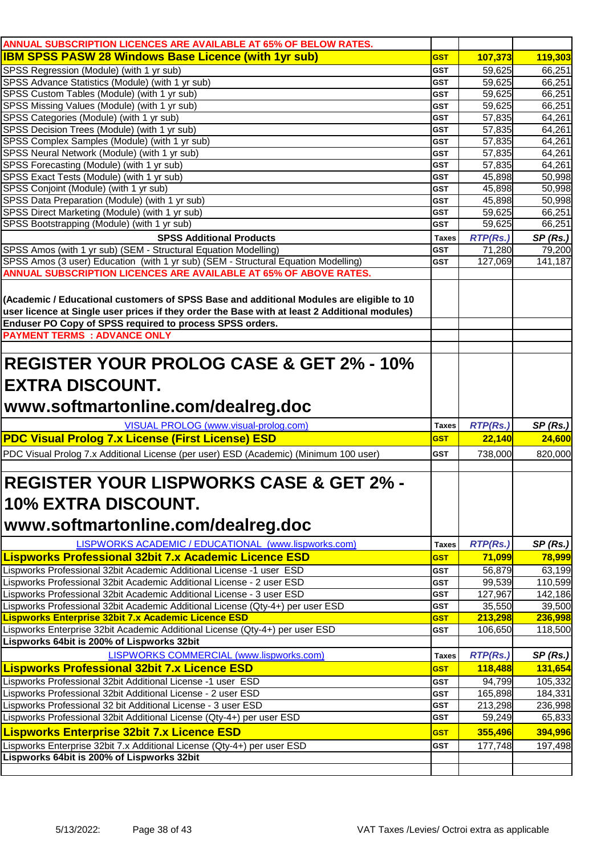| ANNUAL SUBSCRIPTION LICENCES ARE AVAILABLE AT 65% OF BELOW RATES.                             |                          |                  |                  |
|-----------------------------------------------------------------------------------------------|--------------------------|------------------|------------------|
| <b>IBM SPSS PASW 28 Windows Base Licence (with 1yr sub)</b>                                   | <b>GST</b>               | 107,373          | 119,303          |
| SPSS Regression (Module) (with 1 yr sub)                                                      | <b>GST</b>               | 59,625           | 66,251           |
| SPSS Advance Statistics (Module) (with 1 yr sub)                                              | <b>GST</b>               | 59,625           | 66,251           |
| SPSS Custom Tables (Module) (with 1 yr sub)                                                   | <b>GST</b>               | 59,625           | 66,251           |
| SPSS Missing Values (Module) (with 1 yr sub)                                                  | <b>GST</b>               | 59,625           | 66,251           |
| SPSS Categories (Module) (with 1 yr sub)                                                      | <b>GST</b>               | 57,835           | 64,261           |
| SPSS Decision Trees (Module) (with 1 yr sub)                                                  | <b>GST</b>               | 57,835           | 64,261           |
| SPSS Complex Samples (Module) (with 1 yr sub)                                                 | <b>GST</b>               | 57,835           | 64,261           |
| SPSS Neural Network (Module) (with 1 yr sub)                                                  | <b>GST</b><br><b>GST</b> | 57,835           | 64,261<br>64,261 |
| SPSS Forecasting (Module) (with 1 yr sub)<br>SPSS Exact Tests (Module) (with 1 yr sub)        | <b>GST</b>               | 57,835<br>45,898 | 50,998           |
| SPSS Conjoint (Module) (with 1 yr sub)                                                        | <b>GST</b>               | 45,898           | 50,998           |
| SPSS Data Preparation (Module) (with 1 yr sub)                                                | <b>GST</b>               | 45,898           | 50,998           |
| SPSS Direct Marketing (Module) (with 1 yr sub)                                                | <b>GST</b>               | 59,625           | 66,251           |
| SPSS Bootstrapping (Module) (with 1 yr sub)                                                   | <b>GST</b>               | 59,625           | 66,251           |
| <b>SPSS Additional Products</b>                                                               | <b>Taxes</b>             | <b>RTP(Rs.)</b>  | SP(Rs.)          |
| SPSS Amos (with 1 yr sub) (SEM - Structural Equation Modelling)                               | <b>GST</b>               | 71,280           | 79,200           |
| SPSS Amos (3 user) Education (with 1 yr sub) (SEM - Structural Equation Modelling)            | <b>GST</b>               | 127,069          | 141,187          |
| ANNUAL SUBSCRIPTION LICENCES ARE AVAILABLE AT 65% OF ABOVE RATES.                             |                          |                  |                  |
|                                                                                               |                          |                  |                  |
| (Academic / Educational customers of SPSS Base and additional Modules are eligible to 10      |                          |                  |                  |
| user licence at Single user prices if they order the Base with at least 2 Additional modules) |                          |                  |                  |
| Enduser PO Copy of SPSS required to process SPSS orders.                                      |                          |                  |                  |
| <b>PAYMENT TERMS : ADVANCE ONLY</b>                                                           |                          |                  |                  |
|                                                                                               |                          |                  |                  |
| <b>REGISTER YOUR PROLOG CASE &amp; GET 2% - 10%</b>                                           |                          |                  |                  |
|                                                                                               |                          |                  |                  |
| <b>EXTRA DISCOUNT.</b>                                                                        |                          |                  |                  |
| www.softmartonline.com/dealreg.doc                                                            |                          |                  |                  |
|                                                                                               |                          |                  |                  |
| VISUAL PROLOG (www.visual-prolog.com)                                                         | <b>Taxes</b>             | RTP(Rs.)         | SP(Rs.)          |
| <b>PDC Visual Prolog 7.x License (First License) ESD</b>                                      | <b>GST</b>               | 22,140           | 24,600           |
| PDC Visual Prolog 7.x Additional License (per user) ESD (Academic) (Minimum 100 user)         | <b>GST</b>               | 738,000          | 820,000          |
|                                                                                               |                          |                  |                  |
| <b>REGISTER YOUR LISPWORKS CASE &amp; GET 2% -</b>                                            |                          |                  |                  |
|                                                                                               |                          |                  |                  |
| <b>10% EXTRA DISCOUNT.</b>                                                                    |                          |                  |                  |
|                                                                                               |                          |                  |                  |
| www.softmartonline.com/dealreg.doc                                                            |                          |                  |                  |
| LISPWORKS ACADEMIC / EDUCATIONAL (www.lispworks.com)                                          | <b>Taxes</b>             | <b>RTP(Rs.)</b>  | SP(Rs.)          |
| <b>Lispworks Professional 32bit 7.x Academic Licence ESD</b>                                  | <b>GST</b>               | 71,099           | 78,999           |
| Lispworks Professional 32bit Academic Additional License -1 user ESD                          | <b>GST</b>               | 56,879           | 63,199           |
| Lispworks Professional 32bit Academic Additional License - 2 user ESD                         | <b>GST</b>               | 99,539           | 110,599          |
| Lispworks Professional 32bit Academic Additional License - 3 user ESD                         | <b>GST</b>               | 127,967          | 142,186          |
| Lispworks Professional 32bit Academic Additional License (Qty-4+) per user ESD                | <b>GST</b>               | 35,550           | 39,500           |
| Lispworks Enterprise 32bit 7.x Academic Licence ESD                                           | <b>GST</b>               | 213,298          | 236,998          |
| Lispworks Enterprise 32bit Academic Additional License (Qty-4+) per user ESD                  | <b>GST</b>               | 106,650          | 118,500          |
| Lispworks 64bit is 200% of Lispworks 32bit                                                    |                          |                  |                  |
| <b>LISPWORKS COMMERCIAL (www.lispworks.com)</b>                                               | <b>Taxes</b>             | <b>RTP(Rs.)</b>  | SP(Rs.)          |
| <b>Lispworks Professional 32bit 7.x Licence ESD</b>                                           | <b>GST</b>               | 118,488          | 131,654          |
| Lispworks Professional 32bit Additional License -1 user ESD                                   | <b>GST</b>               | 94,799           | 105,332          |
| Lispworks Professional 32bit Additional License - 2 user ESD                                  | <b>GST</b>               | 165,898          | 184,331          |
| Lispworks Professional 32 bit Additional License - 3 user ESD                                 | <b>GST</b>               | 213,298          | 236,998          |
| Lispworks Professional 32bit Additional License (Qty-4+) per user ESD                         | <b>GST</b>               | 59,249           | 65,833           |
| <b>Lispworks Enterprise 32bit 7.x Licence ESD</b>                                             | <b>GST</b>               | 355,496          | 394,996          |
| Lispworks Enterprise 32bit 7.x Additional License (Qty-4+) per user ESD                       | <b>GST</b>               | 177,748          | 197,498          |
| Lispworks 64bit is 200% of Lispworks 32bit                                                    |                          |                  |                  |
|                                                                                               |                          |                  |                  |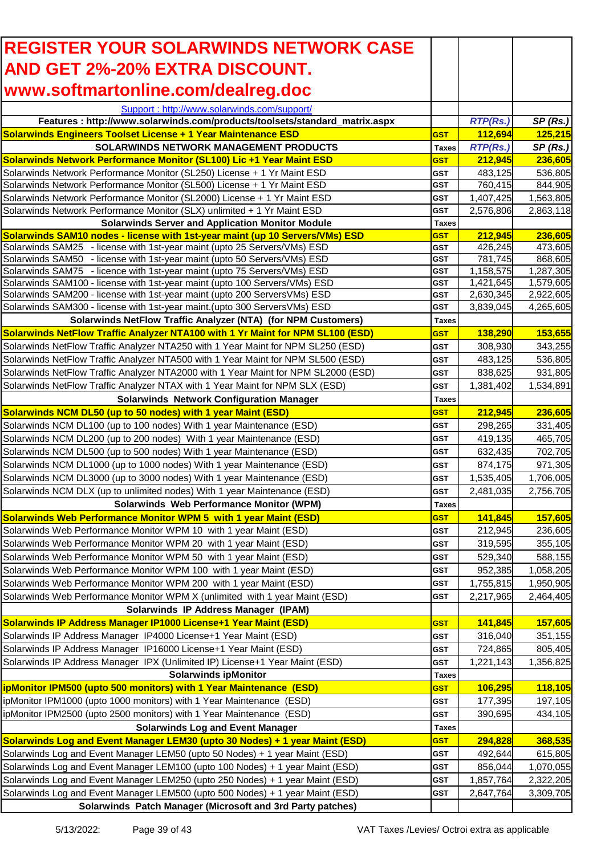| <b>REGISTER YOUR SOLARWINDS NETWORK CASE</b>                                                                                                            |                          |                        |                        |
|---------------------------------------------------------------------------------------------------------------------------------------------------------|--------------------------|------------------------|------------------------|
| <b>AND GET 2%-20% EXTRA DISCOUNT.</b>                                                                                                                   |                          |                        |                        |
| www.softmartonline.com/dealreg.doc                                                                                                                      |                          |                        |                        |
| Support: http://www.solarwinds.com/support/                                                                                                             |                          |                        |                        |
| Features : http://www.solarwinds.com/products/toolsets/standard_matrix.aspx                                                                             |                          | <b>RTP(Rs.)</b>        | SP(Rs.)                |
| <b>Solarwinds Engineers Toolset License + 1 Year Maintenance ESD</b>                                                                                    | <b>GST</b>               | 112,694                | 125,215                |
| <b>SOLARWINDS NETWORK MANAGEMENT PRODUCTS</b>                                                                                                           | <b>Taxes</b>             | <b>RTP(Rs.)</b>        | SP(Rs.)                |
| Solarwinds Network Performance Monitor (SL100) Lic +1 Year Maint ESD                                                                                    | <b>GST</b>               | 212,945                | 236,605                |
| Solarwinds Network Performance Monitor (SL250) License + 1 Yr Maint ESD<br>Solarwinds Network Performance Monitor (SL500) License + 1 Yr Maint ESD      | <b>GST</b><br><b>GST</b> | 483,125<br>760,415     | 536,805<br>844,905     |
| Solarwinds Network Performance Monitor (SL2000) License + 1 Yr Maint ESD                                                                                | <b>GST</b>               | 1,407,425              | 1,563,805              |
| Solarwinds Network Performance Monitor (SLX) unlimited + 1 Yr Maint ESD                                                                                 | <b>GST</b>               | 2,576,806              | 2,863,118              |
| <b>Solarwinds Server and Application Monitor Module</b>                                                                                                 | <b>Taxes</b>             |                        |                        |
| Solarwinds SAM10 nodes - license with 1st-year maint (up 10 Servers/VMs) ESD                                                                            | <b>GST</b>               | 212,945                | 236,605                |
| Solarwinds SAM25 - license with 1st-year maint (upto 25 Servers/VMs) ESD                                                                                | <b>GST</b>               | 426,245                | 473,605                |
| Solarwinds SAM50 - license with 1st-year maint (upto 50 Servers/VMs) ESD                                                                                | <b>GST</b>               | 781,745                | 868,605                |
| Solarwinds SAM75 - licence with 1st-year maint (upto 75 Servers/VMs) ESD                                                                                | <b>GST</b>               | 1,158,575              | 1,287,305              |
| Solarwinds SAM100 - license with 1st-year maint (upto 100 Servers/VMs) ESD                                                                              | <b>GST</b><br><b>GST</b> | 1,421,645              | 1,579,605              |
| Solarwinds SAM200 - license with 1st-year maint (upto 200 ServersVMs) ESD<br>Solarwinds SAM300 - license with 1st-year maint. (upto 300 ServersVMs) ESD | <b>GST</b>               | 2,630,345<br>3,839,045 | 2,922,605<br>4,265,605 |
| Solarwinds NetFlow Traffic Analyzer (NTA) (for NPM Customers)                                                                                           | <b>Taxes</b>             |                        |                        |
| <b>Solarwinds NetFlow Traffic Analyzer NTA100 with 1 Yr Maint for NPM SL100 (ESD)</b>                                                                   | <b>GST</b>               | 138,290                | 153,655                |
| Solarwinds NetFlow Traffic Analyzer NTA250 with 1 Year Maint for NPM SL250 (ESD)                                                                        | <b>GST</b>               | 308,930                | 343,255                |
| Solarwinds NetFlow Traffic Analyzer NTA500 with 1 Year Maint for NPM SL500 (ESD)                                                                        | <b>GST</b>               | 483,125                | 536,805                |
| Solarwinds NetFlow Traffic Analyzer NTA2000 with 1 Year Maint for NPM SL2000 (ESD)                                                                      | <b>GST</b>               | 838,625                | 931,805                |
| Solarwinds NetFlow Traffic Analyzer NTAX with 1 Year Maint for NPM SLX (ESD)                                                                            | <b>GST</b>               | 1,381,402              | 1,534,891              |
| <b>Solarwinds Network Configuration Manager</b>                                                                                                         | <b>Taxes</b>             |                        |                        |
| Solarwinds NCM DL50 (up to 50 nodes) with 1 year Maint (ESD)                                                                                            | <b>GST</b>               | 212,945                | 236,605                |
| Solarwinds NCM DL100 (up to 100 nodes) With 1 year Maintenance (ESD)                                                                                    | <b>GST</b>               | 298,265                | 331,405                |
| Solarwinds NCM DL200 (up to 200 nodes) With 1 year Maintenance (ESD)                                                                                    | <b>GST</b>               | 419,135                | 465,705                |
| Solarwinds NCM DL500 (up to 500 nodes) With 1 year Maintenance (ESD)                                                                                    | <b>GST</b>               | 632,435                | 702,705                |
| Solarwinds NCM DL1000 (up to 1000 nodes) With 1 year Maintenance (ESD)                                                                                  | <b>GST</b>               | 874,175                | 971,305                |
| Solarwinds NCM DL3000 (up to 3000 nodes) With 1 year Maintenance (ESD)                                                                                  | <b>GST</b>               | 1,535,405              | 1,706,005              |
| Solarwinds NCM DLX (up to unlimited nodes) With 1 year Maintenance (ESD)                                                                                | <b>GST</b>               | 2,481,035              | 2,756,705              |
| Solarwinds Web Performance Monitor (WPM)                                                                                                                | Taxes                    |                        |                        |
| <b>Solarwinds Web Performance Monitor WPM 5 with 1 year Maint (ESD)</b>                                                                                 | <b>GST</b>               | 141,845                | 157,605                |
| Solarwinds Web Performance Monitor WPM 10 with 1 year Maint (ESD)                                                                                       | <b>GST</b>               | 212,945                | 236,605                |
| Solarwinds Web Performance Monitor WPM 20 with 1 year Maint (ESD)                                                                                       | <b>GST</b>               | 319,595                | 355,105                |
| Solarwinds Web Performance Monitor WPM 50 with 1 year Maint (ESD)                                                                                       | <b>GST</b>               | 529,340                | 588,155                |
| Solarwinds Web Performance Monitor WPM 100 with 1 year Maint (ESD)                                                                                      | <b>GST</b>               | 952,385                | 1,058,205              |
| Solarwinds Web Performance Monitor WPM 200 with 1 year Maint (ESD)                                                                                      | <b>GST</b>               | 1,755,815              | 1,950,905              |
| Solarwinds Web Performance Monitor WPM X (unlimited with 1 year Maint (ESD)                                                                             | <b>GST</b>               | 2,217,965              | 2,464,405              |
| Solarwinds IP Address Manager (IPAM)                                                                                                                    |                          |                        |                        |
| Solarwinds IP Address Manager IP1000 License+1 Year Maint (ESD)                                                                                         | <b>GST</b>               | 141,845                | 157,605                |
| Solarwinds IP Address Manager IP4000 License+1 Year Maint (ESD)<br>Solarwinds IP Address Manager IP16000 License+1 Year Maint (ESD)                     | <b>GST</b><br><b>GST</b> | 316,040<br>724,865     | 351,155<br>805,405     |
| Solarwinds IP Address Manager IPX (Unlimited IP) License+1 Year Maint (ESD)                                                                             | <b>GST</b>               | 1,221,143              | 1,356,825              |
| <b>Solarwinds ipMonitor</b>                                                                                                                             | <b>Taxes</b>             |                        |                        |
| ipMonitor IPM500 (upto 500 monitors) with 1 Year Maintenance (ESD)                                                                                      | <b>GST</b>               | 106,295                | 118,105                |
| ipMonitor IPM1000 (upto 1000 monitors) with 1 Year Maintenance (ESD)                                                                                    | <b>GST</b>               | 177,395                | 197,105                |
| ipMonitor IPM2500 (upto 2500 monitors) with 1 Year Maintenance (ESD)                                                                                    | <b>GST</b>               | 390,695                | 434,105                |
| <b>Solarwinds Log and Event Manager</b>                                                                                                                 | <b>Taxes</b>             |                        |                        |
| Solarwinds Log and Event Manager LEM30 (upto 30 Nodes) + 1 year Maint (ESD)                                                                             | <b>GST</b>               | 294,828                | 368,535                |
| Solarwinds Log and Event Manager LEM50 (upto 50 Nodes) + 1 year Maint (ESD)                                                                             | <b>GST</b>               | 492,644                | 615,805                |
| Solarwinds Log and Event Manager LEM100 (upto 100 Nodes) + 1 year Maint (ESD)                                                                           | <b>GST</b>               | 856,044                | 1,070,055              |
| Solarwinds Log and Event Manager LEM250 (upto 250 Nodes) + 1 year Maint (ESD)                                                                           | <b>GST</b>               | 1,857,764              | 2,322,205              |
| Solarwinds Log and Event Manager LEM500 (upto 500 Nodes) + 1 year Maint (ESD)                                                                           | <b>GST</b>               | 2,647,764              | 3,309,705              |
| Solarwinds Patch Manager (Microsoft and 3rd Party patches)                                                                                              |                          |                        |                        |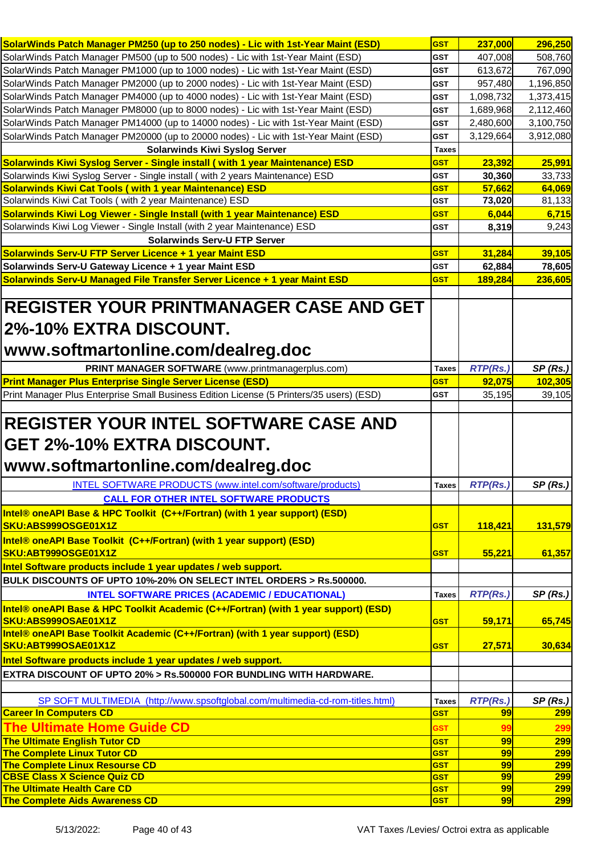| SolarWinds Patch Manager PM250 (up to 250 nodes) - Lic with 1st-Year Maint (ESD)                                                                                                                                                                                                                                                                                                                                                                                                                                                                                                                                                                                                                                                      | <b>GST</b>                 | 237,000          | 296,250           |
|---------------------------------------------------------------------------------------------------------------------------------------------------------------------------------------------------------------------------------------------------------------------------------------------------------------------------------------------------------------------------------------------------------------------------------------------------------------------------------------------------------------------------------------------------------------------------------------------------------------------------------------------------------------------------------------------------------------------------------------|----------------------------|------------------|-------------------|
| SolarWinds Patch Manager PM500 (up to 500 nodes) - Lic with 1st-Year Maint (ESD)                                                                                                                                                                                                                                                                                                                                                                                                                                                                                                                                                                                                                                                      | <b>GST</b>                 | 407,008          | 508,760           |
| SolarWinds Patch Manager PM1000 (up to 1000 nodes) - Lic with 1st-Year Maint (ESD)                                                                                                                                                                                                                                                                                                                                                                                                                                                                                                                                                                                                                                                    | GST                        | 613,672          | 767,090           |
| SolarWinds Patch Manager PM2000 (up to 2000 nodes) - Lic with 1st-Year Maint (ESD)                                                                                                                                                                                                                                                                                                                                                                                                                                                                                                                                                                                                                                                    | <b>GST</b>                 | 957,480          | 1,196,850         |
| SolarWinds Patch Manager PM4000 (up to 4000 nodes) - Lic with 1st-Year Maint (ESD)                                                                                                                                                                                                                                                                                                                                                                                                                                                                                                                                                                                                                                                    | <b>GST</b>                 | 1,098,732        | 1,373,415         |
| SolarWinds Patch Manager PM8000 (up to 8000 nodes) - Lic with 1st-Year Maint (ESD)                                                                                                                                                                                                                                                                                                                                                                                                                                                                                                                                                                                                                                                    | <b>GST</b>                 | 1,689,968        | 2,112,460         |
| SolarWinds Patch Manager PM14000 (up to 14000 nodes) - Lic with 1st-Year Maint (ESD)                                                                                                                                                                                                                                                                                                                                                                                                                                                                                                                                                                                                                                                  | <b>GST</b>                 | 2,480,600        | 3,100,750         |
| SolarWinds Patch Manager PM20000 (up to 20000 nodes) - Lic with 1st-Year Maint (ESD)                                                                                                                                                                                                                                                                                                                                                                                                                                                                                                                                                                                                                                                  | <b>GST</b>                 | 3,129,664        | 3,912,080         |
| <b>Solarwinds Kiwi Syslog Server</b>                                                                                                                                                                                                                                                                                                                                                                                                                                                                                                                                                                                                                                                                                                  | <b>Taxes</b>               |                  |                   |
| Solarwinds Kiwi Syslog Server - Single install (with 1 year Maintenance) ESD                                                                                                                                                                                                                                                                                                                                                                                                                                                                                                                                                                                                                                                          | <b>GST</b>                 | 23,392           | 25,991            |
|                                                                                                                                                                                                                                                                                                                                                                                                                                                                                                                                                                                                                                                                                                                                       |                            |                  |                   |
| Solarwinds Kiwi Syslog Server - Single install (with 2 years Maintenance) ESD<br><b>Solarwinds Kiwi Cat Tools (with 1 year Maintenance) ESD</b>                                                                                                                                                                                                                                                                                                                                                                                                                                                                                                                                                                                       | <b>GST</b><br><b>GST</b>   | 30,360<br>57,662 | 33,733<br>64,069  |
| Solarwinds Kiwi Cat Tools (with 2 year Maintenance) ESD                                                                                                                                                                                                                                                                                                                                                                                                                                                                                                                                                                                                                                                                               | <b>GST</b>                 |                  | 81,133            |
| Solarwinds Kiwi Log Viewer - Single Install (with 1 year Maintenance) ESD                                                                                                                                                                                                                                                                                                                                                                                                                                                                                                                                                                                                                                                             |                            | 73,020<br>6,044  | 6,715             |
|                                                                                                                                                                                                                                                                                                                                                                                                                                                                                                                                                                                                                                                                                                                                       | <b>GST</b>                 |                  |                   |
| Solarwinds Kiwi Log Viewer - Single Install (with 2 year Maintenance) ESD                                                                                                                                                                                                                                                                                                                                                                                                                                                                                                                                                                                                                                                             | <b>GST</b>                 | 8,319            | 9,243             |
| <b>Solarwinds Serv-U FTP Server</b>                                                                                                                                                                                                                                                                                                                                                                                                                                                                                                                                                                                                                                                                                                   |                            |                  |                   |
| Solarwinds Serv-U FTP Server Licence + 1 year Maint ESD                                                                                                                                                                                                                                                                                                                                                                                                                                                                                                                                                                                                                                                                               | <b>GST</b>                 | 31,284           | 39,105            |
| Solarwinds Serv-U Gateway Licence + 1 year Maint ESD                                                                                                                                                                                                                                                                                                                                                                                                                                                                                                                                                                                                                                                                                  | <b>GST</b>                 | 62,884           | 78,605            |
| Solarwinds Serv-U Managed File Transfer Server Licence + 1 year Maint ESD                                                                                                                                                                                                                                                                                                                                                                                                                                                                                                                                                                                                                                                             | <b>GST</b>                 | 189,284          | 236,605           |
|                                                                                                                                                                                                                                                                                                                                                                                                                                                                                                                                                                                                                                                                                                                                       |                            |                  |                   |
| <b>REGISTER YOUR PRINTMANAGER CASE AND GET</b>                                                                                                                                                                                                                                                                                                                                                                                                                                                                                                                                                                                                                                                                                        |                            |                  |                   |
| 2%-10% EXTRA DISCOUNT.                                                                                                                                                                                                                                                                                                                                                                                                                                                                                                                                                                                                                                                                                                                |                            |                  |                   |
|                                                                                                                                                                                                                                                                                                                                                                                                                                                                                                                                                                                                                                                                                                                                       |                            |                  |                   |
| www.softmartonline.com/dealreg.doc                                                                                                                                                                                                                                                                                                                                                                                                                                                                                                                                                                                                                                                                                                    |                            |                  |                   |
|                                                                                                                                                                                                                                                                                                                                                                                                                                                                                                                                                                                                                                                                                                                                       | <b>Taxes</b>               | <b>RTP(Rs.)</b>  | SP(Rs.)           |
|                                                                                                                                                                                                                                                                                                                                                                                                                                                                                                                                                                                                                                                                                                                                       |                            |                  |                   |
| PRINT MANAGER SOFTWARE (www.printmanagerplus.com)                                                                                                                                                                                                                                                                                                                                                                                                                                                                                                                                                                                                                                                                                     | <b>GST</b>                 |                  |                   |
|                                                                                                                                                                                                                                                                                                                                                                                                                                                                                                                                                                                                                                                                                                                                       | <b>GST</b>                 | 92,075           | 102,305           |
| Print Manager Plus Enterprise Small Business Edition License (5 Printers/35 users) (ESD)                                                                                                                                                                                                                                                                                                                                                                                                                                                                                                                                                                                                                                              |                            | 35,195           | 39,105            |
|                                                                                                                                                                                                                                                                                                                                                                                                                                                                                                                                                                                                                                                                                                                                       |                            |                  |                   |
| INTEL SOFTWARE PRODUCTS (www.intel.com/software/products)                                                                                                                                                                                                                                                                                                                                                                                                                                                                                                                                                                                                                                                                             | <b>Taxes</b>               |                  |                   |
|                                                                                                                                                                                                                                                                                                                                                                                                                                                                                                                                                                                                                                                                                                                                       |                            | <b>RTP(Rs.)</b>  | SP(Rs.)           |
| <b>CALL FOR OTHER INTEL SOFTWARE PRODUCTS</b>                                                                                                                                                                                                                                                                                                                                                                                                                                                                                                                                                                                                                                                                                         |                            |                  |                   |
|                                                                                                                                                                                                                                                                                                                                                                                                                                                                                                                                                                                                                                                                                                                                       |                            |                  |                   |
|                                                                                                                                                                                                                                                                                                                                                                                                                                                                                                                                                                                                                                                                                                                                       | <b>GST</b>                 | 118,421          | 131,579           |
|                                                                                                                                                                                                                                                                                                                                                                                                                                                                                                                                                                                                                                                                                                                                       |                            |                  |                   |
|                                                                                                                                                                                                                                                                                                                                                                                                                                                                                                                                                                                                                                                                                                                                       | <b>GST</b>                 | 55,221           | 61,357            |
|                                                                                                                                                                                                                                                                                                                                                                                                                                                                                                                                                                                                                                                                                                                                       |                            |                  |                   |
|                                                                                                                                                                                                                                                                                                                                                                                                                                                                                                                                                                                                                                                                                                                                       |                            |                  |                   |
| <b>INTEL SOFTWARE PRICES (ACADEMIC / EDUCATIONAL)</b>                                                                                                                                                                                                                                                                                                                                                                                                                                                                                                                                                                                                                                                                                 | <b>Taxes</b>               | <b>RTP(Rs.)</b>  | SP(Rs.)           |
|                                                                                                                                                                                                                                                                                                                                                                                                                                                                                                                                                                                                                                                                                                                                       |                            |                  |                   |
|                                                                                                                                                                                                                                                                                                                                                                                                                                                                                                                                                                                                                                                                                                                                       | <b>GST</b>                 | 59,171           | 65,745            |
| <b>Print Manager Plus Enterprise Single Server License (ESD)</b><br><b>REGISTER YOUR INTEL SOFTWARE CASE AND</b><br><b>GET 2%-10% EXTRA DISCOUNT.</b><br>www.softmartonline.com/dealreg.doc<br>Intel® oneAPI Base & HPC Toolkit (C++/Fortran) (with 1 year support) (ESD)<br>SKU:ABS999OSGE01X1Z<br>Intel® oneAPI Base Toolkit (C++/Fortran) (with 1 year support) (ESD)<br>SKU:ABT999OSGE01X1Z<br>Intel Software products include 1 year updates / web support.<br>BULK DISCOUNTS OF UPTO 10%-20% ON SELECT INTEL ORDERS > Rs.500000.<br>Intel® oneAPI Base & HPC Toolkit Academic (C++/Fortran) (with 1 year support) (ESD)<br>SKU:ABS999OSAE01X1Z<br>Intel® oneAPI Base Toolkit Academic (C++/Fortran) (with 1 year support) (ESD) |                            |                  |                   |
|                                                                                                                                                                                                                                                                                                                                                                                                                                                                                                                                                                                                                                                                                                                                       | <b>GST</b>                 | 27,571           | 30,634            |
|                                                                                                                                                                                                                                                                                                                                                                                                                                                                                                                                                                                                                                                                                                                                       |                            |                  |                   |
|                                                                                                                                                                                                                                                                                                                                                                                                                                                                                                                                                                                                                                                                                                                                       |                            |                  |                   |
|                                                                                                                                                                                                                                                                                                                                                                                                                                                                                                                                                                                                                                                                                                                                       |                            |                  |                   |
| SP SOFT MULTIMEDIA (http://www.spsoftglobal.com/multimedia-cd-rom-titles.html)                                                                                                                                                                                                                                                                                                                                                                                                                                                                                                                                                                                                                                                        | <b>Taxes</b><br><b>GST</b> | <b>RTP(Rs.)</b>  | SP(Rs.)           |
|                                                                                                                                                                                                                                                                                                                                                                                                                                                                                                                                                                                                                                                                                                                                       |                            | 99               | <b>299</b>        |
| <b>The Ultimate Home Guide CD</b>                                                                                                                                                                                                                                                                                                                                                                                                                                                                                                                                                                                                                                                                                                     | GST                        | 99               | 299               |
|                                                                                                                                                                                                                                                                                                                                                                                                                                                                                                                                                                                                                                                                                                                                       | <b>GST</b>                 | 99               | 299               |
| SKU:ABT999OSAE01X1Z<br>Intel Software products include 1 year updates / web support.<br>EXTRA DISCOUNT OF UPTO 20% > Rs.500000 FOR BUNDLING WITH HARDWARE.<br><b>Career In Computers CD</b><br><b>The Ultimate English Tutor CD</b><br><b>The Complete Linux Tutor CD</b>                                                                                                                                                                                                                                                                                                                                                                                                                                                             | <b>GST</b><br><b>GST</b>   | 99<br>99         | <b>299</b>        |
| The Complete Linux Resourse CD                                                                                                                                                                                                                                                                                                                                                                                                                                                                                                                                                                                                                                                                                                        | <b>GST</b>                 | 99               | 299<br><b>299</b> |
| <b>CBSE Class X Science Quiz CD</b><br><b>The Ultimate Health Care CD</b>                                                                                                                                                                                                                                                                                                                                                                                                                                                                                                                                                                                                                                                             | <b>GST</b>                 | 99               | <b>299</b>        |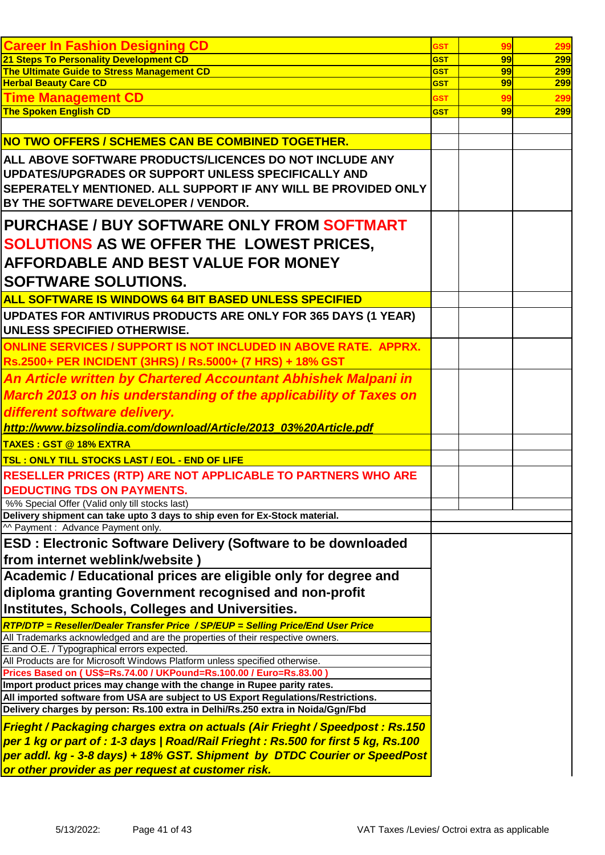| <b>Career In Fashion Designing CD</b>                                                                                                                                | <b>GST</b>               | 99       | 299        |
|----------------------------------------------------------------------------------------------------------------------------------------------------------------------|--------------------------|----------|------------|
| 21 Steps To Personality Development CD                                                                                                                               | <b>GST</b>               | 99       | 299        |
| The Ultimate Guide to Stress Management CD<br><b>Herbal Beauty Care CD</b>                                                                                           | <b>GST</b><br><b>GST</b> | 99<br>99 | 299<br>299 |
| <b>Time Management CD</b>                                                                                                                                            |                          | 99       |            |
| <b>The Spoken English CD</b>                                                                                                                                         | <b>GST</b><br><b>GST</b> | 99       | 299<br>299 |
|                                                                                                                                                                      |                          |          |            |
| NO TWO OFFERS / SCHEMES CAN BE COMBINED TOGETHER.                                                                                                                    |                          |          |            |
| ALL ABOVE SOFTWARE PRODUCTS/LICENCES DO NOT INCLUDE ANY                                                                                                              |                          |          |            |
| UPDATES/UPGRADES OR SUPPORT UNLESS SPECIFICALLY AND                                                                                                                  |                          |          |            |
| SEPERATELY MENTIONED. ALL SUPPORT IF ANY WILL BE PROVIDED ONLY                                                                                                       |                          |          |            |
| BY THE SOFTWARE DEVELOPER / VENDOR.                                                                                                                                  |                          |          |            |
| <b>PURCHASE / BUY SOFTWARE ONLY FROM SOFTMART</b>                                                                                                                    |                          |          |            |
|                                                                                                                                                                      |                          |          |            |
| <b>SOLUTIONS AS WE OFFER THE LOWEST PRICES,</b>                                                                                                                      |                          |          |            |
| AFFORDABLE AND BEST VALUE FOR MONEY                                                                                                                                  |                          |          |            |
| <b>SOFTWARE SOLUTIONS.</b>                                                                                                                                           |                          |          |            |
| ALL SOFTWARE IS WINDOWS 64 BIT BASED UNLESS SPECIFIED                                                                                                                |                          |          |            |
| UPDATES FOR ANTIVIRUS PRODUCTS ARE ONLY FOR 365 DAYS (1 YEAR)                                                                                                        |                          |          |            |
| UNLESS SPECIFIED OTHERWISE.                                                                                                                                          |                          |          |            |
| <b>ONLINE SERVICES / SUPPORT IS NOT INCLUDED IN ABOVE RATE. APPRX.</b>                                                                                               |                          |          |            |
| Rs.2500+ PER INCIDENT (3HRS) / Rs.5000+ (7 HRS) + 18% GST                                                                                                            |                          |          |            |
| An Article written by Chartered Accountant Abhishek Malpani in                                                                                                       |                          |          |            |
| <b>March 2013 on his understanding of the applicability of Taxes on</b>                                                                                              |                          |          |            |
| different software delivery.                                                                                                                                         |                          |          |            |
| http://www.bizsolindia.com/download/Article/2013_03%20Article.pdf                                                                                                    |                          |          |            |
| <b>TAXES: GST @ 18% EXTRA</b>                                                                                                                                        |                          |          |            |
| <b>TSL: ONLY TILL STOCKS LAST / EOL - END OF LIFE</b>                                                                                                                |                          |          |            |
| <b>RESELLER PRICES (RTP) ARE NOT APPLICABLE TO PARTNERS WHO ARE</b>                                                                                                  |                          |          |            |
| <b>DEDUCTING TDS ON PAYMENTS.</b>                                                                                                                                    |                          |          |            |
| %% Special Offer (Valid only till stocks last)                                                                                                                       |                          |          |            |
| Delivery shipment can take upto 3 days to ship even for Ex-Stock material.                                                                                           |                          |          |            |
| ^^ Payment : Advance Payment only.                                                                                                                                   |                          |          |            |
| ESD : Electronic Software Delivery (Software to be downloaded<br>from internet weblink/website                                                                       |                          |          |            |
| Academic / Educational prices are eligible only for degree and                                                                                                       |                          |          |            |
|                                                                                                                                                                      |                          |          |            |
| diploma granting Government recognised and non-profit                                                                                                                |                          |          |            |
| <b>Institutes, Schools, Colleges and Universities.</b>                                                                                                               |                          |          |            |
| RTP/DTP = Reseller/Dealer Transfer Price / SP/EUP = Selling Price/End User Price<br>All Trademarks acknowledged and are the properties of their respective owners.   |                          |          |            |
| E.and O.E. / Typographical errors expected.                                                                                                                          |                          |          |            |
| All Products are for Microsoft Windows Platform unless specified otherwise.                                                                                          |                          |          |            |
| Prices Based on (US\$=Rs.74.00 / UKPound=Rs.100.00 / Euro=Rs.83.00                                                                                                   |                          |          |            |
| Import product prices may change with the change in Rupee parity rates.                                                                                              |                          |          |            |
| All imported software from USA are subject to US Export Regulations/Restrictions.<br>Delivery charges by person: Rs.100 extra in Delhi/Rs.250 extra in Noida/Ggn/Fbd |                          |          |            |
|                                                                                                                                                                      |                          |          |            |
| Frieght / Packaging charges extra on actuals (Air Frieght / Speedpost: Rs.150<br>per 1 kg or part of : 1-3 days   Road/Rail Frieght : Rs.500 for first 5 kg, Rs.100  |                          |          |            |
| per addl. kg - 3-8 days) + 18% GST. Shipment by DTDC Courier or SpeedPost                                                                                            |                          |          |            |
| or other provider as per request at customer risk.                                                                                                                   |                          |          |            |
|                                                                                                                                                                      |                          |          |            |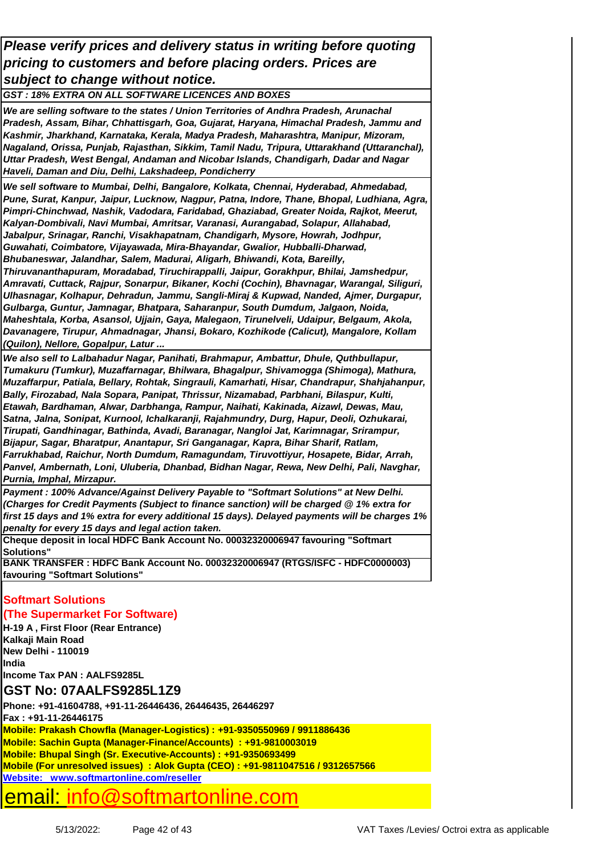*Please verify prices and delivery status in writing before quoting pricing to customers and before placing orders. Prices are subject to change without notice.*

*GST : 18% EXTRA ON ALL SOFTWARE LICENCES AND BOXES*

*We are selling software to the states / Union Territories of Andhra Pradesh, Arunachal Pradesh, Assam, Bihar, Chhattisgarh, Goa, Gujarat, Haryana, Himachal Pradesh, Jammu and Kashmir, Jharkhand, Karnataka, Kerala, Madya Pradesh, Maharashtra, Manipur, Mizoram, Nagaland, Orissa, Punjab, Rajasthan, Sikkim, Tamil Nadu, Tripura, Uttarakhand (Uttaranchal), Uttar Pradesh, West Bengal, Andaman and Nicobar Islands, Chandigarh, Dadar and Nagar Haveli, Daman and Diu, Delhi, Lakshadeep, Pondicherry* 

*We sell software to Mumbai, Delhi, Bangalore, Kolkata, Chennai, Hyderabad, Ahmedabad, Pune, Surat, Kanpur, Jaipur, Lucknow, Nagpur, Patna, Indore, Thane, Bhopal, Ludhiana, Agra, Pimpri-Chinchwad, Nashik, Vadodara, Faridabad, Ghaziabad, Greater Noida, Rajkot, Meerut, Kalyan-Dombivali, Navi Mumbai, Amritsar, Varanasi, Aurangabad, Solapur, Allahabad, Jabalpur, Srinagar, Ranchi, Visakhapatnam, Chandigarh, Mysore, Howrah, Jodhpur, Guwahati, Coimbatore, Vijayawada, Mira-Bhayandar, Gwalior, Hubballi-Dharwad, Bhubaneswar, Jalandhar, Salem, Madurai, Aligarh, Bhiwandi, Kota, Bareilly, Thiruvananthapuram, Moradabad, Tiruchirappalli, Jaipur, Gorakhpur, Bhilai, Jamshedpur, Amravati, Cuttack, Rajpur, Sonarpur, Bikaner, Kochi (Cochin), Bhavnagar, Warangal, Siliguri, Ulhasnagar, Kolhapur, Dehradun, Jammu, Sangli-Miraj & Kupwad, Nanded, Ajmer, Durgapur, Gulbarga, Guntur, Jamnagar, Bhatpara, Saharanpur, South Dumdum, Jalgaon, Noida, Maheshtala, Korba, Asansol, Ujjain, Gaya, Malegaon, Tirunelveli, Udaipur, Belgaum, Akola, Davanagere, Tirupur, Ahmadnagar, Jhansi, Bokaro, Kozhikode (Calicut), Mangalore, Kollam (Quilon), Nellore, Gopalpur, Latur ...*

*We also sell to Lalbahadur Nagar, Panihati, Brahmapur, Ambattur, Dhule, Quthbullapur, Tumakuru (Tumkur), Muzaffarnagar, Bhilwara, Bhagalpur, Shivamogga (Shimoga), Mathura, Muzaffarpur, Patiala, Bellary, Rohtak, Singrauli, Kamarhati, Hisar, Chandrapur, Shahjahanpur, Bally, Firozabad, Nala Sopara, Panipat, Thrissur, Nizamabad, Parbhani, Bilaspur, Kulti, Etawah, Bardhaman, Alwar, Darbhanga, Rampur, Naihati, Kakinada, Aizawl, Dewas, Mau, Satna, Jalna, Sonipat, Kurnool, Ichalkaranji, Rajahmundry, Durg, Hapur, Deoli, Ozhukarai, Tirupati, Gandhinagar, Bathinda, Avadi, Baranagar, Nangloi Jat, Karimnagar, Srirampur, Bijapur, Sagar, Bharatpur, Anantapur, Sri Ganganagar, Kapra, Bihar Sharif, Ratlam, Farrukhabad, Raichur, North Dumdum, Ramagundam, Tiruvottiyur, Hosapete, Bidar, Arrah, Panvel, Ambernath, Loni, Uluberia, Dhanbad, Bidhan Nagar, Rewa, New Delhi, Pali, Navghar, Purnia, Imphal, Mirzapur.*

*Payment : 100% Advance/Against Delivery Payable to "Softmart Solutions" at New Delhi. (Charges for Credit Payments (Subject to finance sanction) will be charged @ 1% extra for first 15 days and 1% extra for every additional 15 days). Delayed payments will be charges 1% penalty for every 15 days and legal action taken.*

**Cheque deposit in local HDFC Bank Account No. 00032320006947 favouring "Softmart Solutions"**

**BANK TRANSFER : HDFC Bank Account No. 00032320006947 (RTGS/ISFC - HDFC0000003) favouring "Softmart Solutions"**

### **Softmart Solutions**

#### **(The Supermarket For Software)**

**H-19 A , First Floor (Rear Entrance) Kalkaji Main Road New Delhi - 110019 India Income Tax PAN : AALFS9285L**

### **GST No: 07AALFS9285L1Z9**

**Fax : +91-11-26446175 Mobile: Prakash Chowfla (Manager-Logistics) : +91-9350550969 / 9911886436 Mobile: Sachin Gupta (Manager-Finance/Accounts) : +91-9810003019 Mobile: Bhupal Singh (Sr. Executive-Accounts) : +91-9350693499 Mobile (For unresolved issues) : Alok Gupta (CEO) : +91-9811047516 / 9312657566 Website: www.softmartonline.com/reseller Phone: +91-41604788, +91-11-26446436, 26446435, 26446297**

## email: info@softmartonline.com